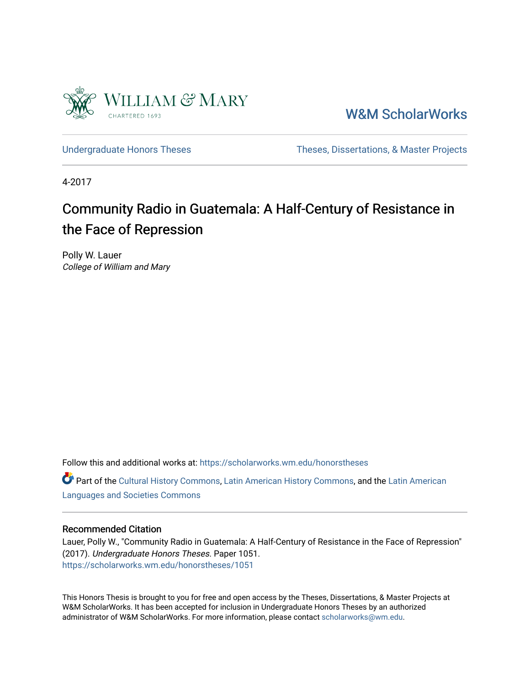

[W&M ScholarWorks](https://scholarworks.wm.edu/) 

[Undergraduate Honors Theses](https://scholarworks.wm.edu/honorstheses) Theses Theses, Dissertations, & Master Projects

4-2017

# Community Radio in Guatemala: A Half-Century of Resistance in the Face of Repression

Polly W. Lauer College of William and Mary

Follow this and additional works at: [https://scholarworks.wm.edu/honorstheses](https://scholarworks.wm.edu/honorstheses?utm_source=scholarworks.wm.edu%2Fhonorstheses%2F1051&utm_medium=PDF&utm_campaign=PDFCoverPages) 

Part of the [Cultural History Commons](http://network.bepress.com/hgg/discipline/496?utm_source=scholarworks.wm.edu%2Fhonorstheses%2F1051&utm_medium=PDF&utm_campaign=PDFCoverPages), [Latin American History Commons,](http://network.bepress.com/hgg/discipline/494?utm_source=scholarworks.wm.edu%2Fhonorstheses%2F1051&utm_medium=PDF&utm_campaign=PDFCoverPages) and the [Latin American](http://network.bepress.com/hgg/discipline/483?utm_source=scholarworks.wm.edu%2Fhonorstheses%2F1051&utm_medium=PDF&utm_campaign=PDFCoverPages)  [Languages and Societies Commons](http://network.bepress.com/hgg/discipline/483?utm_source=scholarworks.wm.edu%2Fhonorstheses%2F1051&utm_medium=PDF&utm_campaign=PDFCoverPages) 

#### Recommended Citation

Lauer, Polly W., "Community Radio in Guatemala: A Half-Century of Resistance in the Face of Repression" (2017). Undergraduate Honors Theses. Paper 1051. [https://scholarworks.wm.edu/honorstheses/1051](https://scholarworks.wm.edu/honorstheses/1051?utm_source=scholarworks.wm.edu%2Fhonorstheses%2F1051&utm_medium=PDF&utm_campaign=PDFCoverPages)

This Honors Thesis is brought to you for free and open access by the Theses, Dissertations, & Master Projects at W&M ScholarWorks. It has been accepted for inclusion in Undergraduate Honors Theses by an authorized administrator of W&M ScholarWorks. For more information, please contact [scholarworks@wm.edu.](mailto:scholarworks@wm.edu)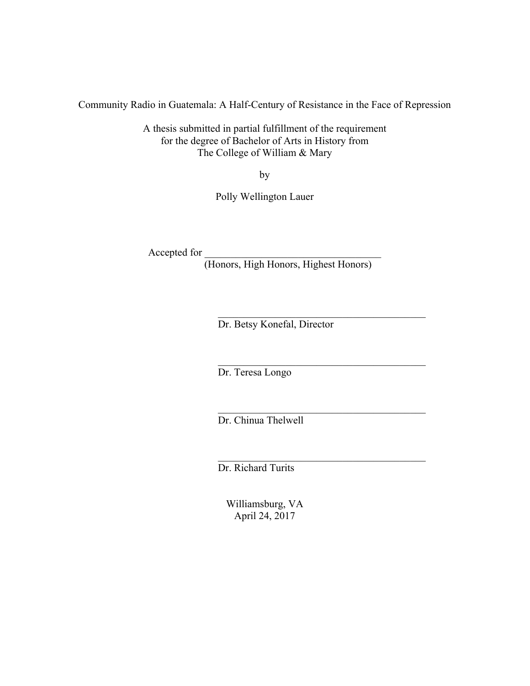Community Radio in Guatemala: A Half-Century of Resistance in the Face of Repression

A thesis submitted in partial fulfillment of the requirement for the degree of Bachelor of Arts in History from The College of William & Mary

by

Polly Wellington Lauer

Accepted for

(Honors, High Honors, Highest Honors)

 $\mathcal{L}_\text{max}$ 

 $\mathcal{L}_\text{max}$  and  $\mathcal{L}_\text{max}$  and  $\mathcal{L}_\text{max}$  and  $\mathcal{L}_\text{max}$ 

 $\mathcal{L}_\text{max}$  and  $\mathcal{L}_\text{max}$  and  $\mathcal{L}_\text{max}$  and  $\mathcal{L}_\text{max}$ 

 $\mathcal{L}_\text{max}$  and  $\mathcal{L}_\text{max}$  and  $\mathcal{L}_\text{max}$  and  $\mathcal{L}_\text{max}$ Dr. Betsy Konefal, Director

Dr. Teresa Longo

Dr. Chinua Thelwell

Dr. Richard Turits

Williamsburg, VA April 24, 2017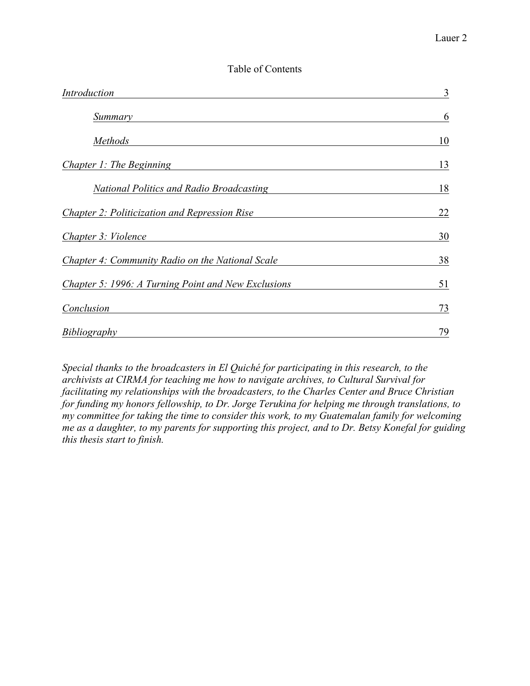# Table of Contents

| Introduction                                        | 3  |
|-----------------------------------------------------|----|
| Summary                                             | 6  |
| <i>Methods</i>                                      | 10 |
| Chapter 1: The Beginning                            | 13 |
| <b>National Politics and Radio Broadcasting</b>     | 18 |
| Chapter 2: Politicization and Repression Rise       | 22 |
| Chapter 3: Violence                                 | 30 |
| Chapter 4: Community Radio on the National Scale    | 38 |
| Chapter 5: 1996: A Turning Point and New Exclusions | 51 |
| Conclusion                                          | 73 |
| Bibliography                                        | 79 |

*Special thanks to the broadcasters in El Quiché for participating in this research, to the archivists at CIRMA for teaching me how to navigate archives, to Cultural Survival for facilitating my relationships with the broadcasters, to the Charles Center and Bruce Christian for funding my honors fellowship, to Dr. Jorge Terukina for helping me through translations, to my committee for taking the time to consider this work, to my Guatemalan family for welcoming me as a daughter, to my parents for supporting this project, and to Dr. Betsy Konefal for guiding this thesis start to finish.*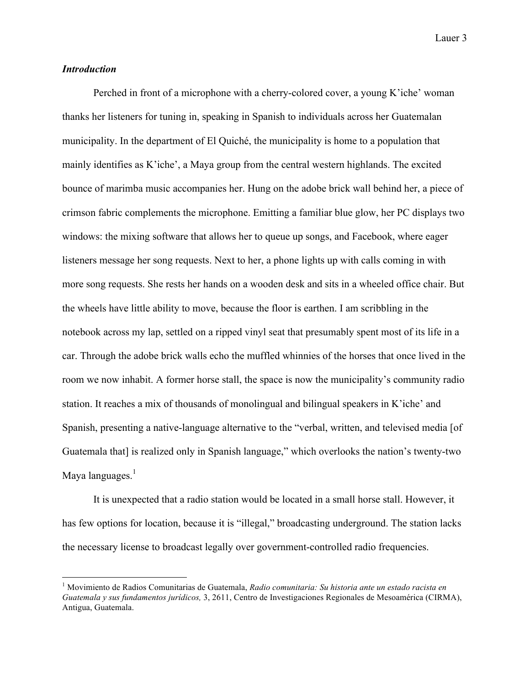# *Introduction*

Perched in front of a microphone with a cherry-colored cover, a young K'iche' woman thanks her listeners for tuning in, speaking in Spanish to individuals across her Guatemalan municipality. In the department of El Quiché, the municipality is home to a population that mainly identifies as K'iche', a Maya group from the central western highlands. The excited bounce of marimba music accompanies her. Hung on the adobe brick wall behind her, a piece of crimson fabric complements the microphone. Emitting a familiar blue glow, her PC displays two windows: the mixing software that allows her to queue up songs, and Facebook, where eager listeners message her song requests. Next to her, a phone lights up with calls coming in with more song requests. She rests her hands on a wooden desk and sits in a wheeled office chair. But the wheels have little ability to move, because the floor is earthen. I am scribbling in the notebook across my lap, settled on a ripped vinyl seat that presumably spent most of its life in a car. Through the adobe brick walls echo the muffled whinnies of the horses that once lived in the room we now inhabit. A former horse stall, the space is now the municipality's community radio station. It reaches a mix of thousands of monolingual and bilingual speakers in K'iche' and Spanish, presenting a native-language alternative to the "verbal, written, and televised media [of Guatemala that] is realized only in Spanish language," which overlooks the nation's twenty-two Maya languages.<sup>1</sup>

It is unexpected that a radio station would be located in a small horse stall. However, it has few options for location, because it is "illegal," broadcasting underground. The station lacks the necessary license to broadcast legally over government-controlled radio frequencies.

 <sup>1</sup> Movimiento de Radios Comunitarias de Guatemala, *Radio comunitaria: Su historia ante un estado racista en Guatemala y sus fundamentos jurídicos,* 3, 2611, Centro de Investigaciones Regionales de Mesoamérica (CIRMA), Antigua, Guatemala.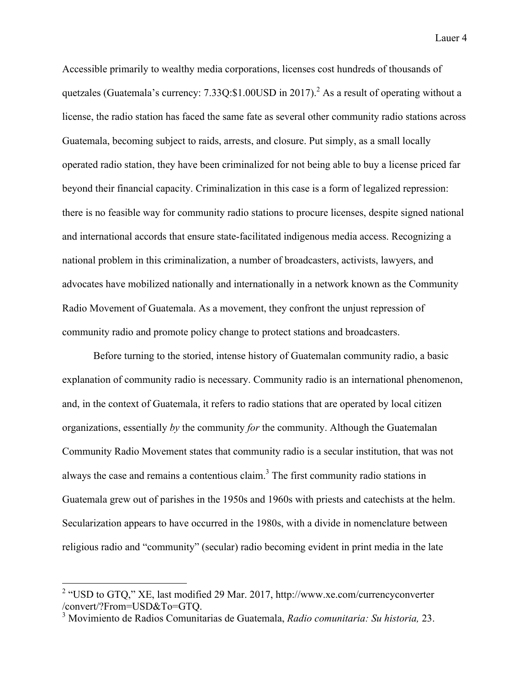Accessible primarily to wealthy media corporations, licenses cost hundreds of thousands of quetzales (Guatemala's currency:  $7.33Q: $1.00USD$  in 2017).<sup>2</sup> As a result of operating without a license, the radio station has faced the same fate as several other community radio stations across Guatemala, becoming subject to raids, arrests, and closure. Put simply, as a small locally operated radio station, they have been criminalized for not being able to buy a license priced far beyond their financial capacity. Criminalization in this case is a form of legalized repression: there is no feasible way for community radio stations to procure licenses, despite signed national and international accords that ensure state-facilitated indigenous media access. Recognizing a national problem in this criminalization, a number of broadcasters, activists, lawyers, and advocates have mobilized nationally and internationally in a network known as the Community Radio Movement of Guatemala. As a movement, they confront the unjust repression of community radio and promote policy change to protect stations and broadcasters.

Before turning to the storied, intense history of Guatemalan community radio, a basic explanation of community radio is necessary. Community radio is an international phenomenon, and, in the context of Guatemala, it refers to radio stations that are operated by local citizen organizations, essentially *by* the community *for* the community. Although the Guatemalan Community Radio Movement states that community radio is a secular institution, that was not always the case and remains a contentious claim. <sup>3</sup> The first community radio stations in Guatemala grew out of parishes in the 1950s and 1960s with priests and catechists at the helm. Secularization appears to have occurred in the 1980s, with a divide in nomenclature between religious radio and "community" (secular) radio becoming evident in print media in the late

<sup>&</sup>lt;sup>2</sup> "USD to GTQ," XE, last modified 29 Mar. 2017, http://www.xe.com/currencyconverter /convert/?From=USD&To=GTQ. <sup>3</sup> Movimiento de Radios Comunitarias de Guatemala, *Radio comunitaria: Su historia,* 23.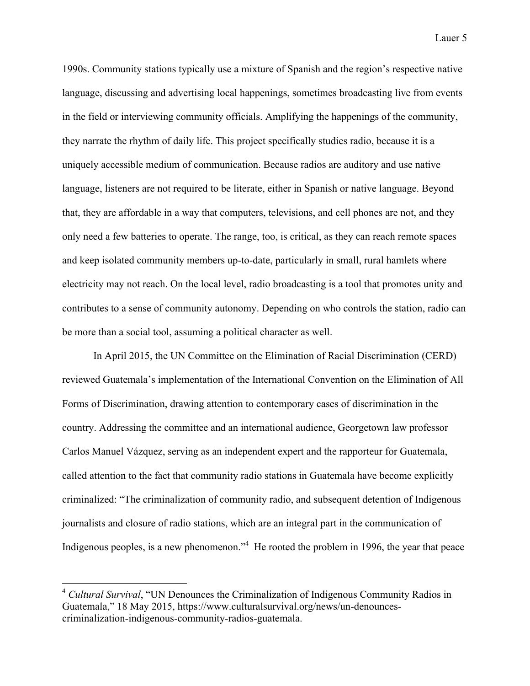1990s. Community stations typically use a mixture of Spanish and the region's respective native language, discussing and advertising local happenings, sometimes broadcasting live from events in the field or interviewing community officials. Amplifying the happenings of the community, they narrate the rhythm of daily life. This project specifically studies radio, because it is a uniquely accessible medium of communication. Because radios are auditory and use native language, listeners are not required to be literate, either in Spanish or native language. Beyond that, they are affordable in a way that computers, televisions, and cell phones are not, and they only need a few batteries to operate. The range, too, is critical, as they can reach remote spaces and keep isolated community members up-to-date, particularly in small, rural hamlets where electricity may not reach. On the local level, radio broadcasting is a tool that promotes unity and contributes to a sense of community autonomy. Depending on who controls the station, radio can be more than a social tool, assuming a political character as well.

In April 2015, the UN Committee on the Elimination of Racial Discrimination (CERD) reviewed Guatemala's implementation of the International Convention on the Elimination of All Forms of Discrimination, drawing attention to contemporary cases of discrimination in the country. Addressing the committee and an international audience, Georgetown law professor Carlos Manuel Vázquez, serving as an independent expert and the rapporteur for Guatemala, called attention to the fact that community radio stations in Guatemala have become explicitly criminalized: "The criminalization of community radio, and subsequent detention of Indigenous journalists and closure of radio stations, which are an integral part in the communication of Indigenous peoples, is a new phenomenon."<sup>4</sup> He rooted the problem in 1996, the year that peace

 <sup>4</sup> *Cultural Survival*, "UN Denounces the Criminalization of Indigenous Community Radios in Guatemala," 18 May 2015, https://www.culturalsurvival.org/news/un-denouncescriminalization-indigenous-community-radios-guatemala.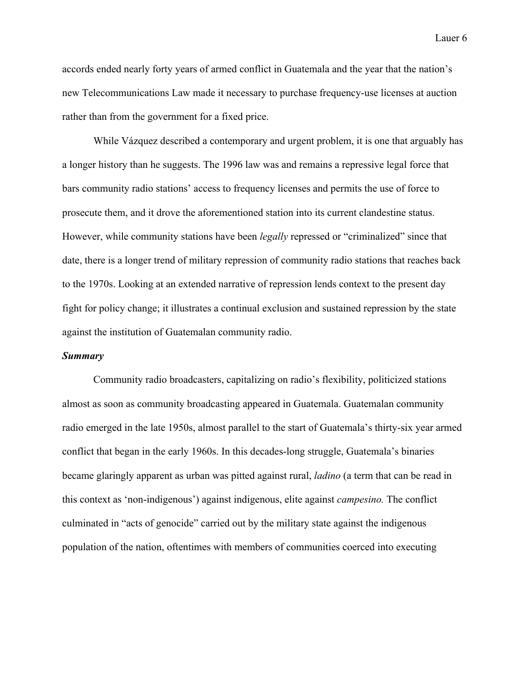accords ended nearly forty years of armed conflict in Guatemala and the year that the nation's new Telecommunications Law made it necessary to purchase frequency-use licenses at auction rather than from the government for a fixed price.

While Vázquez described a contemporary and urgent problem, it is one that arguably has a longer history than he suggests. The 1996 law was and remains a repressive legal force that bars community radio stations' access to frequency licenses and permits the use of force to prosecute them, and it drove the aforementioned station into its current clandestine status. However, while community stations have been *legally* repressed or "criminalized" since that date, there is a longer trend of military repression of community radio stations that reaches back to the 1970s. Looking at an extended narrative of repression lends context to the present day fight for policy change; it illustrates a continual exclusion and sustained repression by the state against the institution of Guatemalan community radio.

#### *Summary*

Community radio broadcasters, capitalizing on radio's flexibility, politicized stations almost as soon as community broadcasting appeared in Guatemala. Guatemalan community radio emerged in the late 1950s, almost parallel to the start of Guatemala's thirty-six year armed conflict that began in the early 1960s. In this decades-long struggle, Guatemala's binaries became glaringly apparent as urban was pitted against rural, *ladino* (a term that can be read in this context as 'non-indigenous') against indigenous, elite against *campesino.* The conflict culminated in "acts of genocide" carried out by the military state against the indigenous population of the nation, oftentimes with members of communities coerced into executing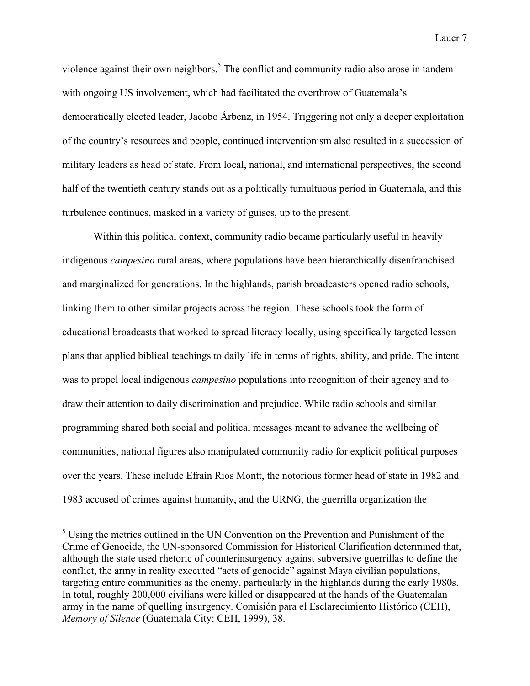violence against their own neighbors.<sup>5</sup> The conflict and community radio also arose in tandem with ongoing US involvement, which had facilitated the overthrow of Guatemala's democratically elected leader, Jacobo Árbenz, in 1954. Triggering not only a deeper exploitation of the country's resources and people, continued interventionism also resulted in a succession of military leaders as head of state. From local, national, and international perspectives, the second half of the twentieth century stands out as a politically tumultuous period in Guatemala, and this turbulence continues, masked in a variety of guises, up to the present.

Within this political context, community radio became particularly useful in heavily indigenous *campesino* rural areas, where populations have been hierarchically disenfranchised and marginalized for generations. In the highlands, parish broadcasters opened radio schools, linking them to other similar projects across the region. These schools took the form of educational broadcasts that worked to spread literacy locally, using specifically targeted lesson plans that applied biblical teachings to daily life in terms of rights, ability, and pride. The intent was to propel local indigenous *campesino* populations into recognition of their agency and to draw their attention to daily discrimination and prejudice. While radio schools and similar programming shared both social and political messages meant to advance the wellbeing of communities, national figures also manipulated community radio for explicit political purposes over the years. These include Efraín Ríos Montt, the notorious former head of state in 1982 and 1983 accused of crimes against humanity, and the URNG, the guerrilla organization the

<sup>&</sup>lt;sup>5</sup> Using the metrics outlined in the UN Convention on the Prevention and Punishment of the Crime of Genocide, the UN-sponsored Commission for Historical Clarification determined that, although the state used rhetoric of counterinsurgency against subversive guerrillas to define the conflict, the army in reality executed "acts of genocide" against Maya civilian populations, targeting entire communities as the enemy, particularly in the highlands during the early 1980s. In total, roughly 200,000 civilians were killed or disappeared at the hands of the Guatemalan army in the name of quelling insurgency. Comisión para el Esclarecimiento Histórico (CEH), *Memory of Silence* (Guatemala City: CEH, 1999), 38.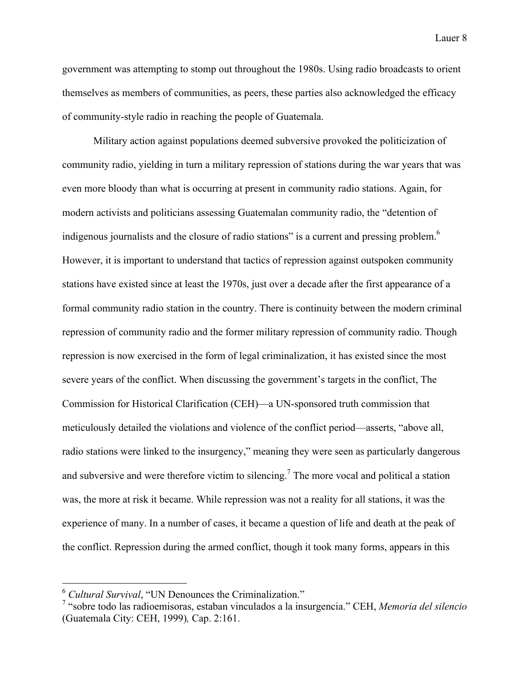government was attempting to stomp out throughout the 1980s. Using radio broadcasts to orient themselves as members of communities, as peers, these parties also acknowledged the efficacy of community-style radio in reaching the people of Guatemala.

Military action against populations deemed subversive provoked the politicization of community radio, yielding in turn a military repression of stations during the war years that was even more bloody than what is occurring at present in community radio stations. Again, for modern activists and politicians assessing Guatemalan community radio, the "detention of indigenous journalists and the closure of radio stations" is a current and pressing problem.<sup>6</sup> However, it is important to understand that tactics of repression against outspoken community stations have existed since at least the 1970s, just over a decade after the first appearance of a formal community radio station in the country. There is continuity between the modern criminal repression of community radio and the former military repression of community radio. Though repression is now exercised in the form of legal criminalization, it has existed since the most severe years of the conflict. When discussing the government's targets in the conflict, The Commission for Historical Clarification (CEH)—a UN-sponsored truth commission that meticulously detailed the violations and violence of the conflict period—asserts, "above all, radio stations were linked to the insurgency," meaning they were seen as particularly dangerous and subversive and were therefore victim to silencing.<sup>7</sup> The more vocal and political a station was, the more at risk it became. While repression was not a reality for all stations, it was the experience of many. In a number of cases, it became a question of life and death at the peak of the conflict. Repression during the armed conflict, though it took many forms, appears in this

 <sup>6</sup> *Cultural Survival*, "UN Denounces the Criminalization."

<sup>7</sup> "sobre todo las radioemisoras, estaban vinculados a la insurgencia." CEH, *Memoria del silencio*  (Guatemala City: CEH, 1999)*,* Cap. 2:161.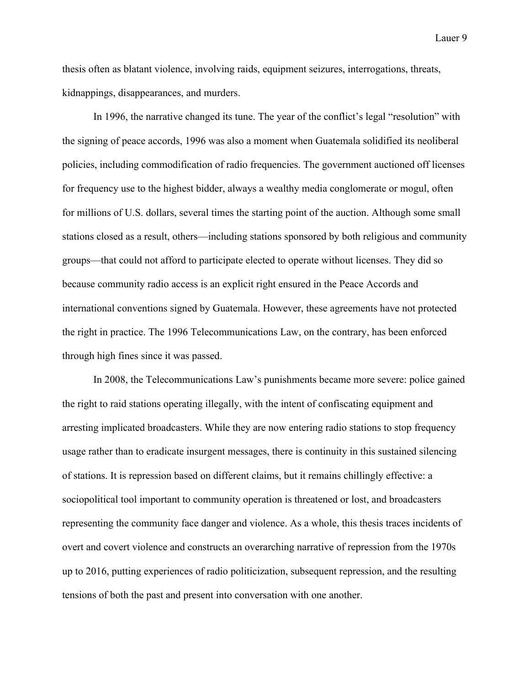thesis often as blatant violence, involving raids, equipment seizures, interrogations, threats, kidnappings, disappearances, and murders.

In 1996, the narrative changed its tune. The year of the conflict's legal "resolution" with the signing of peace accords, 1996 was also a moment when Guatemala solidified its neoliberal policies, including commodification of radio frequencies. The government auctioned off licenses for frequency use to the highest bidder, always a wealthy media conglomerate or mogul, often for millions of U.S. dollars, several times the starting point of the auction. Although some small stations closed as a result, others—including stations sponsored by both religious and community groups—that could not afford to participate elected to operate without licenses. They did so because community radio access is an explicit right ensured in the Peace Accords and international conventions signed by Guatemala. However, these agreements have not protected the right in practice. The 1996 Telecommunications Law, on the contrary, has been enforced through high fines since it was passed.

In 2008, the Telecommunications Law's punishments became more severe: police gained the right to raid stations operating illegally, with the intent of confiscating equipment and arresting implicated broadcasters. While they are now entering radio stations to stop frequency usage rather than to eradicate insurgent messages, there is continuity in this sustained silencing of stations. It is repression based on different claims, but it remains chillingly effective: a sociopolitical tool important to community operation is threatened or lost, and broadcasters representing the community face danger and violence. As a whole, this thesis traces incidents of overt and covert violence and constructs an overarching narrative of repression from the 1970s up to 2016, putting experiences of radio politicization, subsequent repression, and the resulting tensions of both the past and present into conversation with one another.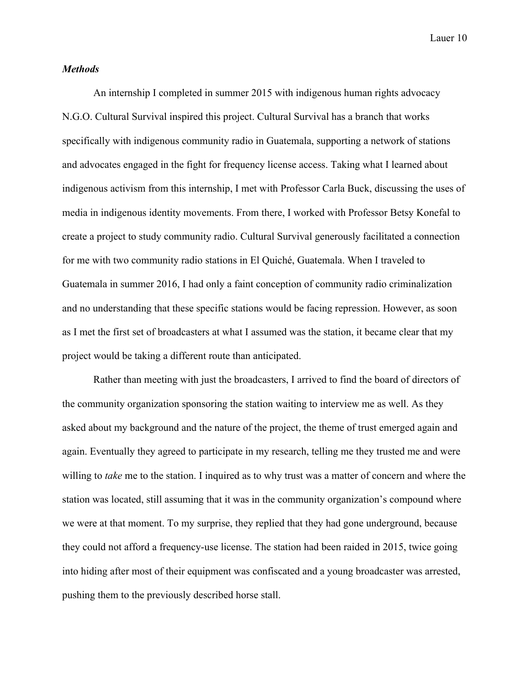#### *Methods*

An internship I completed in summer 2015 with indigenous human rights advocacy N.G.O. Cultural Survival inspired this project. Cultural Survival has a branch that works specifically with indigenous community radio in Guatemala, supporting a network of stations and advocates engaged in the fight for frequency license access. Taking what I learned about indigenous activism from this internship, I met with Professor Carla Buck, discussing the uses of media in indigenous identity movements. From there, I worked with Professor Betsy Konefal to create a project to study community radio. Cultural Survival generously facilitated a connection for me with two community radio stations in El Quiché, Guatemala. When I traveled to Guatemala in summer 2016, I had only a faint conception of community radio criminalization and no understanding that these specific stations would be facing repression. However, as soon as I met the first set of broadcasters at what I assumed was the station, it became clear that my project would be taking a different route than anticipated.

Rather than meeting with just the broadcasters, I arrived to find the board of directors of the community organization sponsoring the station waiting to interview me as well. As they asked about my background and the nature of the project, the theme of trust emerged again and again. Eventually they agreed to participate in my research, telling me they trusted me and were willing to *take* me to the station. I inquired as to why trust was a matter of concern and where the station was located, still assuming that it was in the community organization's compound where we were at that moment. To my surprise, they replied that they had gone underground, because they could not afford a frequency-use license. The station had been raided in 2015, twice going into hiding after most of their equipment was confiscated and a young broadcaster was arrested, pushing them to the previously described horse stall.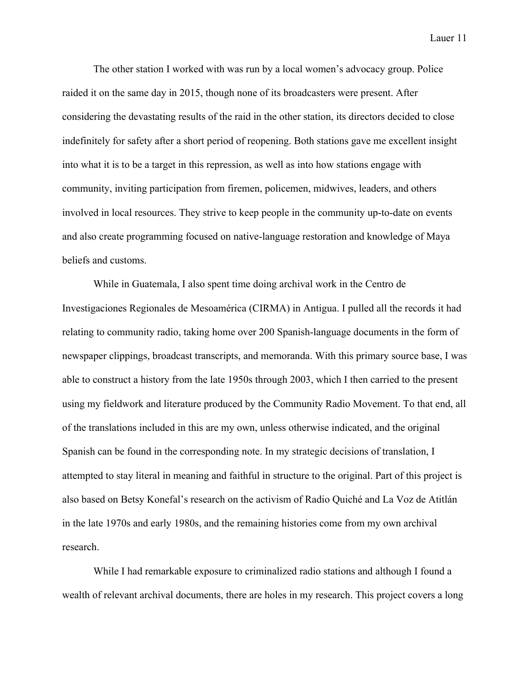The other station I worked with was run by a local women's advocacy group. Police raided it on the same day in 2015, though none of its broadcasters were present. After considering the devastating results of the raid in the other station, its directors decided to close indefinitely for safety after a short period of reopening. Both stations gave me excellent insight into what it is to be a target in this repression, as well as into how stations engage with community, inviting participation from firemen, policemen, midwives, leaders, and others involved in local resources. They strive to keep people in the community up-to-date on events and also create programming focused on native-language restoration and knowledge of Maya beliefs and customs.

While in Guatemala, I also spent time doing archival work in the Centro de Investigaciones Regionales de Mesoamérica (CIRMA) in Antigua. I pulled all the records it had relating to community radio, taking home over 200 Spanish-language documents in the form of newspaper clippings, broadcast transcripts, and memoranda. With this primary source base, I was able to construct a history from the late 1950s through 2003, which I then carried to the present using my fieldwork and literature produced by the Community Radio Movement. To that end, all of the translations included in this are my own, unless otherwise indicated, and the original Spanish can be found in the corresponding note. In my strategic decisions of translation, I attempted to stay literal in meaning and faithful in structure to the original. Part of this project is also based on Betsy Konefal's research on the activism of Radio Quiché and La Voz de Atitlán in the late 1970s and early 1980s, and the remaining histories come from my own archival research.

While I had remarkable exposure to criminalized radio stations and although I found a wealth of relevant archival documents, there are holes in my research. This project covers a long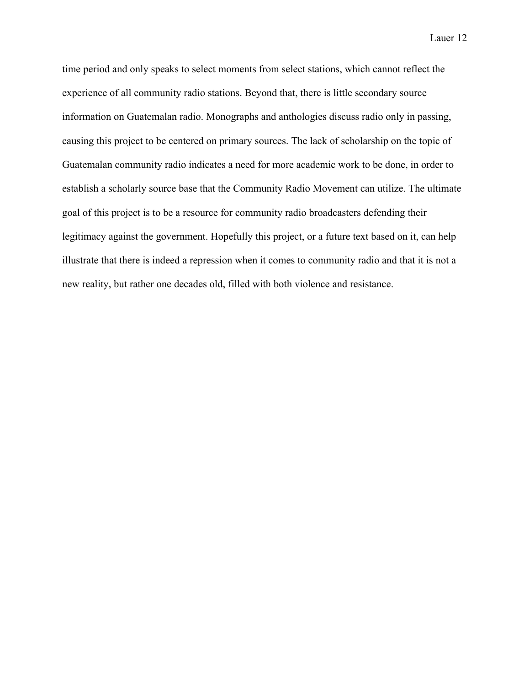time period and only speaks to select moments from select stations, which cannot reflect the experience of all community radio stations. Beyond that, there is little secondary source information on Guatemalan radio. Monographs and anthologies discuss radio only in passing, causing this project to be centered on primary sources. The lack of scholarship on the topic of Guatemalan community radio indicates a need for more academic work to be done, in order to establish a scholarly source base that the Community Radio Movement can utilize. The ultimate goal of this project is to be a resource for community radio broadcasters defending their legitimacy against the government. Hopefully this project, or a future text based on it, can help illustrate that there is indeed a repression when it comes to community radio and that it is not a new reality, but rather one decades old, filled with both violence and resistance.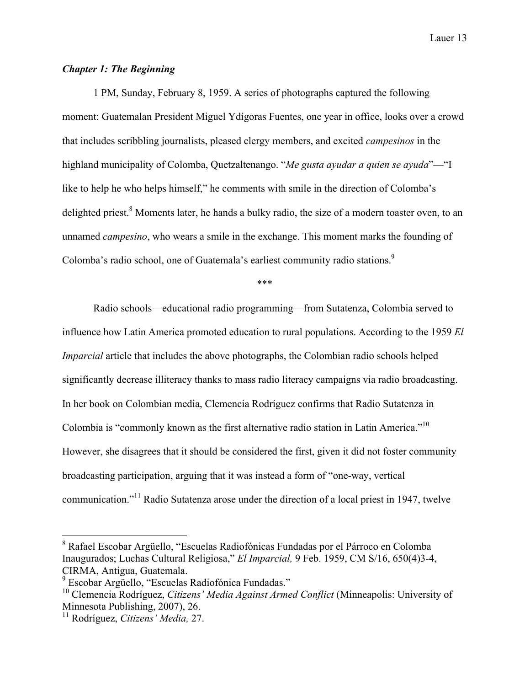# *Chapter 1: The Beginning*

1 PM, Sunday, February 8, 1959. A series of photographs captured the following moment: Guatemalan President Miguel Ydígoras Fuentes, one year in office, looks over a crowd that includes scribbling journalists, pleased clergy members, and excited *campesinos* in the highland municipality of Colomba, Quetzaltenango. "*Me gusta ayudar a quien se ayuda*"—"I like to help he who helps himself," he comments with smile in the direction of Colomba's delighted priest.<sup>8</sup> Moments later, he hands a bulky radio, the size of a modern toaster oven, to an unnamed *campesino*, who wears a smile in the exchange. This moment marks the founding of Colomba's radio school, one of Guatemala's earliest community radio stations.<sup>9</sup>

\*\*\*

Radio schools—educational radio programming—from Sutatenza, Colombia served to influence how Latin America promoted education to rural populations. According to the 1959 *El Imparcial* article that includes the above photographs, the Colombian radio schools helped significantly decrease illiteracy thanks to mass radio literacy campaigns via radio broadcasting. In her book on Colombian media, Clemencia Rodríguez confirms that Radio Sutatenza in Colombia is "commonly known as the first alternative radio station in Latin America."<sup>10</sup> However, she disagrees that it should be considered the first, given it did not foster community broadcasting participation, arguing that it was instead a form of "one-way, vertical communication."<sup>11</sup> Radio Sutatenza arose under the direction of a local priest in 1947, twelve

 <sup>8</sup> Rafael Escobar Argüello, "Escuelas Radiofónicas Fundadas por el Párroco en Colomba Inaugurados; Luchas Cultural Religiosa," *El Imparcial,* 9 Feb. 1959, CM S/16, 650(4)3-4, CIRMA, Antigua, Guatemala.<br><sup>9</sup> Escobar Argüello, "Escuelas Radiofónica Fundadas."

<sup>&</sup>lt;sup>10</sup> Clemencia Rodríguez, *Citizens' Media Against Armed Conflict* (Minneapolis: University of Minnesota Publishing, 2007), 26.

<sup>11</sup> Rodríguez, *Citizens' Media,* 27.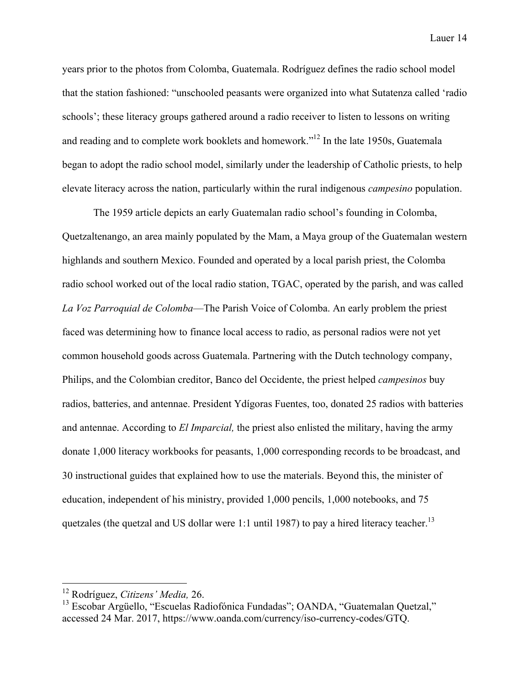years prior to the photos from Colomba, Guatemala. Rodríguez defines the radio school model that the station fashioned: "unschooled peasants were organized into what Sutatenza called 'radio schools'; these literacy groups gathered around a radio receiver to listen to lessons on writing and reading and to complete work booklets and homework."<sup>12</sup> In the late 1950s, Guatemala began to adopt the radio school model, similarly under the leadership of Catholic priests, to help elevate literacy across the nation, particularly within the rural indigenous *campesino* population.

The 1959 article depicts an early Guatemalan radio school's founding in Colomba, Quetzaltenango, an area mainly populated by the Mam, a Maya group of the Guatemalan western highlands and southern Mexico. Founded and operated by a local parish priest, the Colomba radio school worked out of the local radio station, TGAC, operated by the parish, and was called *La Voz Parroquial de Colomba*—The Parish Voice of Colomba. An early problem the priest faced was determining how to finance local access to radio, as personal radios were not yet common household goods across Guatemala. Partnering with the Dutch technology company, Philips, and the Colombian creditor, Banco del Occidente, the priest helped *campesinos* buy radios, batteries, and antennae. President Ydígoras Fuentes, too, donated 25 radios with batteries and antennae. According to *El Imparcial,* the priest also enlisted the military, having the army donate 1,000 literacy workbooks for peasants, 1,000 corresponding records to be broadcast, and 30 instructional guides that explained how to use the materials. Beyond this, the minister of education, independent of his ministry, provided 1,000 pencils, 1,000 notebooks, and 75 quetzales (the quetzal and US dollar were 1:1 until 1987) to pay a hired literacy teacher.<sup>13</sup>

 <sup>12</sup> Rodríguez, *Citizens' Media,* 26.

<sup>&</sup>lt;sup>13</sup> Escobar Argüello, "Escuelas Radiofónica Fundadas"; OANDA, "Guatemalan Quetzal," accessed 24 Mar. 2017, https://www.oanda.com/currency/iso-currency-codes/GTQ.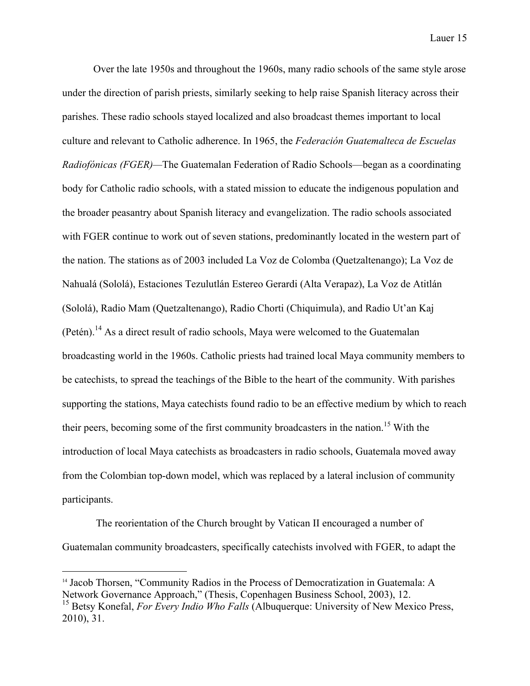Over the late 1950s and throughout the 1960s, many radio schools of the same style arose under the direction of parish priests, similarly seeking to help raise Spanish literacy across their parishes. These radio schools stayed localized and also broadcast themes important to local culture and relevant to Catholic adherence. In 1965, the *Federación Guatemalteca de Escuelas Radiofónicas (FGER)—*The Guatemalan Federation of Radio Schools—began as a coordinating body for Catholic radio schools, with a stated mission to educate the indigenous population and the broader peasantry about Spanish literacy and evangelization. The radio schools associated with FGER continue to work out of seven stations, predominantly located in the western part of the nation. The stations as of 2003 included La Voz de Colomba (Quetzaltenango); La Voz de Nahualá (Sololá), Estaciones Tezulutlán Estereo Gerardi (Alta Verapaz), La Voz de Atitlán (Sololá), Radio Mam (Quetzaltenango), Radio Chorti (Chiquimula), and Radio Ut'an Kaj (Petén).<sup>14</sup> As a direct result of radio schools, Maya were welcomed to the Guatemalan broadcasting world in the 1960s. Catholic priests had trained local Maya community members to be catechists, to spread the teachings of the Bible to the heart of the community. With parishes supporting the stations, Maya catechists found radio to be an effective medium by which to reach their peers, becoming some of the first community broadcasters in the nation. <sup>15</sup> With the introduction of local Maya catechists as broadcasters in radio schools, Guatemala moved away from the Colombian top-down model, which was replaced by a lateral inclusion of community participants.

The reorientation of the Church brought by Vatican II encouraged a number of Guatemalan community broadcasters, specifically catechists involved with FGER, to adapt the

 $\overline{a}$ 

<sup>&</sup>lt;sup>14</sup> Jacob Thorsen, "Community Radios in the Process of Democratization in Guatemala: A Network Governance Approach," (Thesis, Copenhagen Business School, 2003), 12.

<sup>&</sup>lt;sup>15</sup> Betsy Konefal, *For Every Indio Who Falls* (Albuquerque: University of New Mexico Press, 2010), 31.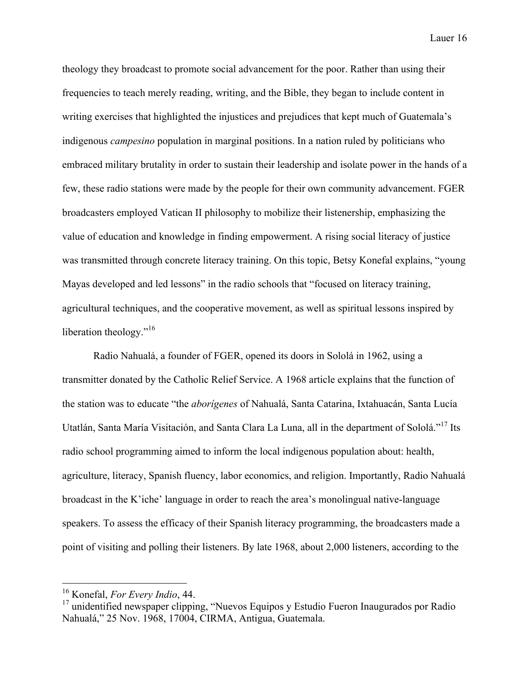theology they broadcast to promote social advancement for the poor. Rather than using their frequencies to teach merely reading, writing, and the Bible, they began to include content in writing exercises that highlighted the injustices and prejudices that kept much of Guatemala's indigenous *campesino* population in marginal positions. In a nation ruled by politicians who embraced military brutality in order to sustain their leadership and isolate power in the hands of a few, these radio stations were made by the people for their own community advancement. FGER broadcasters employed Vatican II philosophy to mobilize their listenership, emphasizing the value of education and knowledge in finding empowerment. A rising social literacy of justice was transmitted through concrete literacy training. On this topic, Betsy Konefal explains, "young Mayas developed and led lessons" in the radio schools that "focused on literacy training, agricultural techniques, and the cooperative movement, as well as spiritual lessons inspired by liberation theology. $^{16}$ 

Radio Nahualá, a founder of FGER, opened its doors in Sololá in 1962, using a transmitter donated by the Catholic Relief Service. A 1968 article explains that the function of the station was to educate "the *aborígenes* of Nahualá, Santa Catarina, Ixtahuacán, Santa Lucía Utatlán, Santa María Visitación, and Santa Clara La Luna, all in the department of Sololá."<sup>17</sup> Its radio school programming aimed to inform the local indigenous population about: health, agriculture, literacy, Spanish fluency, labor economics, and religion. Importantly, Radio Nahualá broadcast in the K'iche' language in order to reach the area's monolingual native-language speakers. To assess the efficacy of their Spanish literacy programming, the broadcasters made a point of visiting and polling their listeners. By late 1968, about 2,000 listeners, according to the

 <sup>16</sup> Konefal, *For Every Indio*, 44.

<sup>&</sup>lt;sup>17</sup> unidentified newspaper clipping, "Nuevos Equipos y Estudio Fueron Inaugurados por Radio Nahualá," 25 Nov. 1968, 17004, CIRMA, Antigua, Guatemala.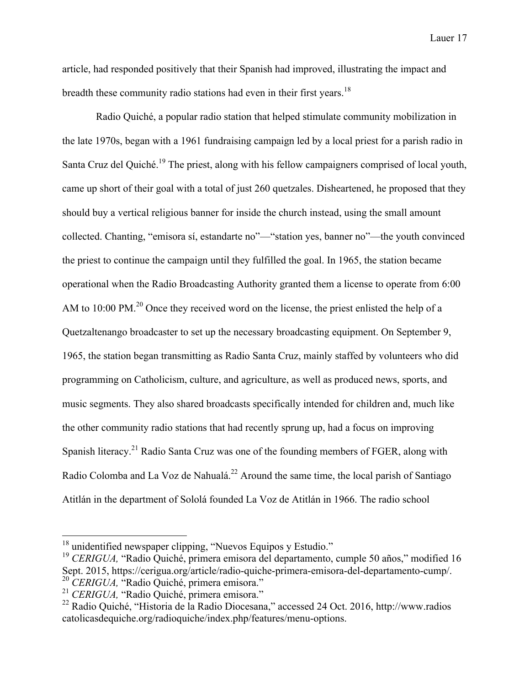article, had responded positively that their Spanish had improved, illustrating the impact and breadth these community radio stations had even in their first years.<sup>18</sup>

Radio Quiché, a popular radio station that helped stimulate community mobilization in the late 1970s, began with a 1961 fundraising campaign led by a local priest for a parish radio in Santa Cruz del Quiché.<sup>19</sup> The priest, along with his fellow campaigners comprised of local youth, came up short of their goal with a total of just 260 quetzales. Disheartened, he proposed that they should buy a vertical religious banner for inside the church instead, using the small amount collected. Chanting, "emisora sí, estandarte no"—"station yes, banner no"—the youth convinced the priest to continue the campaign until they fulfilled the goal. In 1965, the station became operational when the Radio Broadcasting Authority granted them a license to operate from 6:00 AM to 10:00 PM.<sup>20</sup> Once they received word on the license, the priest enlisted the help of a Quetzaltenango broadcaster to set up the necessary broadcasting equipment. On September 9, 1965, the station began transmitting as Radio Santa Cruz, mainly staffed by volunteers who did programming on Catholicism, culture, and agriculture, as well as produced news, sports, and music segments. They also shared broadcasts specifically intended for children and, much like the other community radio stations that had recently sprung up, had a focus on improving Spanish literacy.21 Radio Santa Cruz was one of the founding members of FGER, along with Radio Colomba and La Voz de Nahualá.<sup>22</sup> Around the same time, the local parish of Santiago Atitlán in the department of Sololá founded La Voz de Atitlán in 1966. The radio school

<sup>&</sup>lt;sup>18</sup> unidentified newspaper clipping, "Nuevos Equipos y Estudio."

<sup>&</sup>lt;sup>19</sup> *CERIGUA*, "Radio Quiché, primera emisora del departamento, cumple 50 años," modified 16 Sept. 2015, https://cerigua.org/article/radio-quiche-primera-emisora-del-departamento-cump/. <sup>20</sup> *CERIGUA,* "Radio Quiché, primera emisora."

<sup>21</sup> *CERIGUA,* "Radio Quiché, primera emisora."

<sup>22</sup> Radio Quiché, "Historia de la Radio Diocesana," accessed 24 Oct. 2016, http://www.radios catolicasdequiche.org/radioquiche/index.php/features/menu-options.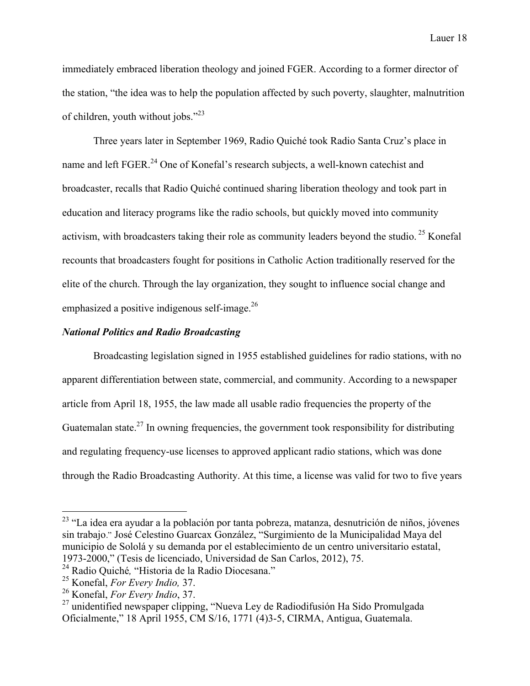immediately embraced liberation theology and joined FGER. According to a former director of the station, "the idea was to help the population affected by such poverty, slaughter, malnutrition of children, youth without jobs."<sup>23</sup>

Three years later in September 1969, Radio Quiché took Radio Santa Cruz's place in name and left FGER.<sup>24</sup> One of Konefal's research subjects, a well-known catechist and broadcaster, recalls that Radio Quiché continued sharing liberation theology and took part in education and literacy programs like the radio schools, but quickly moved into community activism, with broadcasters taking their role as community leaders beyond the studio.<sup>25</sup> Konefal recounts that broadcasters fought for positions in Catholic Action traditionally reserved for the elite of the church. Through the lay organization, they sought to influence social change and emphasized a positive indigenous self-image. $^{26}$ 

# *National Politics and Radio Broadcasting*

Broadcasting legislation signed in 1955 established guidelines for radio stations, with no apparent differentiation between state, commercial, and community. According to a newspaper article from April 18, 1955, the law made all usable radio frequencies the property of the Guatemalan state.<sup>27</sup> In owning frequencies, the government took responsibility for distributing and regulating frequency-use licenses to approved applicant radio stations, which was done through the Radio Broadcasting Authority. At this time, a license was valid for two to five years

 $^{23}$  "La idea era ayudar a la población por tanta pobreza, matanza, desnutrición de niños, jóvenes sin trabajo." José Celestino Guarcax González, "Surgimiento de la Municipalidad Maya del municipio de Sololá y su demanda por el establecimiento de un centro universitario estatal, 1973-2000," (Tesis de licenciado, Universidad de San Carlos, 2012), 75.

<sup>24</sup> Radio Quiché*,* "Historia de la Radio Diocesana."

<sup>25</sup> Konefal, *For Every Indio,* 37.

<sup>26</sup> Konefal, *For Every Indio*, 37.

<sup>27</sup> unidentified newspaper clipping, "Nueva Ley de Radiodifusión Ha Sido Promulgada Oficialmente," 18 April 1955, CM S/16, 1771 (4)3-5, CIRMA, Antigua, Guatemala.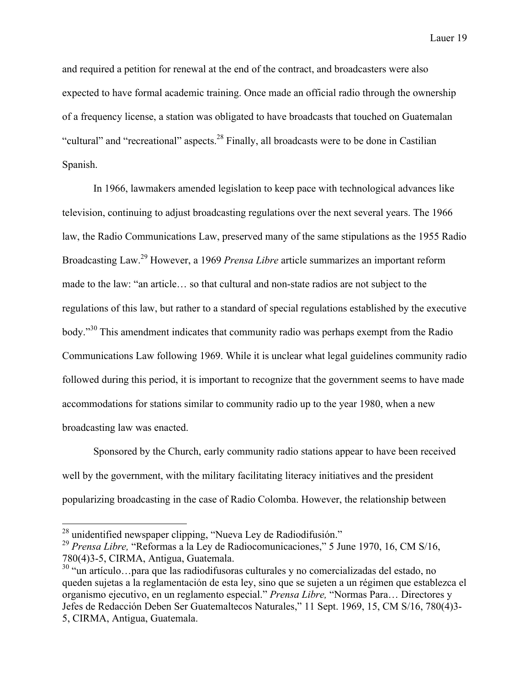and required a petition for renewal at the end of the contract, and broadcasters were also expected to have formal academic training. Once made an official radio through the ownership of a frequency license, a station was obligated to have broadcasts that touched on Guatemalan "cultural" and "recreational" aspects.<sup>28</sup> Finally, all broadcasts were to be done in Castilian Spanish.

In 1966, lawmakers amended legislation to keep pace with technological advances like television, continuing to adjust broadcasting regulations over the next several years. The 1966 law, the Radio Communications Law, preserved many of the same stipulations as the 1955 Radio Broadcasting Law. <sup>29</sup> However, a 1969 *Prensa Libre* article summarizes an important reform made to the law: "an article… so that cultural and non-state radios are not subject to the regulations of this law, but rather to a standard of special regulations established by the executive body."<sup>30</sup> This amendment indicates that community radio was perhaps exempt from the Radio Communications Law following 1969. While it is unclear what legal guidelines community radio followed during this period, it is important to recognize that the government seems to have made accommodations for stations similar to community radio up to the year 1980, when a new broadcasting law was enacted.

Sponsored by the Church, early community radio stations appear to have been received well by the government, with the military facilitating literacy initiatives and the president popularizing broadcasting in the case of Radio Colomba. However, the relationship between

 <sup>28</sup> unidentified newspaper clipping, "Nueva Ley de Radiodifusión."

<sup>29</sup> *Prensa Libre,* "Reformas a la Ley de Radiocomunicaciones," 5 June 1970, 16, CM S/16, 780(4)3-5, CIRMA, Antigua, Guatemala. <sup>30</sup> "un artículo…para que las radiodifusoras culturales y no comercializadas del estado, no

queden sujetas a la reglamentación de esta ley, sino que se sujeten a un régimen que establezca el organismo ejecutivo, en un reglamento especial." *Prensa Libre,* "Normas Para… Directores y Jefes de Redacción Deben Ser Guatemaltecos Naturales," 11 Sept. 1969, 15, CM S/16, 780(4)3- 5, CIRMA, Antigua, Guatemala.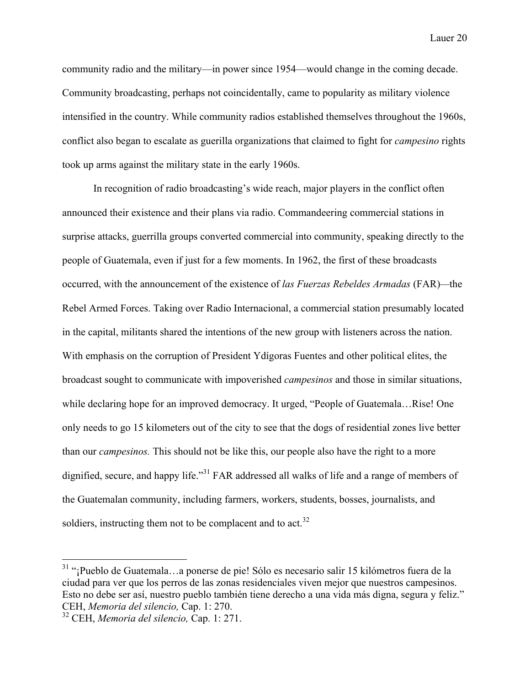community radio and the military—in power since 1954—would change in the coming decade. Community broadcasting, perhaps not coincidentally, came to popularity as military violence intensified in the country. While community radios established themselves throughout the 1960s, conflict also began to escalate as guerilla organizations that claimed to fight for *campesino* rights took up arms against the military state in the early 1960s.

In recognition of radio broadcasting's wide reach, major players in the conflict often announced their existence and their plans via radio. Commandeering commercial stations in surprise attacks, guerrilla groups converted commercial into community, speaking directly to the people of Guatemala, even if just for a few moments. In 1962, the first of these broadcasts occurred, with the announcement of the existence of *las Fuerzas Rebeldes Armadas* (FAR)*—*the Rebel Armed Forces. Taking over Radio Internacional, a commercial station presumably located in the capital, militants shared the intentions of the new group with listeners across the nation. With emphasis on the corruption of President Ydígoras Fuentes and other political elites, the broadcast sought to communicate with impoverished *campesinos* and those in similar situations, while declaring hope for an improved democracy. It urged, "People of Guatemala…Rise! One only needs to go 15 kilometers out of the city to see that the dogs of residential zones live better than our *campesinos.* This should not be like this, our people also have the right to a more dignified, secure, and happy life."<sup>31</sup> FAR addressed all walks of life and a range of members of the Guatemalan community, including farmers, workers, students, bosses, journalists, and soldiers, instructing them not to be complacent and to act. $32$ 

 <sup>31</sup> "¡Pueblo de Guatemala…a ponerse de pie! Sólo es necesario salir 15 kilómetros fuera de la ciudad para ver que los perros de las zonas residenciales viven mejor que nuestros campesinos. Esto no debe ser así, nuestro pueblo también tiene derecho a una vida más digna, segura y feliz." CEH, *Memoria del silencio,* Cap. 1: 270.

<sup>32</sup> CEH, *Memoria del silencio,* Cap. 1: 271.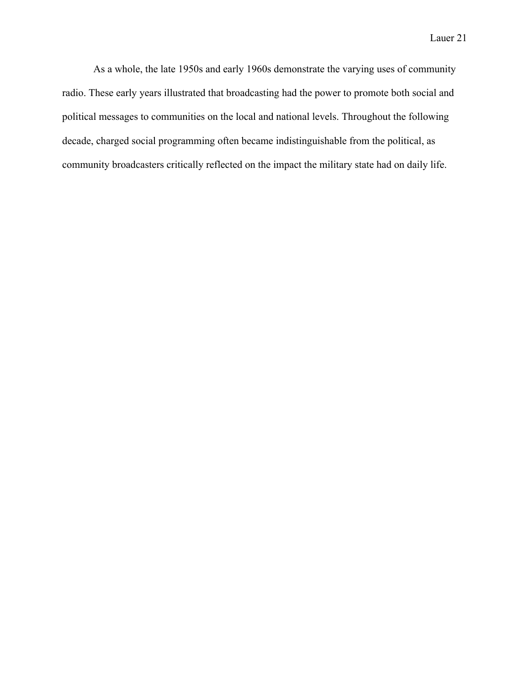As a whole, the late 1950s and early 1960s demonstrate the varying uses of community radio. These early years illustrated that broadcasting had the power to promote both social and political messages to communities on the local and national levels. Throughout the following decade, charged social programming often became indistinguishable from the political, as community broadcasters critically reflected on the impact the military state had on daily life.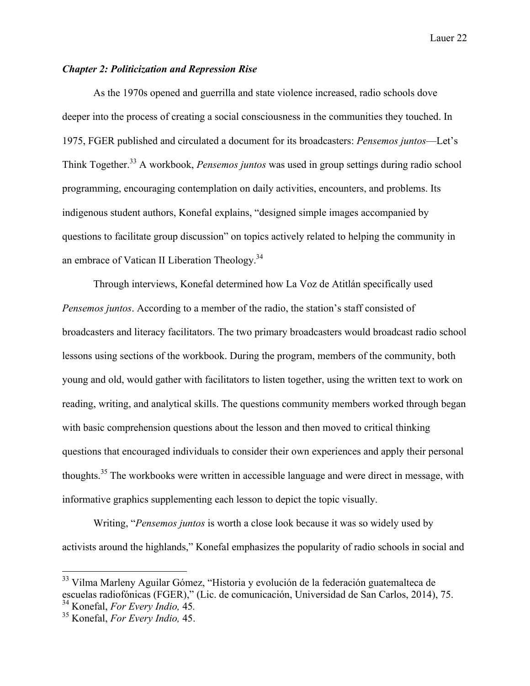## *Chapter 2: Politicization and Repression Rise*

As the 1970s opened and guerrilla and state violence increased, radio schools dove deeper into the process of creating a social consciousness in the communities they touched. In 1975, FGER published and circulated a document for its broadcasters: *Pensemos juntos*—Let's Think Together.<sup>33</sup> A workbook, *Pensemos juntos* was used in group settings during radio school programming, encouraging contemplation on daily activities, encounters, and problems. Its indigenous student authors, Konefal explains, "designed simple images accompanied by questions to facilitate group discussion" on topics actively related to helping the community in an embrace of Vatican II Liberation Theology.<sup>34</sup>

Through interviews, Konefal determined how La Voz de Atitlán specifically used *Pensemos juntos*. According to a member of the radio, the station's staff consisted of broadcasters and literacy facilitators. The two primary broadcasters would broadcast radio school lessons using sections of the workbook. During the program, members of the community, both young and old, would gather with facilitators to listen together, using the written text to work on reading, writing, and analytical skills. The questions community members worked through began with basic comprehension questions about the lesson and then moved to critical thinking questions that encouraged individuals to consider their own experiences and apply their personal thoughts.<sup>35</sup> The workbooks were written in accessible language and were direct in message, with informative graphics supplementing each lesson to depict the topic visually.

Writing, "*Pensemos juntos* is worth a close look because it was so widely used by activists around the highlands," Konefal emphasizes the popularity of radio schools in social and

 <sup>33</sup> Vilma Marleny Aguilar Gómez, "Historia y evolución de la federación guatemalteca de escuelas radiofónicas (FGER)," (Lic. de comunicación, Universidad de San Carlos, 2014), 75.<br><sup>34</sup> Konefal, *For Every Indio*, 45.

<sup>34</sup> Konefal, *For Every Indio,* 45*.* <sup>35</sup> Konefal, *For Every Indio,* 45.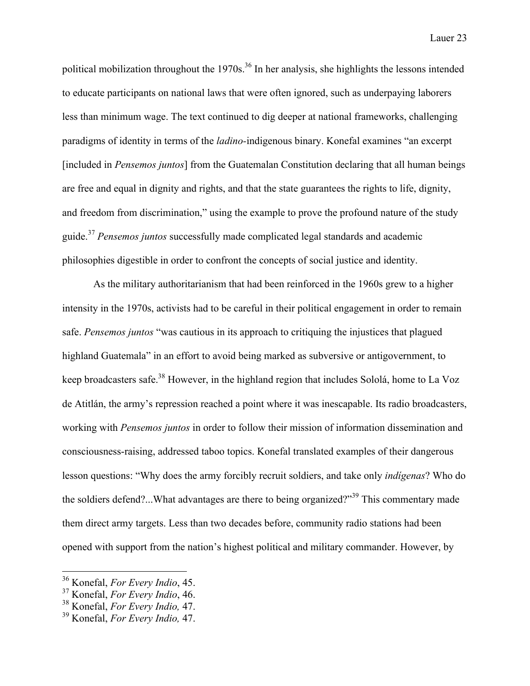political mobilization throughout the  $1970s<sup>36</sup>$  In her analysis, she highlights the lessons intended to educate participants on national laws that were often ignored, such as underpaying laborers less than minimum wage. The text continued to dig deeper at national frameworks, challenging paradigms of identity in terms of the *ladino-*indigenous binary. Konefal examines "an excerpt [included in *Pensemos juntos*] from the Guatemalan Constitution declaring that all human beings are free and equal in dignity and rights, and that the state guarantees the rights to life, dignity, and freedom from discrimination," using the example to prove the profound nature of the study guide.<sup>37</sup> *Pensemos juntos* successfully made complicated legal standards and academic philosophies digestible in order to confront the concepts of social justice and identity.

As the military authoritarianism that had been reinforced in the 1960s grew to a higher intensity in the 1970s, activists had to be careful in their political engagement in order to remain safe. *Pensemos juntos* "was cautious in its approach to critiquing the injustices that plagued highland Guatemala" in an effort to avoid being marked as subversive or antigovernment, to keep broadcasters safe.<sup>38</sup> However, in the highland region that includes Sololá, home to La Voz de Atitlán, the army's repression reached a point where it was inescapable. Its radio broadcasters, working with *Pensemos juntos* in order to follow their mission of information dissemination and consciousness-raising, addressed taboo topics. Konefal translated examples of their dangerous lesson questions: "Why does the army forcibly recruit soldiers, and take only *indígenas*? Who do the soldiers defend?...What advantages are there to being organized?"<sup>39</sup> This commentary made them direct army targets. Less than two decades before, community radio stations had been opened with support from the nation's highest political and military commander. However, by

 <sup>36</sup> Konefal, *For Every Indio*, 45.

<sup>37</sup> Konefal, *For Every Indio*, 46.

<sup>38</sup> Konefal, *For Every Indio,* 47.

<sup>39</sup> Konefal, *For Every Indio,* 47.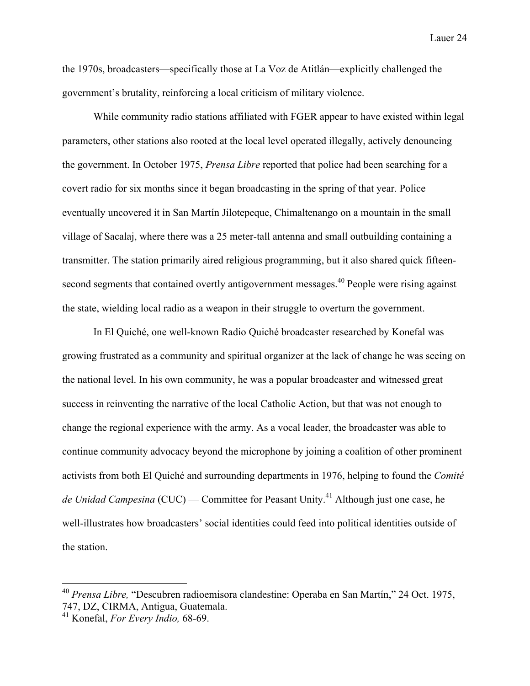the 1970s, broadcasters—specifically those at La Voz de Atitlán—explicitly challenged the government's brutality, reinforcing a local criticism of military violence.

While community radio stations affiliated with FGER appear to have existed within legal parameters, other stations also rooted at the local level operated illegally, actively denouncing the government. In October 1975, *Prensa Libre* reported that police had been searching for a covert radio for six months since it began broadcasting in the spring of that year. Police eventually uncovered it in San Martín Jilotepeque, Chimaltenango on a mountain in the small village of Sacalaj, where there was a 25 meter-tall antenna and small outbuilding containing a transmitter. The station primarily aired religious programming, but it also shared quick fifteensecond segments that contained overtly antigovernment messages.<sup>40</sup> People were rising against the state, wielding local radio as a weapon in their struggle to overturn the government.

In El Quiché, one well-known Radio Quiché broadcaster researched by Konefal was growing frustrated as a community and spiritual organizer at the lack of change he was seeing on the national level. In his own community, he was a popular broadcaster and witnessed great success in reinventing the narrative of the local Catholic Action, but that was not enough to change the regional experience with the army. As a vocal leader, the broadcaster was able to continue community advocacy beyond the microphone by joining a coalition of other prominent activists from both El Quiché and surrounding departments in 1976, helping to found the *Comité de Unidad Campesina* (CUC) — Committee for Peasant Unity.<sup>41</sup> Although just one case, he well-illustrates how broadcasters' social identities could feed into political identities outside of the station.

 <sup>40</sup> *Prensa Libre,* "Descubren radioemisora clandestine: Operaba en San Martín," 24 Oct. 1975, 747, DZ, CIRMA, Antigua, Guatemala.

<sup>41</sup> Konefal, *For Every Indio,* 68-69.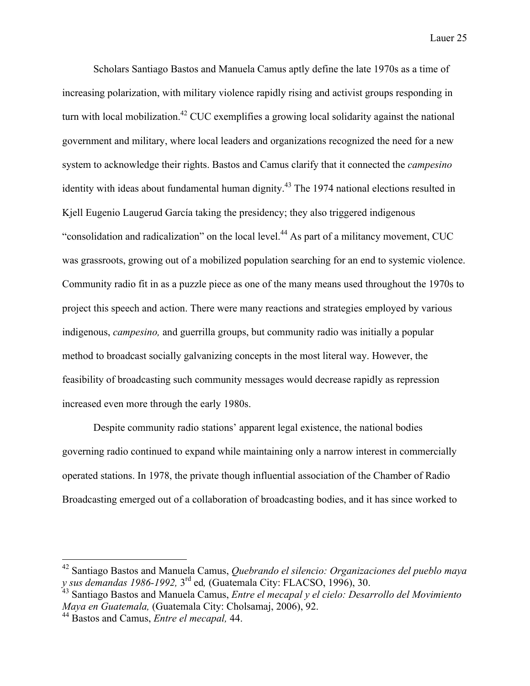Scholars Santiago Bastos and Manuela Camus aptly define the late 1970s as a time of increasing polarization, with military violence rapidly rising and activist groups responding in turn with local mobilization.<sup>42</sup> CUC exemplifies a growing local solidarity against the national government and military, where local leaders and organizations recognized the need for a new system to acknowledge their rights. Bastos and Camus clarify that it connected the *campesino*  identity with ideas about fundamental human dignity.<sup>43</sup> The 1974 national elections resulted in Kjell Eugenio Laugerud García taking the presidency; they also triggered indigenous "consolidation and radicalization" on the local level.<sup>44</sup> As part of a militancy movement, CUC was grassroots, growing out of a mobilized population searching for an end to systemic violence. Community radio fit in as a puzzle piece as one of the many means used throughout the 1970s to project this speech and action. There were many reactions and strategies employed by various indigenous, *campesino,* and guerrilla groups, but community radio was initially a popular method to broadcast socially galvanizing concepts in the most literal way. However, the feasibility of broadcasting such community messages would decrease rapidly as repression increased even more through the early 1980s.

Despite community radio stations' apparent legal existence, the national bodies governing radio continued to expand while maintaining only a narrow interest in commercially operated stations. In 1978, the private though influential association of the Chamber of Radio Broadcasting emerged out of a collaboration of broadcasting bodies, and it has since worked to

 <sup>42</sup> Santiago Bastos and Manuela Camus, *Quebrando el silencio: Organizaciones del pueblo maya y sus demandas 1986-1992,* 3rd ed*,* (Guatemala City: FLACSO, 1996), 30.

<sup>43</sup> Santiago Bastos and Manuela Camus, *Entre el mecapal y el cielo: Desarrollo del Movimiento Maya en Guatemala,* (Guatemala City: Cholsamaj, 2006), 92.

<sup>44</sup> Bastos and Camus, *Entre el mecapal,* 44.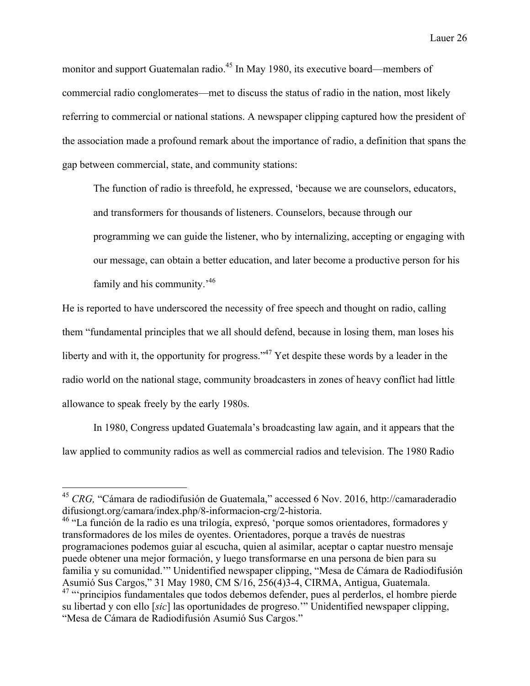monitor and support Guatemalan radio.<sup>45</sup> In May 1980, its executive board—members of commercial radio conglomerates—met to discuss the status of radio in the nation, most likely referring to commercial or national stations. A newspaper clipping captured how the president of the association made a profound remark about the importance of radio, a definition that spans the gap between commercial, state, and community stations:

The function of radio is threefold, he expressed, 'because we are counselors, educators, and transformers for thousands of listeners. Counselors, because through our programming we can guide the listener, who by internalizing, accepting or engaging with our message, can obtain a better education, and later become a productive person for his family and his community.<sup>'46</sup>

He is reported to have underscored the necessity of free speech and thought on radio, calling them "fundamental principles that we all should defend, because in losing them, man loses his liberty and with it, the opportunity for progress."<sup>47</sup> Yet despite these words by a leader in the radio world on the national stage, community broadcasters in zones of heavy conflict had little allowance to speak freely by the early 1980s.

In 1980, Congress updated Guatemala's broadcasting law again, and it appears that the law applied to community radios as well as commercial radios and television. The 1980 Radio

<sup>&</sup>lt;sup>45</sup> *CRG*, "Cámara de radiodifusión de Guatemala," accessed 6 Nov. 2016, http://camaraderadio difusiongt.org/camara/index.php/8-informacion-crg/2-historia.

<sup>&</sup>lt;sup>46</sup> "La función de la radio es una trilogía, expresó, 'porque somos orientadores, formadores y transformadores de los miles de oyentes. Orientadores, porque a través de nuestras programaciones podemos guiar al escucha, quien al asimilar, aceptar o captar nuestro mensaje puede obtener una mejor formación, y luego transformarse en una persona de bien para su familia y su comunidad.'" Unidentified newspaper clipping, "Mesa de Cámara de Radiodifusión Asumió Sus Cargos," 31 May 1980, CM S/16, 256(4)3-4, CIRMA, Antigua, Guatemala. <sup>47</sup> "'principios fundamentales que todos debemos defender, pues al perderlos, el hombre pierde su libertad y con ello [*sic*] las oportunidades de progreso.'" Unidentified newspaper clipping, "Mesa de Cámara de Radiodifusión Asumió Sus Cargos."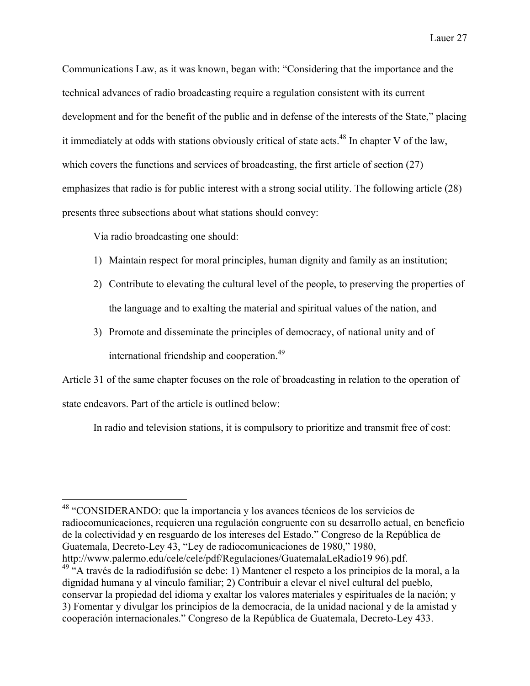Communications Law, as it was known, began with: "Considering that the importance and the technical advances of radio broadcasting require a regulation consistent with its current development and for the benefit of the public and in defense of the interests of the State," placing it immediately at odds with stations obviously critical of state acts.<sup>48</sup> In chapter V of the law, which covers the functions and services of broadcasting, the first article of section (27) emphasizes that radio is for public interest with a strong social utility. The following article (28) presents three subsections about what stations should convey:

Via radio broadcasting one should:

- 1) Maintain respect for moral principles, human dignity and family as an institution;
- 2) Contribute to elevating the cultural level of the people, to preserving the properties of the language and to exalting the material and spiritual values of the nation, and
- 3) Promote and disseminate the principles of democracy, of national unity and of international friendship and cooperation.<sup>49</sup>

Article 31 of the same chapter focuses on the role of broadcasting in relation to the operation of state endeavors. Part of the article is outlined below:

In radio and television stations, it is compulsory to prioritize and transmit free of cost:

 <sup>48</sup> "CONSIDERANDO: que la importancia y los avances técnicos de los servicios de radiocomunicaciones, requieren una regulación congruente con su desarrollo actual, en beneficio de la colectividad y en resguardo de los intereses del Estado." Congreso de la República de Guatemala, Decreto-Ley 43, "Ley de radiocomunicaciones de 1980," 1980,

http://www.palermo.edu/cele/cele/pdf/Regulaciones/GuatemalaLeRadio19 96).pdf.

<sup>&</sup>lt;sup>49 "A</sup> través de la radiodifusión se debe: 1) Mantener el respeto a los principios de la moral, a la dignidad humana y al vinculo familiar; 2) Contribuir a elevar el nivel cultural del pueblo, conservar la propiedad del idioma y exaltar los valores materiales y espirituales de la nación; y 3) Fomentar y divulgar los principios de la democracia, de la unidad nacional y de la amistad y cooperación internacionales." Congreso de la República de Guatemala, Decreto-Ley 433.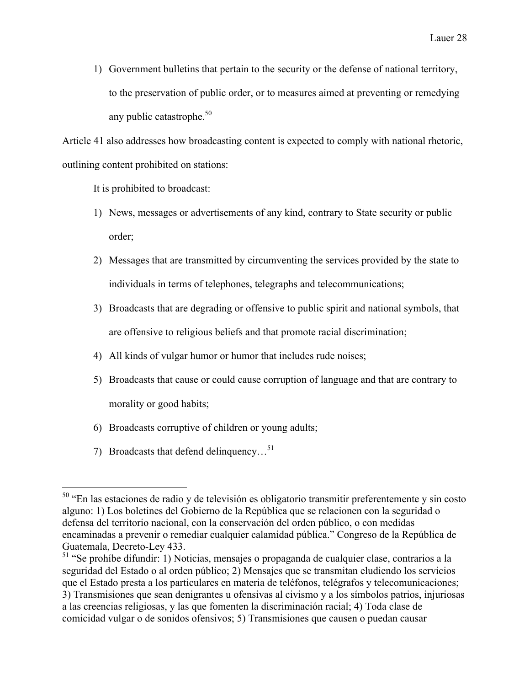1) Government bulletins that pertain to the security or the defense of national territory, to the preservation of public order, or to measures aimed at preventing or remedying any public catastrophe. $50$ 

Article 41 also addresses how broadcasting content is expected to comply with national rhetoric, outlining content prohibited on stations:

It is prohibited to broadcast:

- 1) News, messages or advertisements of any kind, contrary to State security or public order;
- 2) Messages that are transmitted by circumventing the services provided by the state to individuals in terms of telephones, telegraphs and telecommunications;
- 3) Broadcasts that are degrading or offensive to public spirit and national symbols, that are offensive to religious beliefs and that promote racial discrimination;
- 4) All kinds of vulgar humor or humor that includes rude noises;
- 5) Broadcasts that cause or could cause corruption of language and that are contrary to morality or good habits;
- 6) Broadcasts corruptive of children or young adults;
- 7) Broadcasts that defend delinquency... $^{51}$

 <sup>50</sup> "En las estaciones de radio y de televisión es obligatorio transmitir preferentemente y sin costo alguno: 1) Los boletines del Gobierno de la República que se relacionen con la seguridad o defensa del territorio nacional, con la conservación del orden público, o con medidas encaminadas a prevenir o remediar cualquier calamidad pública." Congreso de la República de Guatemala, Decreto-Ley 433.

<sup>&</sup>lt;sup>51</sup> "Se prohíbe difundir: 1) Noticias, mensajes o propaganda de cualquier clase, contrarios a la seguridad del Estado o al orden público; 2) Mensajes que se transmitan eludiendo los servicios que el Estado presta a los particulares en materia de teléfonos, telégrafos y telecomunicaciones; 3) Transmisiones que sean denigrantes u ofensivas al civismo y a los símbolos patrios, injuriosas a las creencias religiosas, y las que fomenten la discriminación racial; 4) Toda clase de comicidad vulgar o de sonidos ofensivos; 5) Transmisiones que causen o puedan causar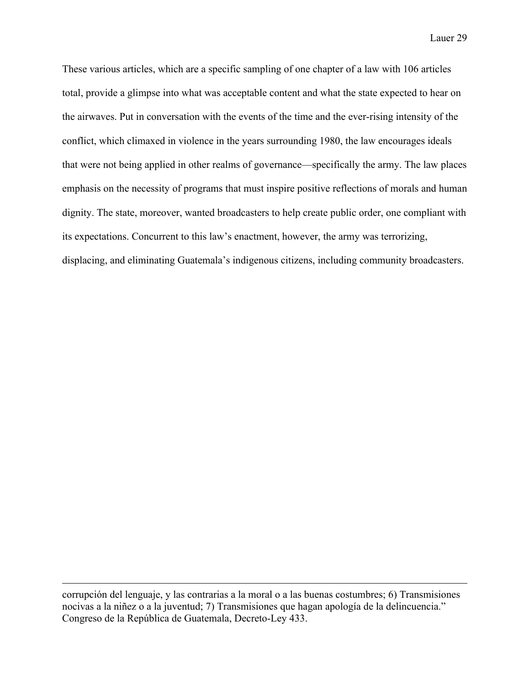These various articles, which are a specific sampling of one chapter of a law with 106 articles total, provide a glimpse into what was acceptable content and what the state expected to hear on the airwaves. Put in conversation with the events of the time and the ever-rising intensity of the conflict, which climaxed in violence in the years surrounding 1980, the law encourages ideals that were not being applied in other realms of governance—specifically the army. The law places emphasis on the necessity of programs that must inspire positive reflections of morals and human dignity. The state, moreover, wanted broadcasters to help create public order, one compliant with its expectations. Concurrent to this law's enactment, however, the army was terrorizing, displacing, and eliminating Guatemala's indigenous citizens, including community broadcasters.

corrupción del lenguaje, y las contrarias a la moral o a las buenas costumbres; 6) Transmisiones nocivas a la niñez o a la juventud; 7) Transmisiones que hagan apología de la delincuencia." Congreso de la República de Guatemala, Decreto-Ley 433.

 $\overline{a}$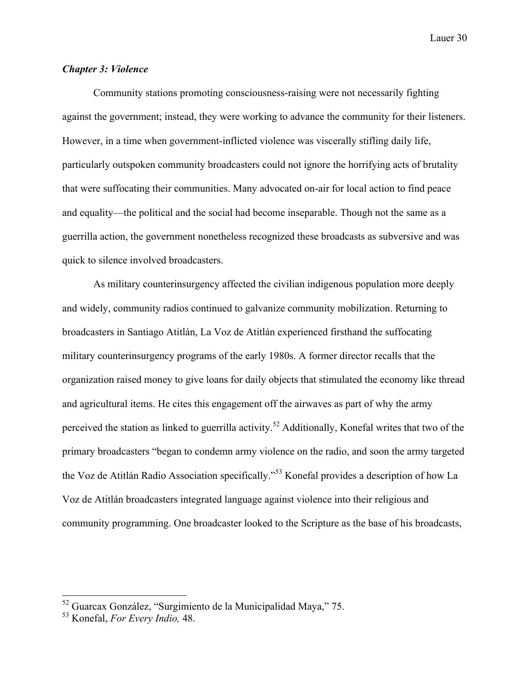# *Chapter 3: Violence*

Community stations promoting consciousness-raising were not necessarily fighting against the government; instead, they were working to advance the community for their listeners. However, in a time when government-inflicted violence was viscerally stifling daily life, particularly outspoken community broadcasters could not ignore the horrifying acts of brutality that were suffocating their communities. Many advocated on-air for local action to find peace and equality—the political and the social had become inseparable. Though not the same as a guerrilla action, the government nonetheless recognized these broadcasts as subversive and was quick to silence involved broadcasters.

As military counterinsurgency affected the civilian indigenous population more deeply and widely, community radios continued to galvanize community mobilization. Returning to broadcasters in Santiago Atitlán, La Voz de Atitlán experienced firsthand the suffocating military counterinsurgency programs of the early 1980s. A former director recalls that the organization raised money to give loans for daily objects that stimulated the economy like thread and agricultural items. He cites this engagement off the airwaves as part of why the army perceived the station as linked to guerrilla activity.<sup>52</sup> Additionally, Konefal writes that two of the primary broadcasters "began to condemn army violence on the radio, and soon the army targeted the Voz de Atitlán Radio Association specifically."<sup>53</sup> Konefal provides a description of how La Voz de Atitlán broadcasters integrated language against violence into their religious and community programming. One broadcaster looked to the Scripture as the base of his broadcasts,

 <sup>52</sup> Guarcax González, "Surgimiento de la Municipalidad Maya," 75.

<sup>53</sup> Konefal, *For Every Indio,* 48.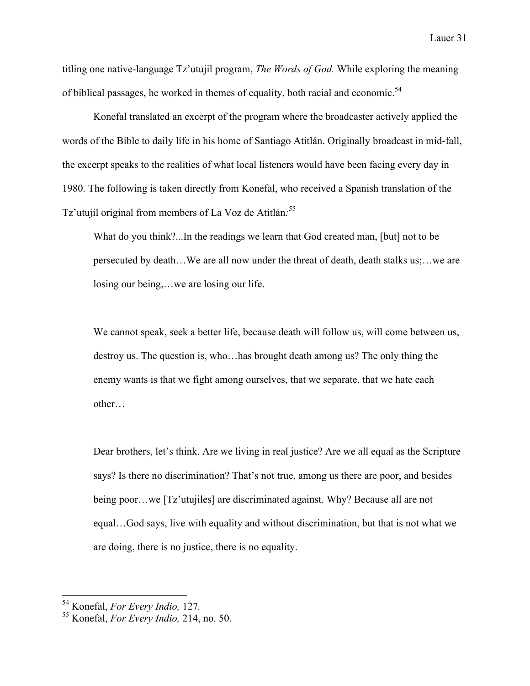titling one native-language Tz'utujil program, *The Words of God.* While exploring the meaning of biblical passages, he worked in themes of equality, both racial and economic.<sup>54</sup>

Konefal translated an excerpt of the program where the broadcaster actively applied the words of the Bible to daily life in his home of Santiago Atitlán. Originally broadcast in mid-fall, the excerpt speaks to the realities of what local listeners would have been facing every day in 1980. The following is taken directly from Konefal, who received a Spanish translation of the Tz'utujil original from members of La Voz de Atitlán*:* 55

What do you think?...In the readings we learn that God created man, [but] not to be persecuted by death…We are all now under the threat of death, death stalks us;…we are losing our being,…we are losing our life.

We cannot speak, seek a better life, because death will follow us, will come between us, destroy us. The question is, who…has brought death among us? The only thing the enemy wants is that we fight among ourselves, that we separate, that we hate each other…

Dear brothers, let's think. Are we living in real justice? Are we all equal as the Scripture says? Is there no discrimination? That's not true, among us there are poor, and besides being poor…we [Tz'utujiles] are discriminated against. Why? Because all are not equal…God says, live with equality and without discrimination, but that is not what we are doing, there is no justice, there is no equality.

<sup>54</sup> Konefal, *For Every Indio,* 127*.* <sup>55</sup> Konefal, *For Every Indio,* 214, no. 50.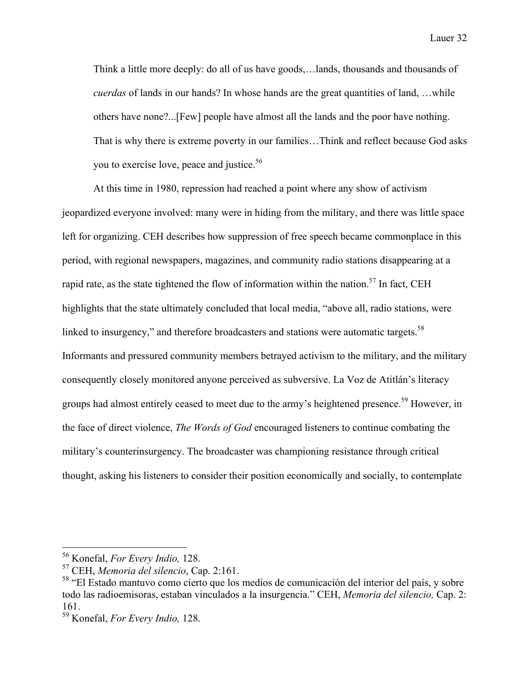Think a little more deeply: do all of us have goods,…lands, thousands and thousands of *cuerdas* of lands in our hands? In whose hands are the great quantities of land, …while others have none?...[Few] people have almost all the lands and the poor have nothing. That is why there is extreme poverty in our families…Think and reflect because God asks you to exercise love, peace and justice.<sup>56</sup>

At this time in 1980, repression had reached a point where any show of activism jeopardized everyone involved: many were in hiding from the military, and there was little space left for organizing. CEH describes how suppression of free speech became commonplace in this period, with regional newspapers, magazines, and community radio stations disappearing at a rapid rate, as the state tightened the flow of information within the nation.<sup>57</sup> In fact, CEH highlights that the state ultimately concluded that local media, "above all, radio stations, were linked to insurgency," and therefore broadcasters and stations were automatic targets.<sup>58</sup> Informants and pressured community members betrayed activism to the military, and the military consequently closely monitored anyone perceived as subversive. La Voz de Atitlán's literacy groups had almost entirely ceased to meet due to the army's heightened presence.<sup>59</sup> However, in the face of direct violence, *The Words of God* encouraged listeners to continue combating the military's counterinsurgency. The broadcaster was championing resistance through critical thought, asking his listeners to consider their position economically and socially, to contemplate

 <sup>56</sup> Konefal, *For Every Indio,* 128.

<sup>57</sup> CEH, *Memoria del silencio*, Cap. 2:161.

<sup>58</sup> "El Estado mantuvo como cierto que los medios de comunicación del interior del país, y sobre todo las radioemisoras, estaban vinculados a la insurgencia." CEH, *Memoria del silencio,* Cap. 2: 161.

<sup>59</sup> Konefal, *For Every Indio,* 128.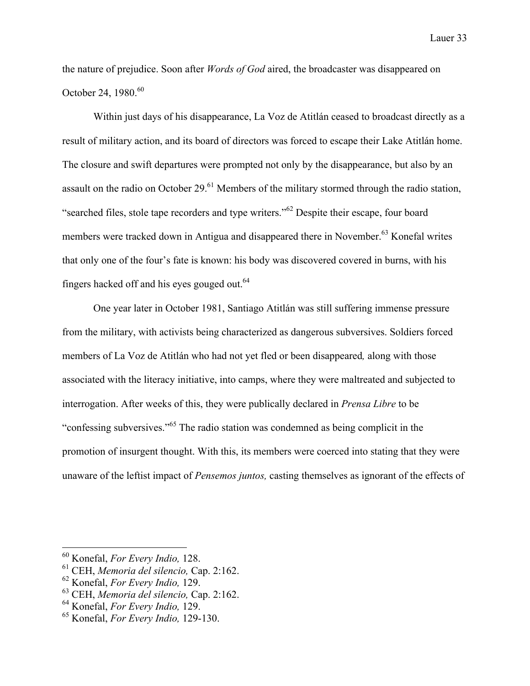the nature of prejudice. Soon after *Words of God* aired, the broadcaster was disappeared on October 24, 1980. 60

Within just days of his disappearance, La Voz de Atitlán ceased to broadcast directly as a result of military action, and its board of directors was forced to escape their Lake Atitlán home. The closure and swift departures were prompted not only by the disappearance, but also by an assault on the radio on October 29. $^{61}$  Members of the military stormed through the radio station, "searched files, stole tape recorders and type writers."<sup>62</sup> Despite their escape, four board members were tracked down in Antigua and disappeared there in November.<sup>63</sup> Konefal writes that only one of the four's fate is known: his body was discovered covered in burns, with his fingers hacked off and his eyes gouged out.64

One year later in October 1981, Santiago Atitlán was still suffering immense pressure from the military, with activists being characterized as dangerous subversives. Soldiers forced members of La Voz de Atitlán who had not yet fled or been disappeared*,* along with those associated with the literacy initiative, into camps, where they were maltreated and subjected to interrogation. After weeks of this, they were publically declared in *Prensa Libre* to be "confessing subversives."<sup>65</sup> The radio station was condemned as being complicit in the promotion of insurgent thought. With this, its members were coerced into stating that they were unaware of the leftist impact of *Pensemos juntos,* casting themselves as ignorant of the effects of

 <sup>60</sup> Konefal, *For Every Indio,* 128.

<sup>61</sup> CEH, *Memoria del silencio,* Cap. 2:162.

<sup>62</sup> Konefal, *For Every Indio,* 129.

<sup>63</sup> CEH, *Memoria del silencio,* Cap. 2:162.

<sup>64</sup> Konefal, *For Every Indio,* 129.

<sup>65</sup> Konefal, *For Every Indio,* 129-130.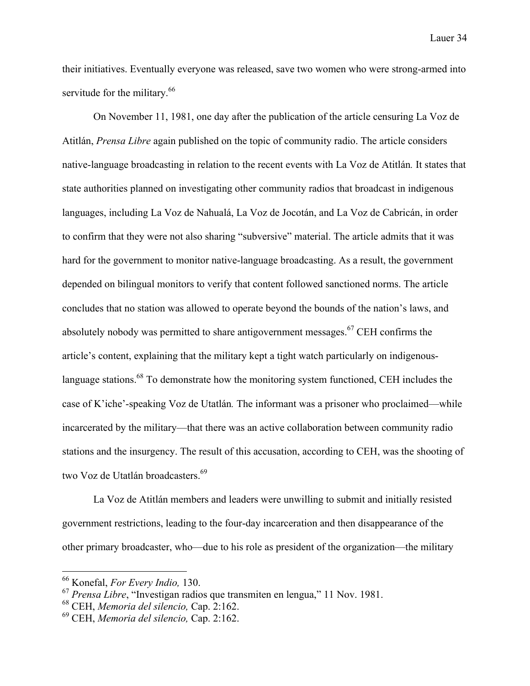their initiatives. Eventually everyone was released, save two women who were strong-armed into servitude for the military.<sup>66</sup>

On November 11, 1981, one day after the publication of the article censuring La Voz de Atitlán, *Prensa Libre* again published on the topic of community radio. The article considers native-language broadcasting in relation to the recent events with La Voz de Atitlán*.* It states that state authorities planned on investigating other community radios that broadcast in indigenous languages, including La Voz de Nahualá, La Voz de Jocotán, and La Voz de Cabricán, in order to confirm that they were not also sharing "subversive" material. The article admits that it was hard for the government to monitor native-language broadcasting. As a result, the government depended on bilingual monitors to verify that content followed sanctioned norms. The article concludes that no station was allowed to operate beyond the bounds of the nation's laws, and absolutely nobody was permitted to share antigovernment messages. $67$  CEH confirms the article's content, explaining that the military kept a tight watch particularly on indigenouslanguage stations.<sup>68</sup> To demonstrate how the monitoring system functioned, CEH includes the case of K'iche'-speaking Voz de Utatlán*.* The informant was a prisoner who proclaimed—while incarcerated by the military—that there was an active collaboration between community radio stations and the insurgency. The result of this accusation, according to CEH, was the shooting of two Voz de Utatlán broadcasters.<sup>69</sup>

La Voz de Atitlán members and leaders were unwilling to submit and initially resisted government restrictions, leading to the four-day incarceration and then disappearance of the other primary broadcaster, who—due to his role as president of the organization—the military

 <sup>66</sup> Konefal, *For Every Indio,* 130.

<sup>67</sup> *Prensa Libre*, "Investigan radios que transmiten en lengua," 11 Nov. 1981.

<sup>68</sup> CEH, *Memoria del silencio,* Cap. 2:162.

<sup>69</sup> CEH, *Memoria del silencio,* Cap. 2:162.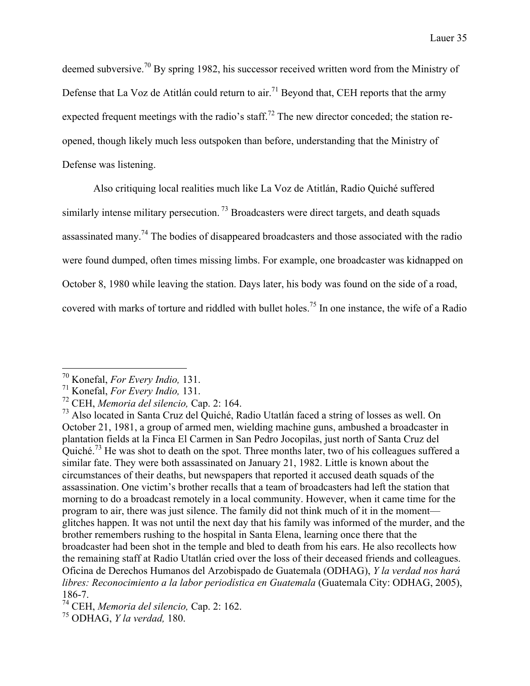deemed subversive.<sup>70</sup> By spring 1982, his successor received written word from the Ministry of Defense that La Voz de Atitlán could return to air.<sup>71</sup> Beyond that, CEH reports that the army expected frequent meetings with the radio's staff.<sup>72</sup> The new director conceded; the station reopened, though likely much less outspoken than before, understanding that the Ministry of Defense was listening.

Also critiquing local realities much like La Voz de Atitlán, Radio Quiché suffered similarly intense military persecution.<sup>73</sup> Broadcasters were direct targets, and death squads assassinated many.<sup>74</sup> The bodies of disappeared broadcasters and those associated with the radio were found dumped, often times missing limbs. For example, one broadcaster was kidnapped on October 8, 1980 while leaving the station. Days later, his body was found on the side of a road, covered with marks of torture and riddled with bullet holes.<sup>75</sup> In one instance, the wife of a Radio

 <sup>70</sup> Konefal, *For Every Indio,* 131.

<sup>71</sup> Konefal, *For Every Indio,* 131.

<sup>72</sup> CEH, *Memoria del silencio,* Cap. 2: 164.

 $^{73}$  Also located in Santa Cruz del Quiché, Radio Utatlán faced a string of losses as well. On October 21, 1981, a group of armed men, wielding machine guns, ambushed a broadcaster in plantation fields at la Finca El Carmen in San Pedro Jocopilas, just north of Santa Cruz del Quiché.<sup>73</sup> He was shot to death on the spot. Three months later, two of his colleagues suffered a similar fate. They were both assassinated on January 21, 1982. Little is known about the circumstances of their deaths, but newspapers that reported it accused death squads of the assassination. One victim's brother recalls that a team of broadcasters had left the station that morning to do a broadcast remotely in a local community. However, when it came time for the program to air, there was just silence. The family did not think much of it in the moment glitches happen. It was not until the next day that his family was informed of the murder, and the brother remembers rushing to the hospital in Santa Elena, learning once there that the broadcaster had been shot in the temple and bled to death from his ears. He also recollects how the remaining staff at Radio Utatlán cried over the loss of their deceased friends and colleagues. Oficina de Derechos Humanos del Arzobispado de Guatemala (ODHAG), *Y la verdad nos hará libres: Reconocimiento a la labor periodística en Guatemala* (Guatemala City: ODHAG, 2005), 186-7.

<sup>74</sup> CEH, *Memoria del silencio,* Cap. 2: 162.

<sup>75</sup> ODHAG, *Y la verdad,* 180.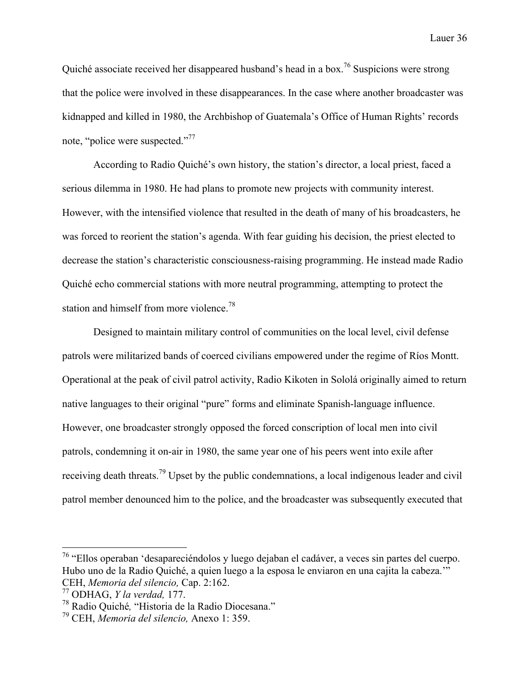Quiché associate received her disappeared husband's head in a box.<sup>76</sup> Suspicions were strong that the police were involved in these disappearances. In the case where another broadcaster was kidnapped and killed in 1980, the Archbishop of Guatemala's Office of Human Rights' records note, "police were suspected."<sup>77</sup>

According to Radio Quiché's own history, the station's director, a local priest, faced a serious dilemma in 1980. He had plans to promote new projects with community interest. However, with the intensified violence that resulted in the death of many of his broadcasters, he was forced to reorient the station's agenda. With fear guiding his decision, the priest elected to decrease the station's characteristic consciousness-raising programming. He instead made Radio Quiché echo commercial stations with more neutral programming, attempting to protect the station and himself from more violence.<sup>78</sup>

Designed to maintain military control of communities on the local level, civil defense patrols were militarized bands of coerced civilians empowered under the regime of Ríos Montt. Operational at the peak of civil patrol activity, Radio Kikoten in Sololá originally aimed to return native languages to their original "pure" forms and eliminate Spanish-language influence. However, one broadcaster strongly opposed the forced conscription of local men into civil patrols, condemning it on-air in 1980, the same year one of his peers went into exile after receiving death threats.<sup>79</sup> Upset by the public condemnations, a local indigenous leader and civil patrol member denounced him to the police, and the broadcaster was subsequently executed that

 <sup>76</sup> "Ellos operaban 'desapareciéndolos y luego dejaban el cadáver, a veces sin partes del cuerpo. Hubo uno de la Radio Quiché, a quien luego a la esposa le enviaron en una cajita la cabeza.'" CEH, *Memoria del silencio,* Cap. 2:162.

<sup>77</sup> ODHAG, *Y la verdad,* 177.

<sup>78</sup> Radio Quiché*,* "Historia de la Radio Diocesana."

<sup>79</sup> CEH, *Memoria del silencio,* Anexo 1: 359.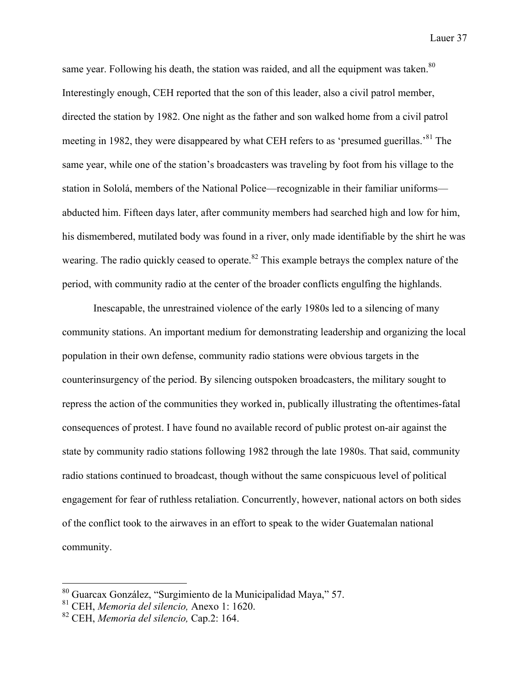same year. Following his death, the station was raided, and all the equipment was taken. $80$ Interestingly enough, CEH reported that the son of this leader, also a civil patrol member, directed the station by 1982. One night as the father and son walked home from a civil patrol meeting in 1982, they were disappeared by what CEH refers to as 'presumed guerillas.<sup>81</sup> The same year, while one of the station's broadcasters was traveling by foot from his village to the station in Sololá, members of the National Police—recognizable in their familiar uniforms abducted him. Fifteen days later, after community members had searched high and low for him, his dismembered, mutilated body was found in a river, only made identifiable by the shirt he was wearing. The radio quickly ceased to operate.<sup>82</sup> This example betrays the complex nature of the period, with community radio at the center of the broader conflicts engulfing the highlands.

Inescapable, the unrestrained violence of the early 1980s led to a silencing of many community stations. An important medium for demonstrating leadership and organizing the local population in their own defense, community radio stations were obvious targets in the counterinsurgency of the period. By silencing outspoken broadcasters, the military sought to repress the action of the communities they worked in, publically illustrating the oftentimes-fatal consequences of protest. I have found no available record of public protest on-air against the state by community radio stations following 1982 through the late 1980s. That said, community radio stations continued to broadcast, though without the same conspicuous level of political engagement for fear of ruthless retaliation. Concurrently, however, national actors on both sides of the conflict took to the airwaves in an effort to speak to the wider Guatemalan national community.

 <sup>80</sup> Guarcax González, "Surgimiento de la Municipalidad Maya," 57.

<sup>81</sup> CEH, *Memoria del silencio,* Anexo 1: 1620.

<sup>82</sup> CEH, *Memoria del silencio,* Cap.2: 164.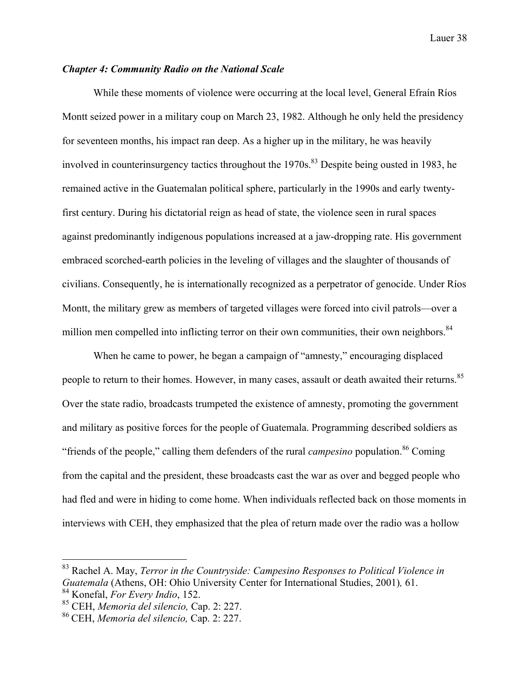## *Chapter 4: Community Radio on the National Scale*

While these moments of violence were occurring at the local level, General Efraín Ríos Montt seized power in a military coup on March 23, 1982. Although he only held the presidency for seventeen months, his impact ran deep. As a higher up in the military, he was heavily involved in counterinsurgency tactics throughout the  $1970s$ .<sup>83</sup> Despite being ousted in 1983, he remained active in the Guatemalan political sphere, particularly in the 1990s and early twentyfirst century. During his dictatorial reign as head of state, the violence seen in rural spaces against predominantly indigenous populations increased at a jaw-dropping rate. His government embraced scorched-earth policies in the leveling of villages and the slaughter of thousands of civilians. Consequently, he is internationally recognized as a perpetrator of genocide. Under Ríos Montt, the military grew as members of targeted villages were forced into civil patrols—over a million men compelled into inflicting terror on their own communities, their own neighbors.<sup>84</sup>

When he came to power, he began a campaign of "amnesty," encouraging displaced people to return to their homes. However, in many cases, assault or death awaited their returns.<sup>85</sup> Over the state radio, broadcasts trumpeted the existence of amnesty, promoting the government and military as positive forces for the people of Guatemala. Programming described soldiers as "friends of the people," calling them defenders of the rural *campesino* population.<sup>86</sup> Coming from the capital and the president, these broadcasts cast the war as over and begged people who had fled and were in hiding to come home. When individuals reflected back on those moments in interviews with CEH, they emphasized that the plea of return made over the radio was a hollow

 <sup>83</sup> Rachel A. May, *Terror in the Countryside: Campesino Responses to Political Violence in Guatemala* (Athens, OH: Ohio University Center for International Studies, 2001)*,* 61. <sup>84</sup> Konefal, *For Every Indio*, 152.

<sup>85</sup> CEH, *Memoria del silencio,* Cap. 2: 227.

<sup>86</sup> CEH, *Memoria del silencio,* Cap. 2: 227.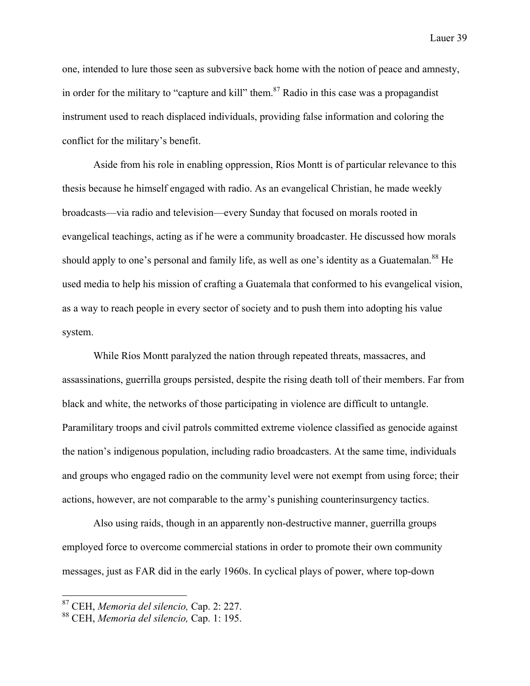one, intended to lure those seen as subversive back home with the notion of peace and amnesty, in order for the military to "capture and kill" them.<sup>87</sup> Radio in this case was a propagandist instrument used to reach displaced individuals, providing false information and coloring the conflict for the military's benefit.

Aside from his role in enabling oppression, Ríos Montt is of particular relevance to this thesis because he himself engaged with radio. As an evangelical Christian, he made weekly broadcasts—via radio and television—every Sunday that focused on morals rooted in evangelical teachings, acting as if he were a community broadcaster. He discussed how morals should apply to one's personal and family life, as well as one's identity as a Guatemalan.<sup>88</sup> He used media to help his mission of crafting a Guatemala that conformed to his evangelical vision, as a way to reach people in every sector of society and to push them into adopting his value system.

While Ríos Montt paralyzed the nation through repeated threats, massacres, and assassinations, guerrilla groups persisted, despite the rising death toll of their members. Far from black and white, the networks of those participating in violence are difficult to untangle. Paramilitary troops and civil patrols committed extreme violence classified as genocide against the nation's indigenous population, including radio broadcasters. At the same time, individuals and groups who engaged radio on the community level were not exempt from using force; their actions, however, are not comparable to the army's punishing counterinsurgency tactics.

Also using raids, though in an apparently non-destructive manner, guerrilla groups employed force to overcome commercial stations in order to promote their own community messages, just as FAR did in the early 1960s. In cyclical plays of power, where top-down

 <sup>87</sup> CEH, *Memoria del silencio,* Cap. 2: 227.

<sup>88</sup> CEH, *Memoria del silencio,* Cap. 1: 195.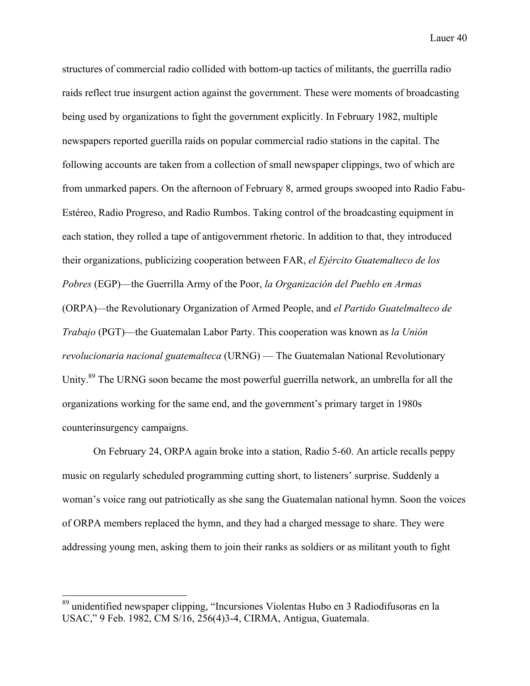structures of commercial radio collided with bottom-up tactics of militants, the guerrilla radio raids reflect true insurgent action against the government. These were moments of broadcasting being used by organizations to fight the government explicitly. In February 1982, multiple newspapers reported guerilla raids on popular commercial radio stations in the capital. The following accounts are taken from a collection of small newspaper clippings, two of which are from unmarked papers. On the afternoon of February 8, armed groups swooped into Radio Fabu-Estéreo, Radio Progreso, and Radio Rumbos. Taking control of the broadcasting equipment in each station, they rolled a tape of antigovernment rhetoric. In addition to that, they introduced their organizations, publicizing cooperation between FAR, *el Ejército Guatemalteco de los Pobres* (EGP)—the Guerrilla Army of the Poor, *la Organización del Pueblo en Armas*  (ORPA)*—*the Revolutionary Organization of Armed People, and *el Partido Guatelmalteco de Trabajo* (PGT)—the Guatemalan Labor Party. This cooperation was known as *la Unión revolucionaria nacional guatemalteca* (URNG) — The Guatemalan National Revolutionary Unity.<sup>89</sup> The URNG soon became the most powerful guerrilla network, an umbrella for all the organizations working for the same end, and the government's primary target in 1980s counterinsurgency campaigns.

On February 24, ORPA again broke into a station, Radio 5-60. An article recalls peppy music on regularly scheduled programming cutting short, to listeners' surprise. Suddenly a woman's voice rang out patriotically as she sang the Guatemalan national hymn. Soon the voices of ORPA members replaced the hymn, and they had a charged message to share. They were addressing young men, asking them to join their ranks as soldiers or as militant youth to fight

 <sup>89</sup> unidentified newspaper clipping, "Incursiones Violentas Hubo en 3 Radiodifusoras en la USAC," 9 Feb. 1982, CM S/16, 256(4)3-4, CIRMA, Antigua, Guatemala.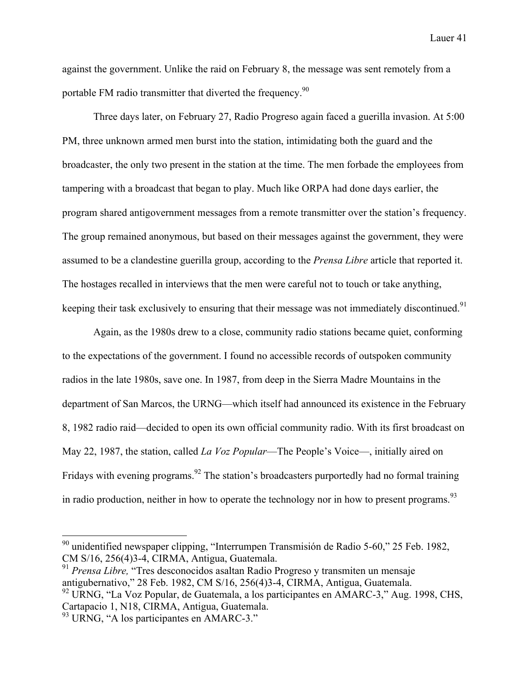against the government. Unlike the raid on February 8, the message was sent remotely from a portable FM radio transmitter that diverted the frequency.<sup>90</sup>

Three days later, on February 27, Radio Progreso again faced a guerilla invasion. At 5:00 PM, three unknown armed men burst into the station, intimidating both the guard and the broadcaster, the only two present in the station at the time. The men forbade the employees from tampering with a broadcast that began to play. Much like ORPA had done days earlier, the program shared antigovernment messages from a remote transmitter over the station's frequency. The group remained anonymous, but based on their messages against the government, they were assumed to be a clandestine guerilla group, according to the *Prensa Libre* article that reported it. The hostages recalled in interviews that the men were careful not to touch or take anything, keeping their task exclusively to ensuring that their message was not immediately discontinued.<sup>91</sup>

Again, as the 1980s drew to a close, community radio stations became quiet, conforming to the expectations of the government. I found no accessible records of outspoken community radios in the late 1980s, save one. In 1987, from deep in the Sierra Madre Mountains in the department of San Marcos, the URNG—which itself had announced its existence in the February 8, 1982 radio raid—decided to open its own official community radio. With its first broadcast on May 22, 1987, the station, called *La Voz Popular*—The People's Voice—, initially aired on Fridays with evening programs.<sup>92</sup> The station's broadcasters purportedly had no formal training in radio production, neither in how to operate the technology nor in how to present programs.<sup>93</sup>

 <sup>90</sup> unidentified newspaper clipping, "Interrumpen Transmisión de Radio 5-60," 25 Feb. 1982, CM S/16, 256(4)3-4, CIRMA, Antigua, Guatemala. <sup>91</sup> *Prensa Libre,* "Tres desconocidos asaltan Radio Progreso y transmiten un mensaje

antigubernativo," 28 Feb. 1982, CM S/16, 256(4)3-4, CIRMA, Antigua, Guatemala. <sup>92</sup> URNG, "La Voz Popular, de Guatemala, a los participantes en AMARC-3," Aug. 1998, CHS,

Cartapacio 1, N18, CIRMA, Antigua, Guatemala.

<sup>&</sup>lt;sup>93</sup> URNG, "A los participantes en AMARC-3."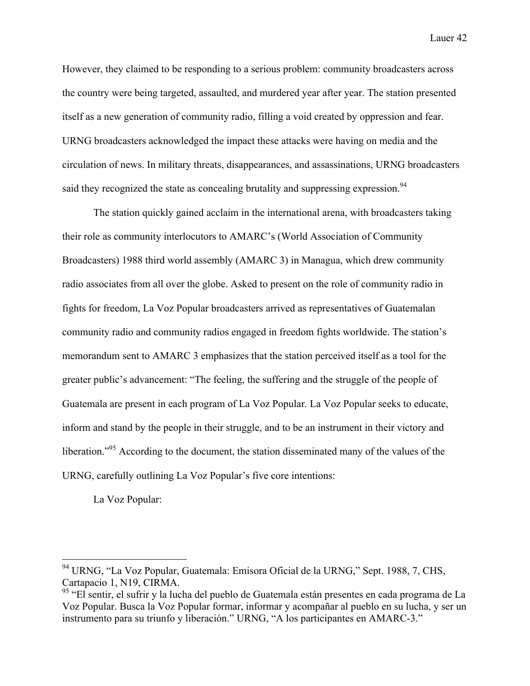However, they claimed to be responding to a serious problem: community broadcasters across the country were being targeted, assaulted, and murdered year after year. The station presented itself as a new generation of community radio, filling a void created by oppression and fear. URNG broadcasters acknowledged the impact these attacks were having on media and the circulation of news. In military threats, disappearances, and assassinations, URNG broadcasters said they recognized the state as concealing brutality and suppressing expression.<sup>94</sup>

The station quickly gained acclaim in the international arena, with broadcasters taking their role as community interlocutors to AMARC's (World Association of Community Broadcasters) 1988 third world assembly (AMARC 3) in Managua, which drew community radio associates from all over the globe. Asked to present on the role of community radio in fights for freedom, La Voz Popular broadcasters arrived as representatives of Guatemalan community radio and community radios engaged in freedom fights worldwide. The station's memorandum sent to AMARC 3 emphasizes that the station perceived itself as a tool for the greater public's advancement: "The feeling, the suffering and the struggle of the people of Guatemala are present in each program of La Voz Popular*.* La Voz Popular seeks to educate, inform and stand by the people in their struggle, and to be an instrument in their victory and liberation."<sup>95</sup> According to the document, the station disseminated many of the values of the URNG, carefully outlining La Voz Popular's five core intentions:

La Voz Popular:

 <sup>94</sup> URNG, "La Voz Popular, Guatemala: Emisora Oficial de la URNG," Sept. 1988, 7, CHS, Cartapacio 1, N19, CIRMA.

<sup>&</sup>lt;sup>95</sup> "El sentir, el sufrir y la lucha del pueblo de Guatemala están presentes en cada programa de La Voz Popular. Busca la Voz Popular formar, informar y acompañar al pueblo en su lucha, y ser un instrumento para su triunfo y liberación." URNG, "A los participantes en AMARC-3."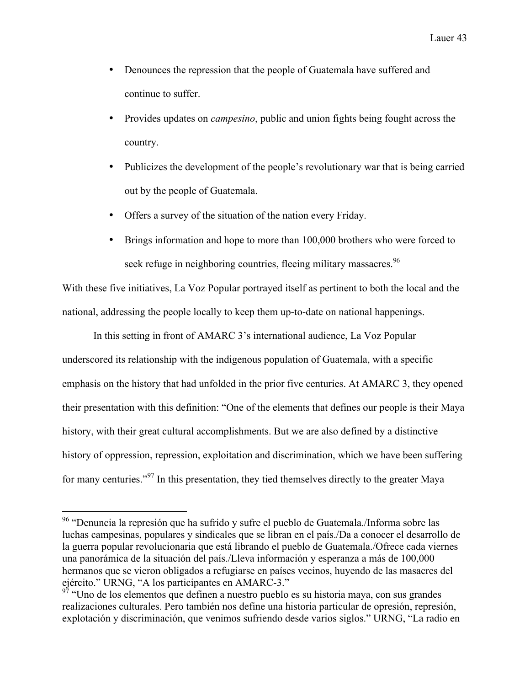- Denounces the repression that the people of Guatemala have suffered and continue to suffer.
- Provides updates on *campesino*, public and union fights being fought across the country.
- Publicizes the development of the people's revolutionary war that is being carried out by the people of Guatemala.
- Offers a survey of the situation of the nation every Friday.
- Brings information and hope to more than 100,000 brothers who were forced to seek refuge in neighboring countries, fleeing military massacres.<sup>96</sup>

With these five initiatives, La Voz Popular portrayed itself as pertinent to both the local and the national, addressing the people locally to keep them up-to-date on national happenings.

In this setting in front of AMARC 3's international audience, La Voz Popular underscored its relationship with the indigenous population of Guatemala, with a specific emphasis on the history that had unfolded in the prior five centuries. At AMARC 3, they opened their presentation with this definition: "One of the elements that defines our people is their Maya history, with their great cultural accomplishments. But we are also defined by a distinctive history of oppression, repression, exploitation and discrimination, which we have been suffering for many centuries."<sup>97</sup> In this presentation, they tied themselves directly to the greater Maya

 <sup>96</sup> "Denuncia la represión que ha sufrido y sufre el pueblo de Guatemala./Informa sobre las luchas campesinas, populares y sindicales que se libran en el país./Da a conocer el desarrollo de la guerra popular revolucionaria que está librando el pueblo de Guatemala./Ofrece cada viernes una panorámica de la situación del país./Lleva información y esperanza a más de 100,000 hermanos que se vieron obligados a refugiarse en países vecinos, huyendo de las masacres del ejército." URNG, "A los participantes en AMARC-3."

 $97$  "Uno de los elementos que definen a nuestro pueblo es su historia maya, con sus grandes realizaciones culturales. Pero también nos define una historia particular de opresión, represión, explotación y discriminación, que venimos sufriendo desde varios siglos." URNG, "La radio en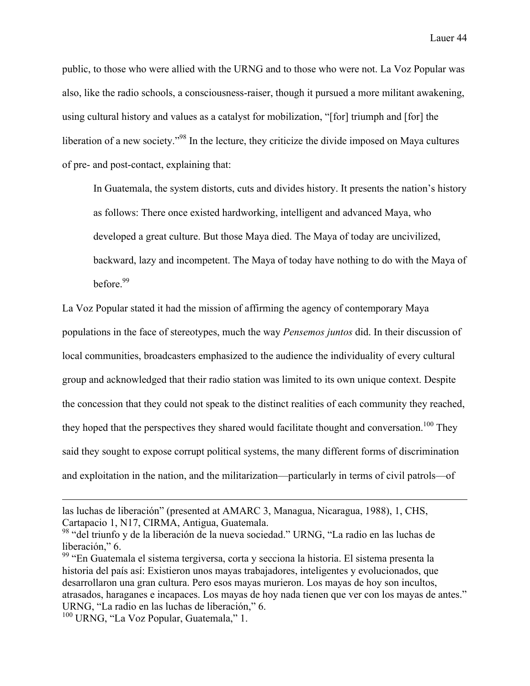public, to those who were allied with the URNG and to those who were not. La Voz Popular was also, like the radio schools, a consciousness-raiser, though it pursued a more militant awakening, using cultural history and values as a catalyst for mobilization, "[for] triumph and [for] the liberation of a new society."98 In the lecture, they criticize the divide imposed on Maya cultures of pre- and post-contact, explaining that:

In Guatemala, the system distorts, cuts and divides history. It presents the nation's history as follows: There once existed hardworking, intelligent and advanced Maya, who developed a great culture. But those Maya died. The Maya of today are uncivilized, backward, lazy and incompetent. The Maya of today have nothing to do with the Maya of before $99$ 

La Voz Popular stated it had the mission of affirming the agency of contemporary Maya populations in the face of stereotypes, much the way *Pensemos juntos* did. In their discussion of local communities, broadcasters emphasized to the audience the individuality of every cultural group and acknowledged that their radio station was limited to its own unique context. Despite the concession that they could not speak to the distinct realities of each community they reached, they hoped that the perspectives they shared would facilitate thought and conversation.<sup>100</sup> They said they sought to expose corrupt political systems, the many different forms of discrimination and exploitation in the nation, and the militarization—particularly in terms of civil patrols—of

 $\overline{a}$ 

las luchas de liberación" (presented at AMARC 3, Managua, Nicaragua, 1988), 1, CHS, Cartapacio 1, N17, CIRMA, Antigua, Guatemala.

<sup>98</sup> "del triunfo y de la liberación de la nueva sociedad." URNG, "La radio en las luchas de liberación," 6.

<sup>99</sup> "En Guatemala el sistema tergiversa, corta y secciona la historia. El sistema presenta la historia del país así: Existieron unos mayas trabajadores, inteligentes y evolucionados, que desarrollaron una gran cultura. Pero esos mayas murieron. Los mayas de hoy son incultos, atrasados, haraganes e incapaces. Los mayas de hoy nada tienen que ver con los mayas de antes." URNG, "La radio en las luchas de liberación," 6.

<sup>&</sup>lt;sup>100</sup> URNG. "La Voz Popular, Guatemala," 1.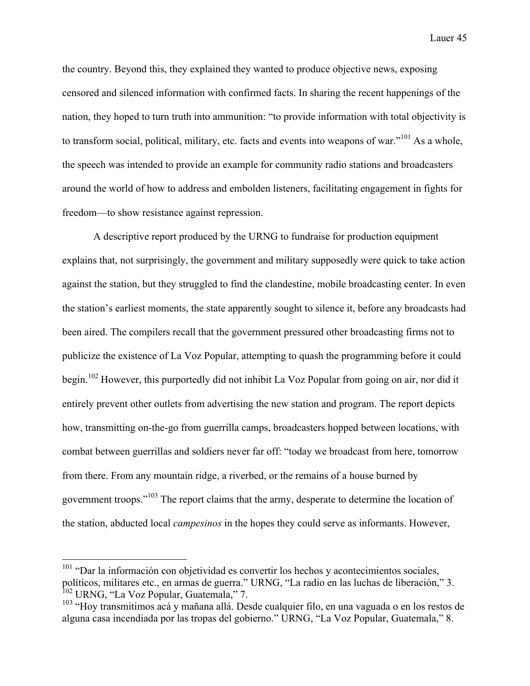the country. Beyond this, they explained they wanted to produce objective news, exposing censored and silenced information with confirmed facts. In sharing the recent happenings of the nation, they hoped to turn truth into ammunition: "to provide information with total objectivity is to transform social, political, military, etc. facts and events into weapons of war."<sup>101</sup> As a whole, the speech was intended to provide an example for community radio stations and broadcasters around the world of how to address and embolden listeners, facilitating engagement in fights for freedom—to show resistance against repression.

A descriptive report produced by the URNG to fundraise for production equipment explains that, not surprisingly, the government and military supposedly were quick to take action against the station, but they struggled to find the clandestine, mobile broadcasting center. In even the station's earliest moments, the state apparently sought to silence it, before any broadcasts had been aired. The compilers recall that the government pressured other broadcasting firms not to publicize the existence of La Voz Popular, attempting to quash the programming before it could begin.<sup>102</sup> However, this purportedly did not inhibit La Voz Popular from going on air, nor did it entirely prevent other outlets from advertising the new station and program. The report depicts how, transmitting on-the-go from guerrilla camps, broadcasters hopped between locations, with combat between guerrillas and soldiers never far off: "today we broadcast from here, tomorrow from there. From any mountain ridge, a riverbed, or the remains of a house burned by government troops."103 The report claims that the army, desperate to determine the location of the station, abducted local *campesinos* in the hopes they could serve as informants. However,

<sup>&</sup>lt;sup>101</sup> "Dar la información con objetividad es convertir los hechos y acontecimientos sociales, políticos, militares etc., en armas de guerra." URNG, "La radio en las luchas de liberación," 3. <sup>102</sup> URNG, "La Voz Popular, Guatemala," 7.

<sup>103</sup> "Hoy transmitimos acá y mañana allá. Desde cualquier filo, en una vaguada o en los restos de alguna casa incendiada por las tropas del gobierno." URNG, "La Voz Popular, Guatemala," 8.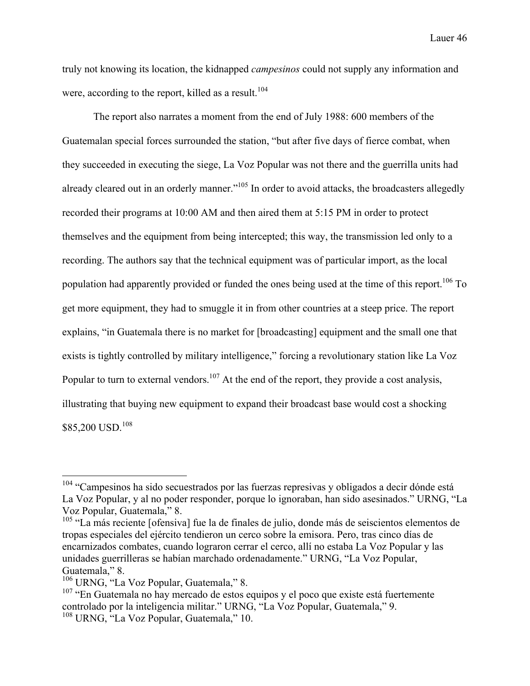truly not knowing its location, the kidnapped *campesinos* could not supply any information and were, according to the report, killed as a result.<sup>104</sup>

The report also narrates a moment from the end of July 1988: 600 members of the Guatemalan special forces surrounded the station, "but after five days of fierce combat, when they succeeded in executing the siege, La Voz Popular was not there and the guerrilla units had already cleared out in an orderly manner."<sup>105</sup> In order to avoid attacks, the broadcasters allegedly recorded their programs at 10:00 AM and then aired them at 5:15 PM in order to protect themselves and the equipment from being intercepted; this way, the transmission led only to a recording. The authors say that the technical equipment was of particular import, as the local population had apparently provided or funded the ones being used at the time of this report.<sup>106</sup> To get more equipment, they had to smuggle it in from other countries at a steep price. The report explains, "in Guatemala there is no market for [broadcasting] equipment and the small one that exists is tightly controlled by military intelligence," forcing a revolutionary station like La Voz Popular to turn to external vendors.<sup>107</sup> At the end of the report, they provide a cost analysis, illustrating that buying new equipment to expand their broadcast base would cost a shocking \$85,200 USD. 108

<sup>&</sup>lt;sup>104</sup> "Campesinos ha sido secuestrados por las fuerzas represivas y obligados a decir dónde está La Voz Popular, y al no poder responder, porque lo ignoraban, han sido asesinados." URNG, "La Voz Popular, Guatemala," 8.

<sup>&</sup>lt;sup>105</sup> "La más reciente [ofensiva] fue la de finales de julio, donde más de seiscientos elementos de tropas especiales del ejército tendieron un cerco sobre la emisora. Pero, tras cinco días de encarnizados combates, cuando lograron cerrar el cerco, allí no estaba La Voz Popular y las unidades guerrilleras se habían marchado ordenadamente." URNG, "La Voz Popular, Guatemala," 8.

<sup>106</sup> URNG, "La Voz Popular, Guatemala," 8.

<sup>&</sup>lt;sup>107</sup> "En Guatemala no hay mercado de estos equipos y el poco que existe está fuertemente controlado por la inteligencia militar." URNG, "La Voz Popular, Guatemala," 9. <sup>108</sup> URNG, "La Voz Popular, Guatemala," 10.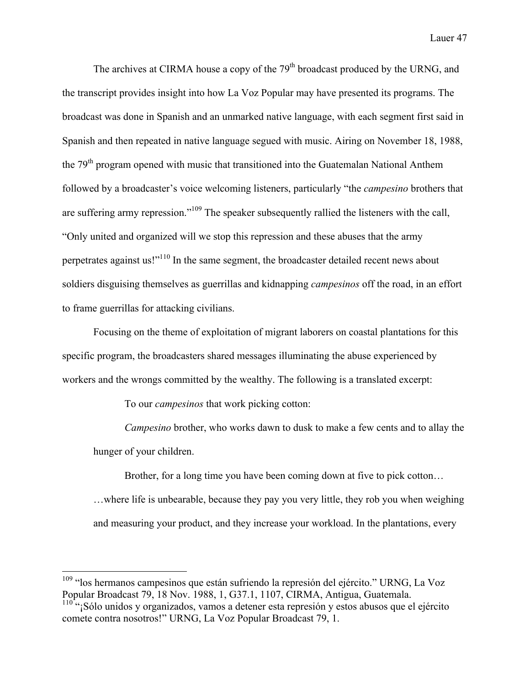The archives at CIRMA house a copy of the 79<sup>th</sup> broadcast produced by the URNG, and the transcript provides insight into how La Voz Popular may have presented its programs. The broadcast was done in Spanish and an unmarked native language, with each segment first said in Spanish and then repeated in native language segued with music. Airing on November 18, 1988, the 79<sup>th</sup> program opened with music that transitioned into the Guatemalan National Anthem followed by a broadcaster's voice welcoming listeners, particularly "the *campesino* brothers that are suffering army repression."<sup>109</sup> The speaker subsequently rallied the listeners with the call, "Only united and organized will we stop this repression and these abuses that the army perpetrates against us!"110 In the same segment, the broadcaster detailed recent news about soldiers disguising themselves as guerrillas and kidnapping *campesinos* off the road, in an effort to frame guerrillas for attacking civilians.

Focusing on the theme of exploitation of migrant laborers on coastal plantations for this specific program, the broadcasters shared messages illuminating the abuse experienced by workers and the wrongs committed by the wealthy. The following is a translated excerpt:

To our *campesinos* that work picking cotton:

*Campesino* brother, who works dawn to dusk to make a few cents and to allay the hunger of your children.

Brother, for a long time you have been coming down at five to pick cotton…

…where life is unbearable, because they pay you very little, they rob you when weighing and measuring your product, and they increase your workload. In the plantations, every

<sup>&</sup>lt;sup>109</sup> "los hermanos campesinos que están sufriendo la represión del ejército." URNG, La Voz Popular Broadcast 79, 18 Nov. 1988, 1, G37.1, 1107, CIRMA, Antigua, Guatemala.

 $110$ <sup> $\ldots$ </sup>¡Sólo unidos y organizados, vamos a detener esta represión y estos abusos que el ejército comete contra nosotros!" URNG, La Voz Popular Broadcast 79, 1.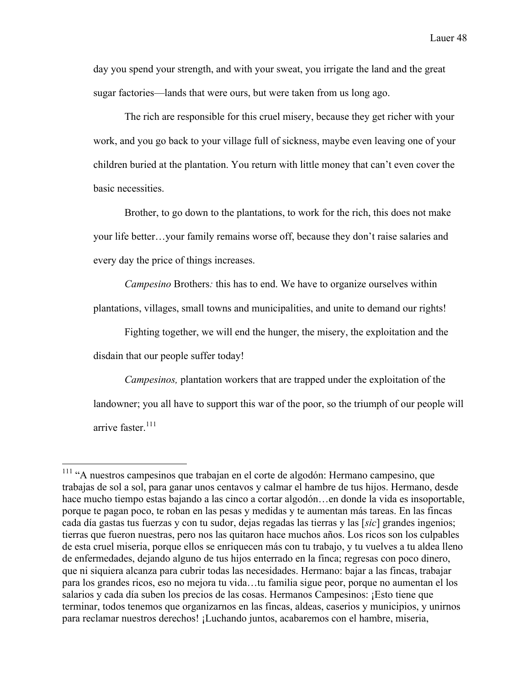day you spend your strength, and with your sweat, you irrigate the land and the great sugar factories—lands that were ours, but were taken from us long ago.

The rich are responsible for this cruel misery, because they get richer with your work, and you go back to your village full of sickness, maybe even leaving one of your children buried at the plantation. You return with little money that can't even cover the basic necessities.

Brother, to go down to the plantations, to work for the rich, this does not make your life better…your family remains worse off, because they don't raise salaries and every day the price of things increases.

*Campesino* Brothers*:* this has to end. We have to organize ourselves within

plantations, villages, small towns and municipalities, and unite to demand our rights!

Fighting together, we will end the hunger, the misery, the exploitation and the

disdain that our people suffer today!

*Campesinos,* plantation workers that are trapped under the exploitation of the landowner; you all have to support this war of the poor, so the triumph of our people will arrive faster. 111

 <sup>111</sup> "A nuestros campesinos que trabajan en el corte de algodón: Hermano campesino, que trabajas de sol a sol, para ganar unos centavos y calmar el hambre de tus hijos. Hermano, desde hace mucho tiempo estas bajando a las cinco a cortar algodón…en donde la vida es insoportable, porque te pagan poco, te roban en las pesas y medidas y te aumentan más tareas. En las fincas cada día gastas tus fuerzas y con tu sudor, dejas regadas las tierras y las [*sic*] grandes ingenios; tierras que fueron nuestras, pero nos las quitaron hace muchos años. Los ricos son los culpables de esta cruel miseria, porque ellos se enriquecen más con tu trabajo, y tu vuelves a tu aldea lleno de enfermedades, dejando alguno de tus hijos enterrado en la finca; regresas con poco dinero, que ni siquiera alcanza para cubrir todas las necesidades. Hermano: bajar a las fincas, trabajar para los grandes ricos, eso no mejora tu vida…tu familia sigue peor, porque no aumentan el los salarios y cada día suben los precios de las cosas. Hermanos Campesinos: ¡Esto tiene que terminar, todos tenemos que organizarnos en las fincas, aldeas, caserios y municipios, y unirnos para reclamar nuestros derechos! ¡Luchando juntos, acabaremos con el hambre, miseria,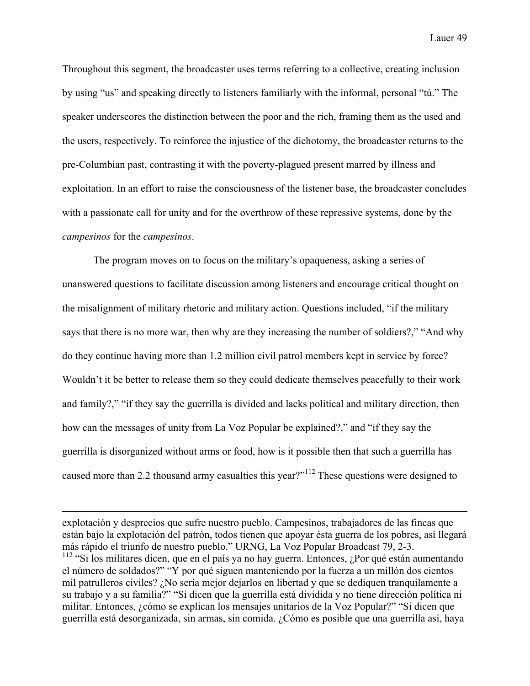Throughout this segment, the broadcaster uses terms referring to a collective, creating inclusion by using "us" and speaking directly to listeners familiarly with the informal, personal "tú." The speaker underscores the distinction between the poor and the rich, framing them as the used and the users, respectively. To reinforce the injustice of the dichotomy, the broadcaster returns to the pre-Columbian past, contrasting it with the poverty-plagued present marred by illness and exploitation. In an effort to raise the consciousness of the listener base, the broadcaster concludes with a passionate call for unity and for the overthrow of these repressive systems, done by the *campesinos* for the *campesinos*.

The program moves on to focus on the military's opaqueness, asking a series of unanswered questions to facilitate discussion among listeners and encourage critical thought on the misalignment of military rhetoric and military action. Questions included, "if the military says that there is no more war, then why are they increasing the number of soldiers?," "And why do they continue having more than 1.2 million civil patrol members kept in service by force? Wouldn't it be better to release them so they could dedicate themselves peacefully to their work and family?," "if they say the guerrilla is divided and lacks political and military direction, then how can the messages of unity from La Voz Popular be explained?," and "if they say the guerrilla is disorganized without arms or food, how is it possible then that such a guerrilla has caused more than 2.2 thousand army casualties this year?"<sup>112</sup> These questions were designed to

explotación y desprecios que sufre nuestro pueblo. Campesinos, trabajadores de las fincas que están bajo la explotación del patrón, todos tienen que apoyar ésta guerra de los pobres, así llegará más rápido el triunfo de nuestro pueblo." URNG, La Voz Popular Broadcast 79, 2-3. <sup>112</sup> "Si los militares dicen, que en el país ya no hay guerra. Entonces, ¿Por qué están aumentando el número de soldados?" "Y por qué siguen manteniendo por la fuerza a un millón dos cientos mil patrulleros civiles? ¿No sería mejor dejarlos en libertad y que se dediquen tranquilamente a su trabajo y a su familia?" "Si dicen que la guerrilla está dividida y no tiene dirección política ni militar. Entonces, ¿cómo se explican los mensajes unitarios de la Voz Popular?" "Si dicen que guerrilla está desorganizada, sin armas, sin comida. ¿Cómo es posible que una guerrilla así, haya

 $\overline{a}$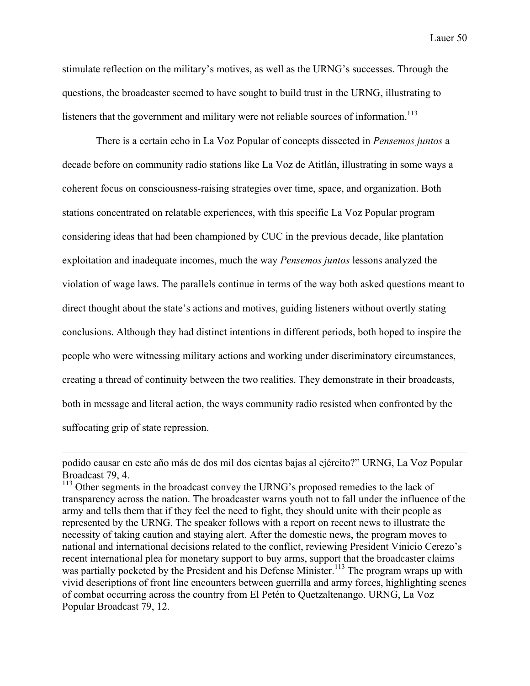stimulate reflection on the military's motives, as well as the URNG's successes. Through the questions, the broadcaster seemed to have sought to build trust in the URNG, illustrating to listeners that the government and military were not reliable sources of information.<sup>113</sup>

There is a certain echo in La Voz Popular of concepts dissected in *Pensemos juntos* a decade before on community radio stations like La Voz de Atitlán, illustrating in some ways a coherent focus on consciousness-raising strategies over time, space, and organization. Both stations concentrated on relatable experiences, with this specific La Voz Popular program considering ideas that had been championed by CUC in the previous decade, like plantation exploitation and inadequate incomes, much the way *Pensemos juntos* lessons analyzed the violation of wage laws. The parallels continue in terms of the way both asked questions meant to direct thought about the state's actions and motives, guiding listeners without overtly stating conclusions. Although they had distinct intentions in different periods, both hoped to inspire the people who were witnessing military actions and working under discriminatory circumstances, creating a thread of continuity between the two realities. They demonstrate in their broadcasts, both in message and literal action, the ways community radio resisted when confronted by the suffocating grip of state repression.

 $\overline{a}$ 

podido causar en este año más de dos mil dos cientas bajas al ejército?" URNG, La Voz Popular Broadcast 79, 4.

<sup>&</sup>lt;sup>113</sup> Other segments in the broadcast convey the URNG's proposed remedies to the lack of transparency across the nation. The broadcaster warns youth not to fall under the influence of the army and tells them that if they feel the need to fight, they should unite with their people as represented by the URNG. The speaker follows with a report on recent news to illustrate the necessity of taking caution and staying alert. After the domestic news, the program moves to national and international decisions related to the conflict, reviewing President Vinicio Cerezo's recent international plea for monetary support to buy arms, support that the broadcaster claims was partially pocketed by the President and his Defense Minister.<sup>113</sup> The program wraps up with vivid descriptions of front line encounters between guerrilla and army forces, highlighting scenes of combat occurring across the country from El Petén to Quetzaltenango. URNG, La Voz Popular Broadcast 79, 12.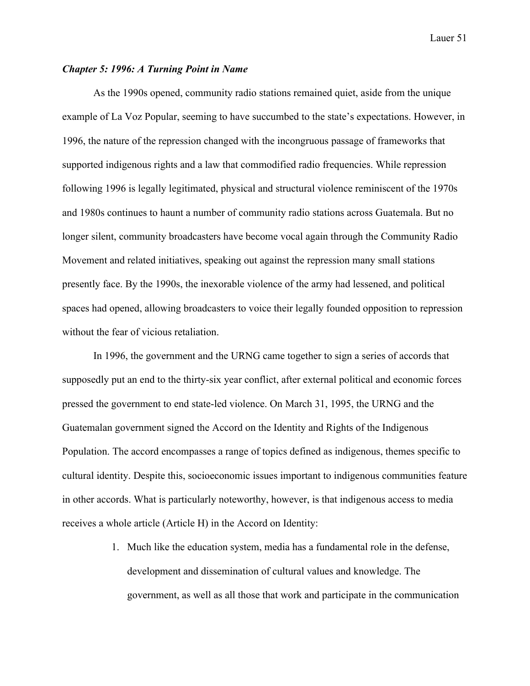## *Chapter 5: 1996: A Turning Point in Name*

As the 1990s opened, community radio stations remained quiet, aside from the unique example of La Voz Popular, seeming to have succumbed to the state's expectations. However, in 1996, the nature of the repression changed with the incongruous passage of frameworks that supported indigenous rights and a law that commodified radio frequencies. While repression following 1996 is legally legitimated, physical and structural violence reminiscent of the 1970s and 1980s continues to haunt a number of community radio stations across Guatemala. But no longer silent, community broadcasters have become vocal again through the Community Radio Movement and related initiatives, speaking out against the repression many small stations presently face. By the 1990s, the inexorable violence of the army had lessened, and political spaces had opened, allowing broadcasters to voice their legally founded opposition to repression without the fear of vicious retaliation.

In 1996, the government and the URNG came together to sign a series of accords that supposedly put an end to the thirty-six year conflict, after external political and economic forces pressed the government to end state-led violence. On March 31, 1995, the URNG and the Guatemalan government signed the Accord on the Identity and Rights of the Indigenous Population. The accord encompasses a range of topics defined as indigenous, themes specific to cultural identity. Despite this, socioeconomic issues important to indigenous communities feature in other accords. What is particularly noteworthy, however, is that indigenous access to media receives a whole article (Article H) in the Accord on Identity:

> 1. Much like the education system, media has a fundamental role in the defense, development and dissemination of cultural values and knowledge. The government, as well as all those that work and participate in the communication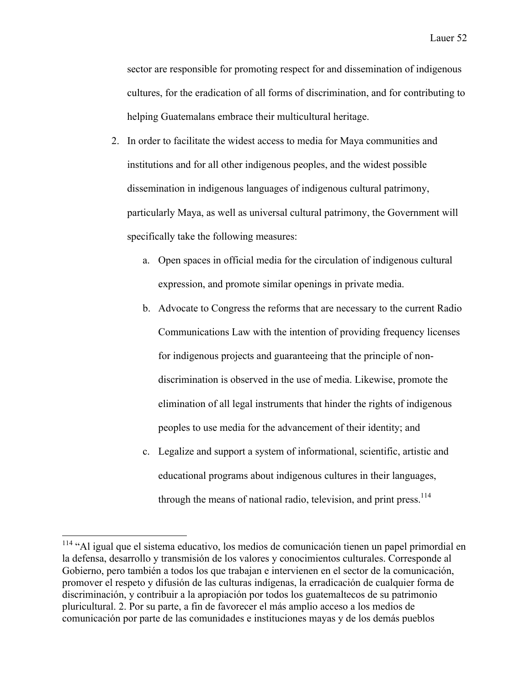sector are responsible for promoting respect for and dissemination of indigenous cultures, for the eradication of all forms of discrimination, and for contributing to helping Guatemalans embrace their multicultural heritage.

- 2. In order to facilitate the widest access to media for Maya communities and institutions and for all other indigenous peoples, and the widest possible dissemination in indigenous languages of indigenous cultural patrimony, particularly Maya, as well as universal cultural patrimony, the Government will specifically take the following measures:
	- a. Open spaces in official media for the circulation of indigenous cultural expression, and promote similar openings in private media.
	- b. Advocate to Congress the reforms that are necessary to the current Radio Communications Law with the intention of providing frequency licenses for indigenous projects and guaranteeing that the principle of nondiscrimination is observed in the use of media. Likewise, promote the elimination of all legal instruments that hinder the rights of indigenous peoples to use media for the advancement of their identity; and
	- c. Legalize and support a system of informational, scientific, artistic and educational programs about indigenous cultures in their languages, through the means of national radio, television, and print press.<sup>114</sup>

 <sup>114</sup> "Al igual que el sistema educativo, los medios de comunicación tienen un papel primordial en la defensa, desarrollo y transmisión de los valores y conocimientos culturales. Corresponde al Gobierno, pero también a todos los que trabajan e intervienen en el sector de la comunicación, promover el respeto y difusión de las culturas indígenas, la erradicación de cualquier forma de discriminación, y contribuir a la apropiación por todos los guatemaltecos de su patrimonio pluricultural. 2. Por su parte, a fin de favorecer el más amplio acceso a los medios de comunicación por parte de las comunidades e instituciones mayas y de los demás pueblos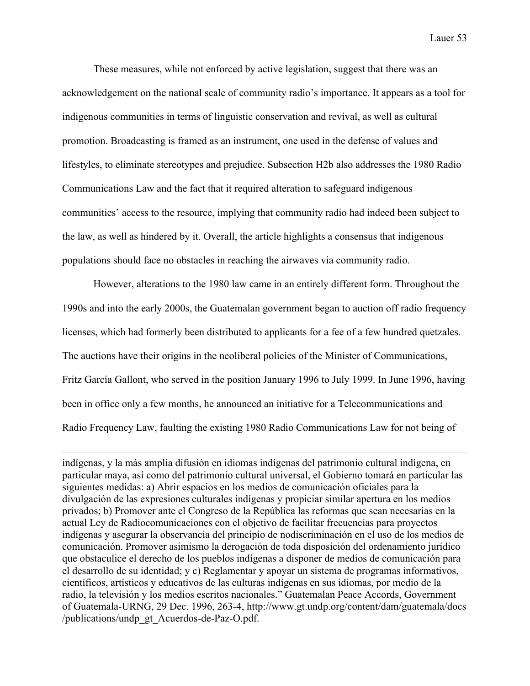These measures, while not enforced by active legislation, suggest that there was an acknowledgement on the national scale of community radio's importance. It appears as a tool for indigenous communities in terms of linguistic conservation and revival, as well as cultural promotion. Broadcasting is framed as an instrument, one used in the defense of values and lifestyles, to eliminate stereotypes and prejudice. Subsection H2b also addresses the 1980 Radio Communications Law and the fact that it required alteration to safeguard indigenous communities' access to the resource, implying that community radio had indeed been subject to the law, as well as hindered by it. Overall, the article highlights a consensus that indigenous populations should face no obstacles in reaching the airwaves via community radio.

However, alterations to the 1980 law came in an entirely different form. Throughout the 1990s and into the early 2000s, the Guatemalan government began to auction off radio frequency licenses, which had formerly been distributed to applicants for a fee of a few hundred quetzales. The auctions have their origins in the neoliberal policies of the Minister of Communications, Fritz García Gallont, who served in the position January 1996 to July 1999. In June 1996, having been in office only a few months, he announced an initiative for a Telecommunications and Radio Frequency Law, faulting the existing 1980 Radio Communications Law for not being of

indígenas, y la más amplia difusión en idiomas indígenas del patrimonio cultural indígena, en particular maya, así como del patrimonio cultural universal, el Gobierno tomará en particular las siguientes medidas: a) Abrir espacios en los medios de comunicación oficiales para la divulgación de las expresiones culturales indígenas y propiciar similar apertura en los medios privados; b) Promover ante el Congreso de la República las reformas que sean necesarias en la actual Ley de Radiocomunicaciones con el objetivo de facilitar frecuencias para proyectos indígenas y asegurar la observancia del principio de nodiscriminación en el uso de los medios de comunicación. Promover asimismo la derogación de toda disposición del ordenamiento jurídico que obstaculice el derecho de los pueblos indígenas a disponer de medios de comunicación para el desarrollo de su identidad; y c) Reglamentar y apoyar un sistema de programas informativos, científicos, artísticos y educativos de las culturas indígenas en sus idiomas, por medio de la radio, la televisión y los medios escritos nacionales." Guatemalan Peace Accords, Government of Guatemala-URNG, 29 Dec. 1996, 263-4, http://www.gt.undp.org/content/dam/guatemala/docs /publications/undp\_gt\_Acuerdos-de-Paz-O.pdf.

 $\overline{a}$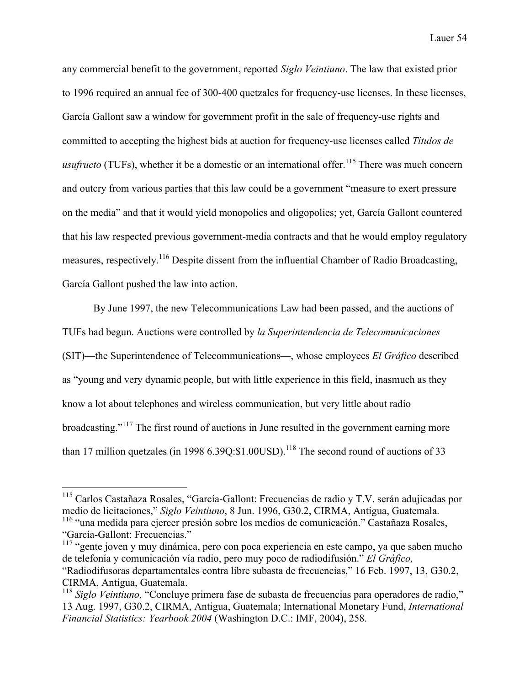any commercial benefit to the government, reported *Siglo Veintiuno*. The law that existed prior to 1996 required an annual fee of 300-400 quetzales for frequency-use licenses. In these licenses, García Gallont saw a window for government profit in the sale of frequency-use rights and committed to accepting the highest bids at auction for frequency-use licenses called *Títulos de usufructo* (TUFs), whether it be a domestic or an international offer.<sup>115</sup> There was much concern and outcry from various parties that this law could be a government "measure to exert pressure on the media" and that it would yield monopolies and oligopolies; yet, García Gallont countered that his law respected previous government-media contracts and that he would employ regulatory measures, respectively.<sup>116</sup> Despite dissent from the influential Chamber of Radio Broadcasting, García Gallont pushed the law into action.

By June 1997, the new Telecommunications Law had been passed, and the auctions of TUFs had begun. Auctions were controlled by *la Superintendencia de Telecomunicaciones* (SIT)—the Superintendence of Telecommunications—, whose employees *El Gráfico* described as "young and very dynamic people, but with little experience in this field, inasmuch as they know a lot about telephones and wireless communication, but very little about radio broadcasting."<sup>117</sup> The first round of auctions in June resulted in the government earning more than 17 million quetzales (in 1998  $6.39Q$ :\$1.00USD).<sup>118</sup> The second round of auctions of 33

 <sup>115</sup> Carlos Castañaza Rosales, "García-Gallont: Frecuencias de radio y T.V. serán adujicadas por medio de licitaciones," *Siglo Veintiuno*, 8 Jun. 1996, G30.2, CIRMA, Antigua, Guatemala. <sup>116</sup> "una medida para ejercer presión sobre los medios de comunicación." Castañaza Rosales, "García-Gallont: Frecuencias."

<sup>&</sup>lt;sup>117</sup> "gente joven y muy dinámica, pero con poca experiencia en este campo, ya que saben mucho de telefonía y comunicación vía radio, pero muy poco de radiodifusión." *El Gráfico,* "Radiodifusoras departamentales contra libre subasta de frecuencias," 16 Feb. 1997, 13, G30.2, CIRMA, Antigua, Guatemala.

<sup>118</sup> *Siglo Veintiuno,* "Concluye primera fase de subasta de frecuencias para operadores de radio," 13 Aug. 1997, G30.2, CIRMA, Antigua, Guatemala; International Monetary Fund, *International Financial Statistics: Yearbook 2004* (Washington D.C.: IMF, 2004), 258.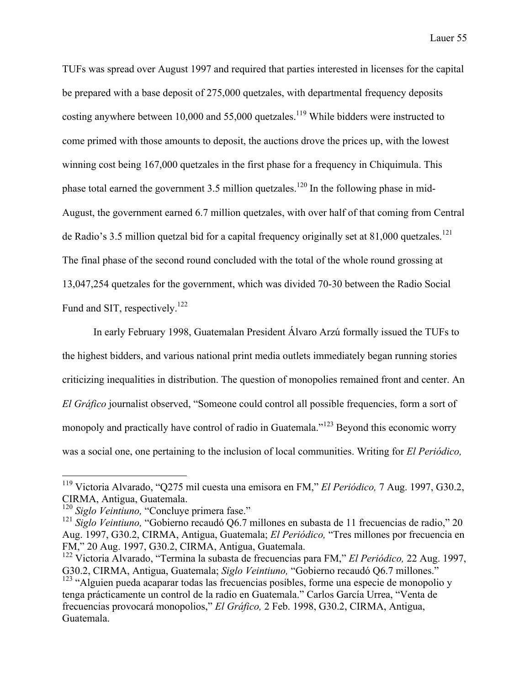TUFs was spread over August 1997 and required that parties interested in licenses for the capital be prepared with a base deposit of 275,000 quetzales, with departmental frequency deposits costing anywhere between 10,000 and 55,000 quetzales.<sup>119</sup> While bidders were instructed to come primed with those amounts to deposit, the auctions drove the prices up, with the lowest winning cost being 167,000 quetzales in the first phase for a frequency in Chiquimula. This phase total earned the government 3.5 million quetzales.<sup>120</sup> In the following phase in mid-August, the government earned 6.7 million quetzales, with over half of that coming from Central de Radio's 3.5 million quetzal bid for a capital frequency originally set at 81,000 quetzales.<sup>121</sup> The final phase of the second round concluded with the total of the whole round grossing at 13,047,254 quetzales for the government, which was divided 70-30 between the Radio Social Fund and SIT, respectively.<sup>122</sup>

In early February 1998, Guatemalan President Álvaro Arzú formally issued the TUFs to the highest bidders, and various national print media outlets immediately began running stories criticizing inequalities in distribution. The question of monopolies remained front and center. An *El Gráfico* journalist observed, "Someone could control all possible frequencies, form a sort of monopoly and practically have control of radio in Guatemala."<sup>123</sup> Beyond this economic worry was a social one, one pertaining to the inclusion of local communities. Writing for *El Periódico,* 

 <sup>119</sup> Victoria Alvarado, "Q275 mil cuesta una emisora en FM," *El Periódico,* 7 Aug. 1997, G30.2, CIRMA, Antigua, Guatemala.

<sup>120</sup> *Siglo Veintiuno,* "Concluye primera fase."

<sup>121</sup> *Siglo Veintiuno,* "Gobierno recaudó Q6.7 millones en subasta de 11 frecuencias de radio," 20 Aug. 1997, G30.2, CIRMA, Antigua, Guatemala; *El Periódico,* "Tres millones por frecuencia en FM," 20 Aug. 1997, G30.2, CIRMA, Antigua, Guatemala.

<sup>122</sup> Victoria Alvarado, "Termina la subasta de frecuencias para FM," *El Periódico,* 22 Aug. 1997, G30.2, CIRMA, Antigua, Guatemala; *Siglo Veintiuno,* "Gobierno recaudó Q6.7 millones." <sup>123</sup> "Alguien pueda acaparar todas las frecuencias posibles, forme una especie de monopolio y tenga prácticamente un control de la radio en Guatemala." Carlos García Urrea, "Venta de frecuencias provocará monopolios," *El Gráfico,* 2 Feb. 1998, G30.2, CIRMA, Antigua, Guatemala.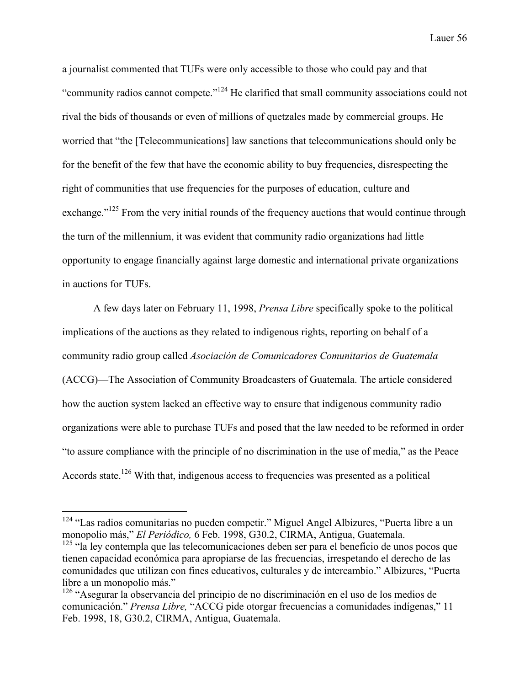a journalist commented that TUFs were only accessible to those who could pay and that "community radios cannot compete."<sup>124</sup> He clarified that small community associations could not rival the bids of thousands or even of millions of quetzales made by commercial groups. He worried that "the [Telecommunications] law sanctions that telecommunications should only be for the benefit of the few that have the economic ability to buy frequencies, disrespecting the right of communities that use frequencies for the purposes of education, culture and exchange."<sup>125</sup> From the very initial rounds of the frequency auctions that would continue through the turn of the millennium, it was evident that community radio organizations had little opportunity to engage financially against large domestic and international private organizations in auctions for TUFs.

A few days later on February 11, 1998, *Prensa Libre* specifically spoke to the political implications of the auctions as they related to indigenous rights, reporting on behalf of a community radio group called *Asociación de Comunicadores Comunitarios de Guatemala* (ACCG)—The Association of Community Broadcasters of Guatemala. The article considered how the auction system lacked an effective way to ensure that indigenous community radio organizations were able to purchase TUFs and posed that the law needed to be reformed in order "to assure compliance with the principle of no discrimination in the use of media," as the Peace Accords state.<sup>126</sup> With that, indigenous access to frequencies was presented as a political

<sup>&</sup>lt;sup>124</sup> "Las radios comunitarias no pueden competir." Miguel Angel Albizures, "Puerta libre a un monopolio más," *El Periódico,* 6 Feb. 1998, G30.2, CIRMA, Antigua, Guatemala.

<sup>&</sup>lt;sup>125</sup> "la ley contempla que las telecomunicaciones deben ser para el beneficio de unos pocos que tienen capacidad económica para apropiarse de las frecuencias, irrespetando el derecho de las comunidades que utilizan con fines educativos, culturales y de intercambio." Albizures, "Puerta libre a un monopolio más."

<sup>126</sup> "Asegurar la observancia del principio de no discriminación en el uso de los medios de comunicación." *Prensa Libre,* "ACCG pide otorgar frecuencias a comunidades indígenas," 11 Feb. 1998, 18, G30.2, CIRMA, Antigua, Guatemala.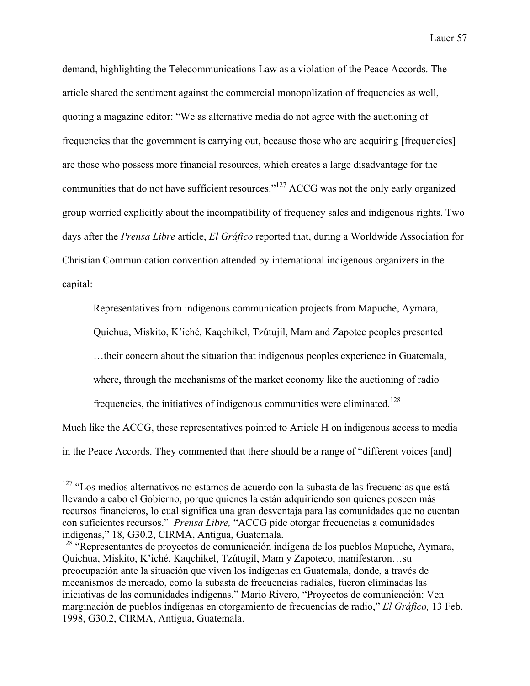demand, highlighting the Telecommunications Law as a violation of the Peace Accords. The article shared the sentiment against the commercial monopolization of frequencies as well, quoting a magazine editor: "We as alternative media do not agree with the auctioning of frequencies that the government is carrying out, because those who are acquiring [frequencies] are those who possess more financial resources, which creates a large disadvantage for the communities that do not have sufficient resources."<sup>127</sup> ACCG was not the only early organized group worried explicitly about the incompatibility of frequency sales and indigenous rights. Two days after the *Prensa Libre* article, *El Gráfico* reported that, during a Worldwide Association for Christian Communication convention attended by international indigenous organizers in the capital:

Representatives from indigenous communication projects from Mapuche, Aymara,

Quichua, Miskito, K'iché, Kaqchikel, Tzútujil, Mam and Zapotec peoples presented

…their concern about the situation that indigenous peoples experience in Guatemala,

where, through the mechanisms of the market economy like the auctioning of radio

frequencies, the initiatives of indigenous communities were eliminated.<sup>128</sup>

Much like the ACCG, these representatives pointed to Article H on indigenous access to media in the Peace Accords. They commented that there should be a range of "different voices [and]

<sup>&</sup>lt;sup>127</sup> "Los medios alternativos no estamos de acuerdo con la subasta de las frecuencias que está llevando a cabo el Gobierno, porque quienes la están adquiriendo son quienes poseen más recursos financieros, lo cual significa una gran desventaja para las comunidades que no cuentan con suficientes recursos." *Prensa Libre,* "ACCG pide otorgar frecuencias a comunidades indígenas," 18, G30.2, CIRMA, Antigua, Guatemala.

<sup>&</sup>lt;sup>128</sup> "Representantes de proyectos de comunicación indígena de los pueblos Mapuche, Aymara, Quichua, Miskito, K'iché, Kaqchikel, Tzútugil, Mam y Zapoteco, manifestaron…su preocupación ante la situación que viven los indígenas en Guatemala, donde, a través de mecanismos de mercado, como la subasta de frecuencias radiales, fueron eliminadas las iniciativas de las comunidades indígenas." Mario Rivero, "Proyectos de comunicación: Ven marginación de pueblos indígenas en otorgamiento de frecuencias de radio," *El Gráfico,* 13 Feb. 1998, G30.2, CIRMA, Antigua, Guatemala.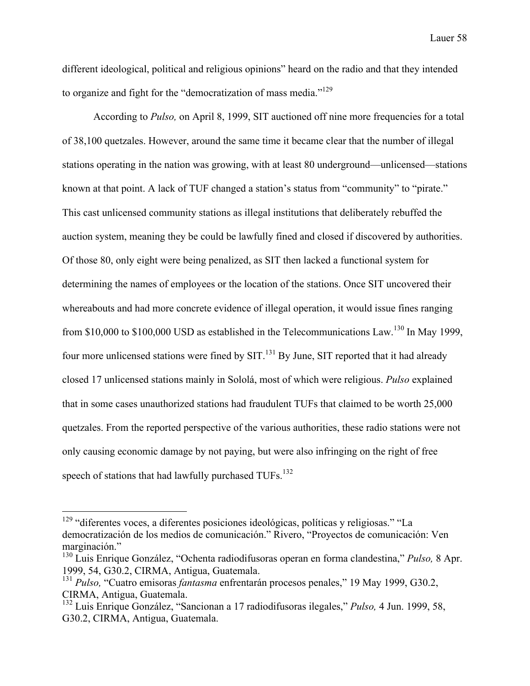different ideological, political and religious opinions" heard on the radio and that they intended to organize and fight for the "democratization of mass media."<sup>129</sup>

According to *Pulso,* on April 8, 1999, SIT auctioned off nine more frequencies for a total of 38,100 quetzales. However, around the same time it became clear that the number of illegal stations operating in the nation was growing, with at least 80 underground—unlicensed—stations known at that point. A lack of TUF changed a station's status from "community" to "pirate." This cast unlicensed community stations as illegal institutions that deliberately rebuffed the auction system, meaning they be could be lawfully fined and closed if discovered by authorities. Of those 80, only eight were being penalized, as SIT then lacked a functional system for determining the names of employees or the location of the stations. Once SIT uncovered their whereabouts and had more concrete evidence of illegal operation, it would issue fines ranging from \$10,000 to \$100,000 USD as established in the Telecommunications Law.<sup>130</sup> In May 1999, four more unlicensed stations were fined by  $SIT$ .<sup>131</sup> By June, SIT reported that it had already closed 17 unlicensed stations mainly in Sololá, most of which were religious. *Pulso* explained that in some cases unauthorized stations had fraudulent TUFs that claimed to be worth 25,000 quetzales. From the reported perspective of the various authorities, these radio stations were not only causing economic damage by not paying, but were also infringing on the right of free speech of stations that had lawfully purchased  $TUFs$ <sup>132</sup>

 <sup>129</sup> "diferentes voces, a diferentes posiciones ideológicas, políticas y religiosas." "La democratización de los medios de comunicación." Rivero, "Proyectos de comunicación: Ven marginación."

<sup>130</sup> Luis Enrique González, "Ochenta radiodifusoras operan en forma clandestina," *Pulso,* 8 Apr. 1999, 54, G30.2, CIRMA, Antigua, Guatemala.

<sup>131</sup> *Pulso,* "Cuatro emisoras *fantasma* enfrentarán procesos penales," 19 May 1999, G30.2, CIRMA, Antigua, Guatemala.

<sup>132</sup> Luis Enrique González, "Sancionan a 17 radiodifusoras ilegales," *Pulso,* 4 Jun. 1999, 58, G30.2, CIRMA, Antigua, Guatemala.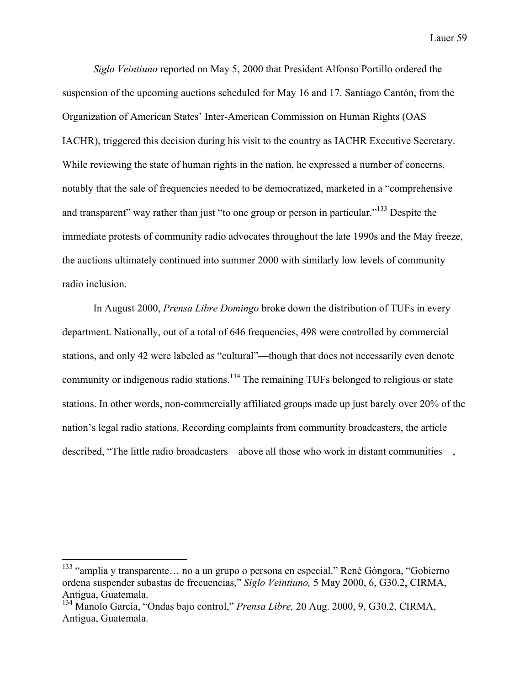*Siglo Veintiuno* reported on May 5, 2000 that President Alfonso Portillo ordered the suspension of the upcoming auctions scheduled for May 16 and 17. Santiago Cantón, from the Organization of American States' Inter-American Commission on Human Rights (OAS IACHR), triggered this decision during his visit to the country as IACHR Executive Secretary. While reviewing the state of human rights in the nation, he expressed a number of concerns, notably that the sale of frequencies needed to be democratized, marketed in a "comprehensive and transparent" way rather than just "to one group or person in particular."<sup>133</sup> Despite the immediate protests of community radio advocates throughout the late 1990s and the May freeze, the auctions ultimately continued into summer 2000 with similarly low levels of community radio inclusion.

In August 2000, *Prensa Libre Domingo* broke down the distribution of TUFs in every department. Nationally, out of a total of 646 frequencies, 498 were controlled by commercial stations, and only 42 were labeled as "cultural"—though that does not necessarily even denote community or indigenous radio stations.<sup>134</sup> The remaining TUFs belonged to religious or state stations. In other words, non-commercially affiliated groups made up just barely over 20% of the nation's legal radio stations. Recording complaints from community broadcasters, the article described, "The little radio broadcasters—above all those who work in distant communities—,

<sup>&</sup>lt;sup>133</sup> "amplia y transparente... no a un grupo o persona en especial." René Góngora, "Gobierno ordena suspender subastas de frecuencias," *Siglo Veintiuno,* 5 May 2000, 6, G30.2, CIRMA, Antigua, Guatemala.

<sup>134</sup> Manolo García, "Ondas bajo control," *Prensa Libre,* 20 Aug. 2000, 9, G30.2, CIRMA, Antigua, Guatemala.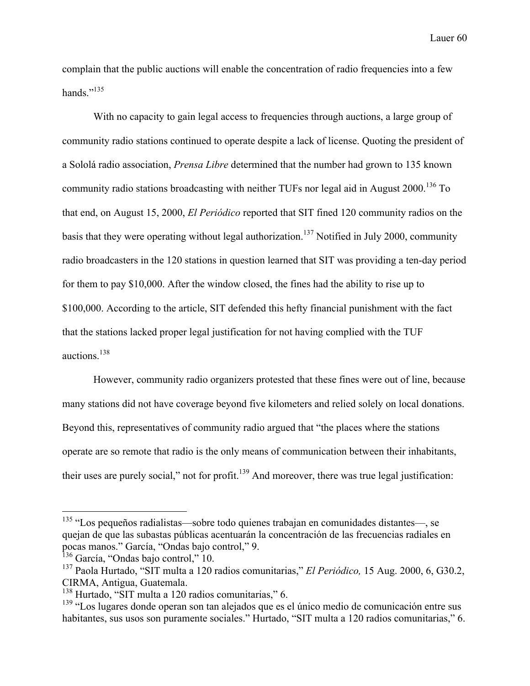complain that the public auctions will enable the concentration of radio frequencies into a few hands."<sup>135</sup>

With no capacity to gain legal access to frequencies through auctions, a large group of community radio stations continued to operate despite a lack of license. Quoting the president of a Sololá radio association, *Prensa Libre* determined that the number had grown to 135 known community radio stations broadcasting with neither TUFs nor legal aid in August 2000.<sup>136</sup> To that end, on August 15, 2000, *El Periódico* reported that SIT fined 120 community radios on the basis that they were operating without legal authorization.<sup>137</sup> Notified in July 2000, community radio broadcasters in the 120 stations in question learned that SIT was providing a ten-day period for them to pay \$10,000. After the window closed, the fines had the ability to rise up to \$100,000. According to the article, SIT defended this hefty financial punishment with the fact that the stations lacked proper legal justification for not having complied with the TUF auctions.138

However, community radio organizers protested that these fines were out of line, because many stations did not have coverage beyond five kilometers and relied solely on local donations. Beyond this, representatives of community radio argued that "the places where the stations operate are so remote that radio is the only means of communication between their inhabitants, their uses are purely social," not for profit.<sup>139</sup> And moreover, there was true legal justification:

<sup>&</sup>lt;sup>135</sup> "Los pequeños radialistas—sobre todo quienes trabajan en comunidades distantes—, se quejan de que las subastas públicas acentuarán la concentración de las frecuencias radiales en pocas manos." García, "Ondas bajo control," 9.

<sup>&</sup>lt;sup>136</sup> García, "Ondas bajo control," 10.

<sup>137</sup> Paola Hurtado, "SIT multa a 120 radios comunitarias," *El Periódico,* 15 Aug. 2000, 6, G30.2, CIRMA, Antigua, Guatemala.

<sup>138</sup> Hurtado, "SIT multa a 120 radios comunitarias," 6.

<sup>&</sup>lt;sup>139</sup> "Los lugares donde operan son tan alejados que es el único medio de comunicación entre sus habitantes, sus usos son puramente sociales." Hurtado, "SIT multa a 120 radios comunitarias," 6.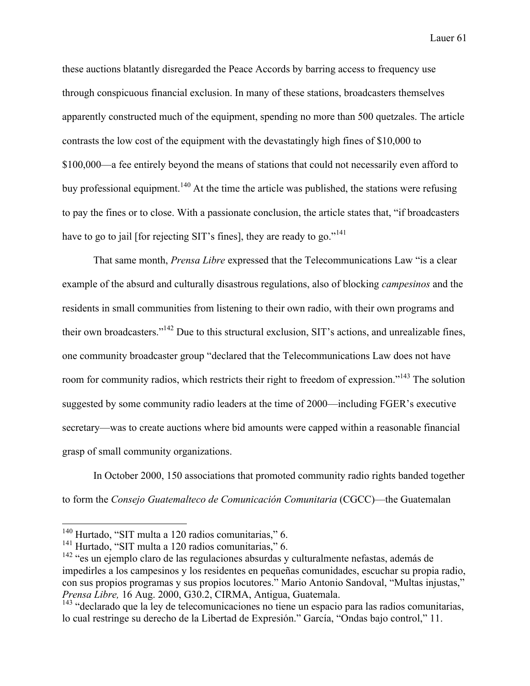these auctions blatantly disregarded the Peace Accords by barring access to frequency use through conspicuous financial exclusion. In many of these stations, broadcasters themselves apparently constructed much of the equipment, spending no more than 500 quetzales. The article contrasts the low cost of the equipment with the devastatingly high fines of \$10,000 to \$100,000—a fee entirely beyond the means of stations that could not necessarily even afford to buy professional equipment.<sup>140</sup> At the time the article was published, the stations were refusing to pay the fines or to close. With a passionate conclusion, the article states that, "if broadcasters have to go to jail [for rejecting SIT's fines], they are ready to go."<sup>141</sup>

That same month, *Prensa Libre* expressed that the Telecommunications Law "is a clear example of the absurd and culturally disastrous regulations, also of blocking *campesinos* and the residents in small communities from listening to their own radio, with their own programs and their own broadcasters."142 Due to this structural exclusion, SIT's actions, and unrealizable fines, one community broadcaster group "declared that the Telecommunications Law does not have room for community radios, which restricts their right to freedom of expression."<sup>143</sup> The solution suggested by some community radio leaders at the time of 2000—including FGER's executive secretary—was to create auctions where bid amounts were capped within a reasonable financial grasp of small community organizations.

In October 2000, 150 associations that promoted community radio rights banded together to form the *Consejo Guatemalteco de Comunicación Comunitaria* (CGCC)—the Guatemalan

 <sup>140</sup> Hurtado, "SIT multa a 120 radios comunitarias," 6.

 $141$  Hurtado, "SIT multa a 120 radios comunitarias," 6.

<sup>&</sup>lt;sup>142</sup> "es un ejemplo claro de las regulaciones absurdas y culturalmente nefastas, además de impedirles a los campesinos y los residentes en pequeñas comunidades, escuchar su propia radio, con sus propios programas y sus propios locutores." Mario Antonio Sandoval, "Multas injustas," *Prensa Libre,* 16 Aug. 2000, G30.2, CIRMA, Antigua, Guatemala.

<sup>&</sup>lt;sup>143</sup> "declarado que la ley de telecomunicaciones no tiene un espacio para las radios comunitarias, lo cual restringe su derecho de la Libertad de Expresión." García, "Ondas bajo control," 11.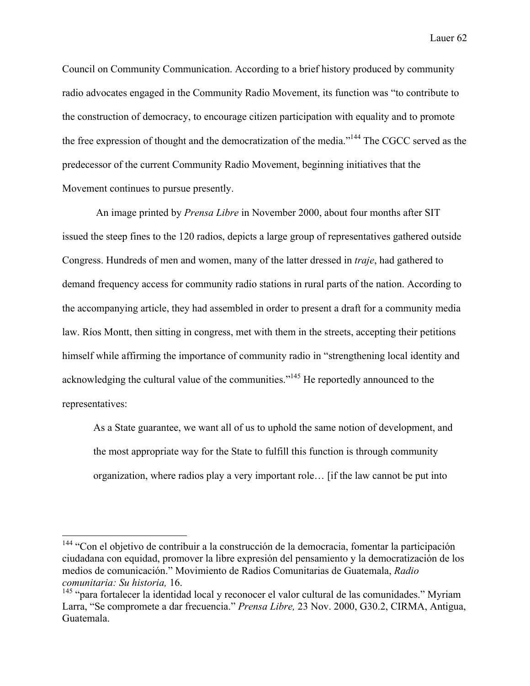Council on Community Communication. According to a brief history produced by community radio advocates engaged in the Community Radio Movement, its function was "to contribute to the construction of democracy, to encourage citizen participation with equality and to promote the free expression of thought and the democratization of the media."144 The CGCC served as the predecessor of the current Community Radio Movement, beginning initiatives that the Movement continues to pursue presently.

An image printed by *Prensa Libre* in November 2000, about four months after SIT issued the steep fines to the 120 radios, depicts a large group of representatives gathered outside Congress. Hundreds of men and women, many of the latter dressed in *traje*, had gathered to demand frequency access for community radio stations in rural parts of the nation. According to the accompanying article, they had assembled in order to present a draft for a community media law. Ríos Montt, then sitting in congress, met with them in the streets, accepting their petitions himself while affirming the importance of community radio in "strengthening local identity and acknowledging the cultural value of the communities."<sup>145</sup> He reportedly announced to the representatives:

As a State guarantee, we want all of us to uphold the same notion of development, and the most appropriate way for the State to fulfill this function is through community organization, where radios play a very important role… [if the law cannot be put into

<sup>&</sup>lt;sup>144</sup> "Con el objetivo de contribuir a la construcción de la democracia, fomentar la participación ciudadana con equidad, promover la libre expresión del pensamiento y la democratización de los medios de comunicación." Movimiento de Radios Comunitarias de Guatemala, *Radio comunitaria: Su historia,* 16.

 $145$  "para fortalecer la identidad local y reconocer el valor cultural de las comunidades." Myriam Larra, "Se compromete a dar frecuencia." *Prensa Libre,* 23 Nov. 2000, G30.2, CIRMA, Antigua, Guatemala.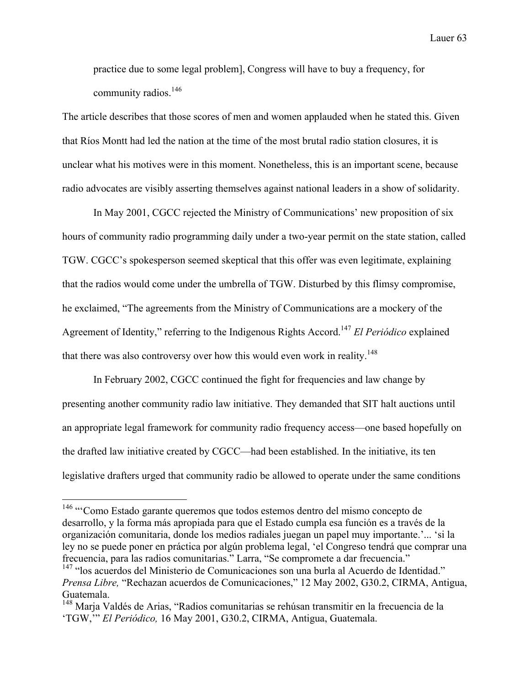practice due to some legal problem], Congress will have to buy a frequency, for community radios.<sup>146</sup>

The article describes that those scores of men and women applauded when he stated this. Given that Ríos Montt had led the nation at the time of the most brutal radio station closures, it is unclear what his motives were in this moment. Nonetheless, this is an important scene, because radio advocates are visibly asserting themselves against national leaders in a show of solidarity.

In May 2001, CGCC rejected the Ministry of Communications' new proposition of six hours of community radio programming daily under a two-year permit on the state station, called TGW. CGCC's spokesperson seemed skeptical that this offer was even legitimate, explaining that the radios would come under the umbrella of TGW. Disturbed by this flimsy compromise, he exclaimed, "The agreements from the Ministry of Communications are a mockery of the Agreement of Identity," referring to the Indigenous Rights Accord.147 *El Periódico* explained that there was also controversy over how this would even work in reality.<sup>148</sup>

In February 2002, CGCC continued the fight for frequencies and law change by presenting another community radio law initiative. They demanded that SIT halt auctions until an appropriate legal framework for community radio frequency access—one based hopefully on the drafted law initiative created by CGCC—had been established. In the initiative, its ten legislative drafters urged that community radio be allowed to operate under the same conditions

 <sup>146</sup> "'Como Estado garante queremos que todos estemos dentro del mismo concepto de desarrollo, y la forma más apropiada para que el Estado cumpla esa función es a través de la organización comunitaria, donde los medios radiales juegan un papel muy importante.'... 'si la ley no se puede poner en práctica por algún problema legal, 'el Congreso tendrá que comprar una frecuencia, para las radios comunitarias." Larra, "Se compromete a dar frecuencia." <sup>147</sup> "los acuerdos del Ministerio de Comunicaciones son una burla al Acuerdo de Identidad."

*Prensa Libre,* "Rechazan acuerdos de Comunicaciones," 12 May 2002, G30.2, CIRMA, Antigua, Guatemala.

<sup>&</sup>lt;sup>148</sup> Marja Valdés de Arias, "Radios comunitarias se rehúsan transmitir en la frecuencia de la 'TGW,'" *El Periódico,* 16 May 2001, G30.2, CIRMA, Antigua, Guatemala.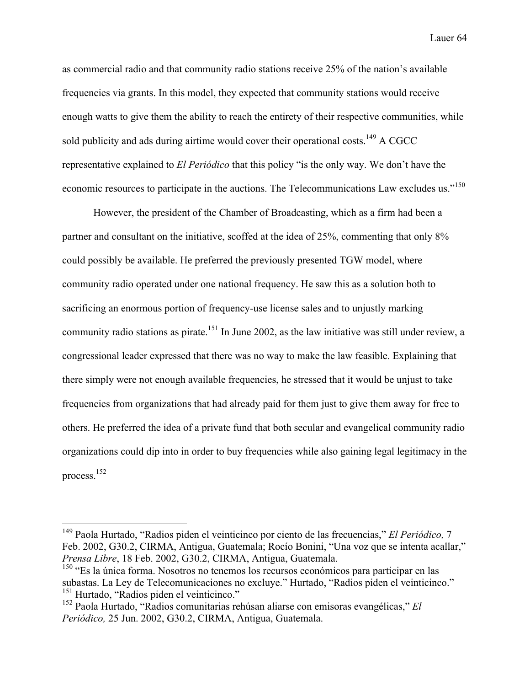as commercial radio and that community radio stations receive 25% of the nation's available frequencies via grants. In this model, they expected that community stations would receive enough watts to give them the ability to reach the entirety of their respective communities, while sold publicity and ads during airtime would cover their operational costs.<sup>149</sup> A CGCC representative explained to *El Periódico* that this policy "is the only way. We don't have the economic resources to participate in the auctions. The Telecommunications Law excludes us."<sup>150</sup>

However, the president of the Chamber of Broadcasting, which as a firm had been a partner and consultant on the initiative, scoffed at the idea of 25%, commenting that only 8% could possibly be available. He preferred the previously presented TGW model, where community radio operated under one national frequency. He saw this as a solution both to sacrificing an enormous portion of frequency-use license sales and to unjustly marking community radio stations as pirate.<sup>151</sup> In June 2002, as the law initiative was still under review, a congressional leader expressed that there was no way to make the law feasible. Explaining that there simply were not enough available frequencies, he stressed that it would be unjust to take frequencies from organizations that had already paid for them just to give them away for free to others. He preferred the idea of a private fund that both secular and evangelical community radio organizations could dip into in order to buy frequencies while also gaining legal legitimacy in the process.152

 <sup>149</sup> Paola Hurtado, "Radios piden el veinticinco por ciento de las frecuencias," *El Periódico,* <sup>7</sup> Feb. 2002, G30.2, CIRMA, Antigua, Guatemala; Rocío Bonini, "Una voz que se intenta acallar," *Prensa Libre*, 18 Feb. 2002, G30.2, CIRMA, Antigua, Guatemala.<br><sup>150</sup> "Es la única forma. Nosotros no tenemos los recursos económicos para participar en las

subastas. La Ley de Telecomunicaciones no excluye." Hurtado, "Radios piden el veinticinco." <sup>151</sup> Hurtado, "Radios piden el veinticinco."

<sup>152</sup> Paola Hurtado, "Radios comunitarias rehúsan aliarse con emisoras evangélicas," *El Periódico,* 25 Jun. 2002, G30.2, CIRMA, Antigua, Guatemala.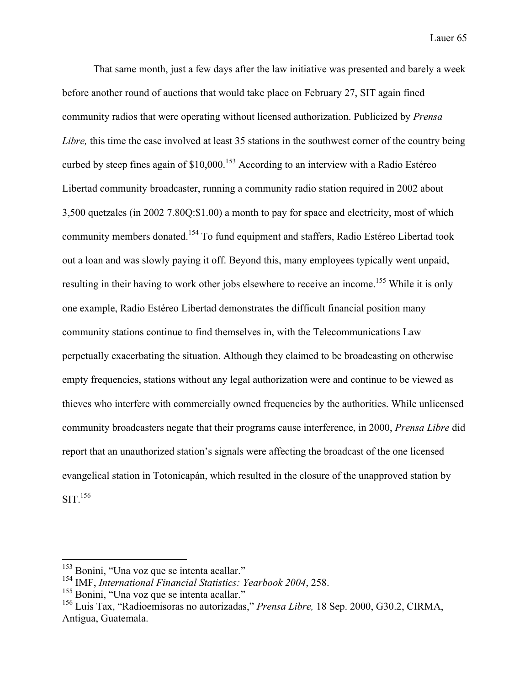That same month, just a few days after the law initiative was presented and barely a week before another round of auctions that would take place on February 27, SIT again fined community radios that were operating without licensed authorization. Publicized by *Prensa Libre,* this time the case involved at least 35 stations in the southwest corner of the country being curbed by steep fines again of \$10,000.<sup>153</sup> According to an interview with a Radio Estéreo Libertad community broadcaster, running a community radio station required in 2002 about 3,500 quetzales (in 2002 7.80Q:\$1.00) a month to pay for space and electricity, most of which community members donated.<sup>154</sup> To fund equipment and staffers, Radio Estéreo Libertad took out a loan and was slowly paying it off. Beyond this, many employees typically went unpaid, resulting in their having to work other jobs elsewhere to receive an income.<sup>155</sup> While it is only one example, Radio Estéreo Libertad demonstrates the difficult financial position many community stations continue to find themselves in, with the Telecommunications Law perpetually exacerbating the situation. Although they claimed to be broadcasting on otherwise empty frequencies, stations without any legal authorization were and continue to be viewed as thieves who interfere with commercially owned frequencies by the authorities. While unlicensed community broadcasters negate that their programs cause interference, in 2000, *Prensa Libre* did report that an unauthorized station's signals were affecting the broadcast of the one licensed evangelical station in Totonicapán, which resulted in the closure of the unapproved station by  $SIT.<sup>156</sup>$ 

<sup>&</sup>lt;sup>153</sup> Bonini, "Una voz que se intenta acallar."

<sup>154</sup> IMF, *International Financial Statistics: Yearbook 2004*, 258.

 $155$  Bonini. "Una voz que se intenta acallar."

<sup>156</sup> Luis Tax, "Radioemisoras no autorizadas," *Prensa Libre,* 18 Sep. 2000, G30.2, CIRMA, Antigua, Guatemala.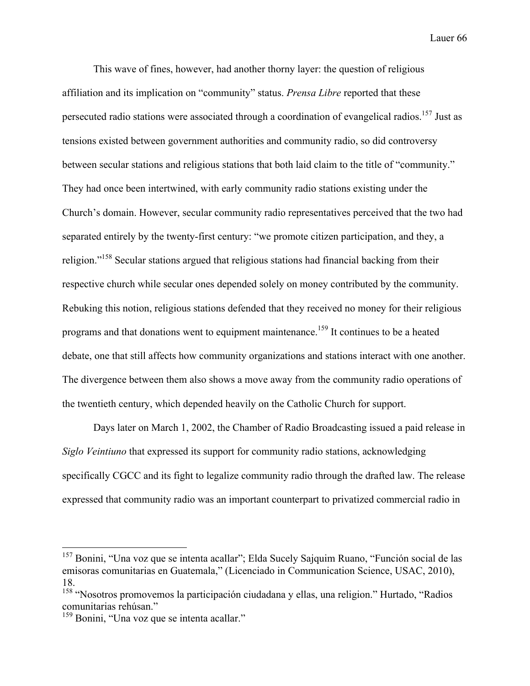This wave of fines, however, had another thorny layer: the question of religious affiliation and its implication on "community" status. *Prensa Libre* reported that these persecuted radio stations were associated through a coordination of evangelical radios.<sup>157</sup> Just as tensions existed between government authorities and community radio, so did controversy between secular stations and religious stations that both laid claim to the title of "community." They had once been intertwined, with early community radio stations existing under the Church's domain. However, secular community radio representatives perceived that the two had separated entirely by the twenty-first century: "we promote citizen participation, and they, a religion."<sup>158</sup> Secular stations argued that religious stations had financial backing from their respective church while secular ones depended solely on money contributed by the community. Rebuking this notion, religious stations defended that they received no money for their religious programs and that donations went to equipment maintenance.<sup>159</sup> It continues to be a heated debate, one that still affects how community organizations and stations interact with one another. The divergence between them also shows a move away from the community radio operations of the twentieth century, which depended heavily on the Catholic Church for support.

Days later on March 1, 2002, the Chamber of Radio Broadcasting issued a paid release in *Siglo Veintiuno* that expressed its support for community radio stations, acknowledging specifically CGCC and its fight to legalize community radio through the drafted law. The release expressed that community radio was an important counterpart to privatized commercial radio in

<sup>&</sup>lt;sup>157</sup> Bonini, "Una voz que se intenta acallar"; Elda Sucely Sajquim Ruano, "Función social de las emisoras comunitarias en Guatemala," (Licenciado in Communication Science, USAC, 2010), 18.

<sup>158</sup> "Nosotros promovemos la participación ciudadana y ellas, una religion." Hurtado, "Radios comunitarias rehúsan."

<sup>159</sup> Bonini, "Una voz que se intenta acallar."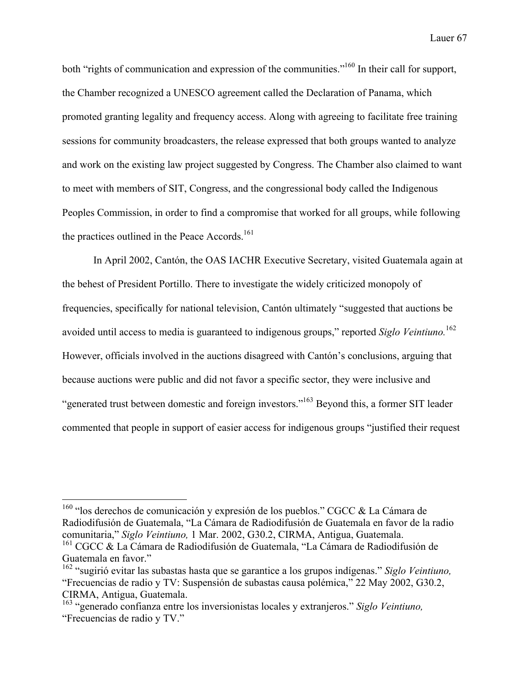both "rights of communication and expression of the communities."<sup>160</sup> In their call for support, the Chamber recognized a UNESCO agreement called the Declaration of Panama, which promoted granting legality and frequency access. Along with agreeing to facilitate free training sessions for community broadcasters, the release expressed that both groups wanted to analyze and work on the existing law project suggested by Congress. The Chamber also claimed to want to meet with members of SIT, Congress, and the congressional body called the Indigenous Peoples Commission, in order to find a compromise that worked for all groups, while following the practices outlined in the Peace Accords. 161

In April 2002, Cantón, the OAS IACHR Executive Secretary, visited Guatemala again at the behest of President Portillo. There to investigate the widely criticized monopoly of frequencies, specifically for national television, Cantón ultimately "suggested that auctions be avoided until access to media is guaranteed to indigenous groups," reported *Siglo Veintiuno.* 162 However, officials involved in the auctions disagreed with Cantón's conclusions, arguing that because auctions were public and did not favor a specific sector, they were inclusive and "generated trust between domestic and foreign investors."163 Beyond this, a former SIT leader commented that people in support of easier access for indigenous groups "justified their request

<sup>&</sup>lt;sup>160</sup> "los derechos de comunicación y expresión de los pueblos." CGCC & La Cámara de Radiodifusión de Guatemala, "La Cámara de Radiodifusión de Guatemala en favor de la radio comunitaria," *Siglo Veintiuno,* 1 Mar. 2002, G30.2, CIRMA, Antigua, Guatemala.

<sup>&</sup>lt;sup>161</sup> CGCC & La Cámara de Radiodifusión de Guatemala, "La Cámara de Radiodifusión de Guatemala en favor."

<sup>162</sup> "sugirió evitar las subastas hasta que se garantice a los grupos indígenas." *Siglo Veintiuno,* "Frecuencias de radio y TV: Suspensión de subastas causa polémica," 22 May 2002, G30.2, CIRMA, Antigua, Guatemala.

<sup>163</sup> "generado confianza entre los inversionistas locales y extranjeros." *Siglo Veintiuno,* "Frecuencias de radio y TV."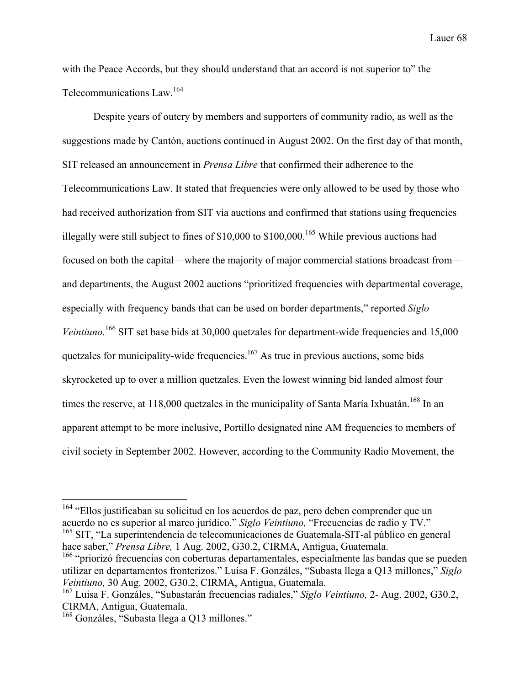with the Peace Accords, but they should understand that an accord is not superior to" the Telecommunications Law.164

Despite years of outcry by members and supporters of community radio, as well as the suggestions made by Cantón, auctions continued in August 2002. On the first day of that month, SIT released an announcement in *Prensa Libre* that confirmed their adherence to the Telecommunications Law. It stated that frequencies were only allowed to be used by those who had received authorization from SIT via auctions and confirmed that stations using frequencies illegally were still subject to fines of  $$10,000$  to  $$100,000$ .<sup>165</sup> While previous auctions had focused on both the capital—where the majority of major commercial stations broadcast from and departments, the August 2002 auctions "prioritized frequencies with departmental coverage, especially with frequency bands that can be used on border departments," reported *Siglo*  Veintiuno.<sup>166</sup> SIT set base bids at 30,000 quetzales for department-wide frequencies and 15,000 quetzales for municipality-wide frequencies.<sup>167</sup> As true in previous auctions, some bids skyrocketed up to over a million quetzales. Even the lowest winning bid landed almost four times the reserve, at 118,000 quetzales in the municipality of Santa María Ixhuatán.<sup>168</sup> In an apparent attempt to be more inclusive, Portillo designated nine AM frequencies to members of civil society in September 2002. However, according to the Community Radio Movement, the

<sup>&</sup>lt;sup>164</sup> "Ellos justificaban su solicitud en los acuerdos de paz, pero deben comprender que un acuerdo no es superior al marco jurídico." *Siglo Veintiuno,* "Frecuencias de radio y TV." <sup>165</sup> SIT, "La superintendencia de telecomunicaciones de Guatemala-SIT-al público en general hace saber," *Prensa Libre,* 1 Aug. 2002, G30.2, CIRMA, Antigua, Guatemala.

<sup>&</sup>lt;sup>166</sup> "priorizó frecuencias con coberturas departamentales, especialmente las bandas que se pueden utilizar en departamentos fronterizos." Luisa F. Gonzáles, "Subasta llega a Q13 millones," *Siglo Veintiuno,* 30 Aug. 2002, G30.2, CIRMA, Antigua, Guatemala.

<sup>167</sup> Luisa F. Gonzáles, "Subastarán frecuencias radiales," *Siglo Veintiuno,* 2- Aug. 2002, G30.2, CIRMA, Antigua, Guatemala.

<sup>&</sup>lt;sup>168</sup> Gonzáles, "Subasta llega a Q13 millones."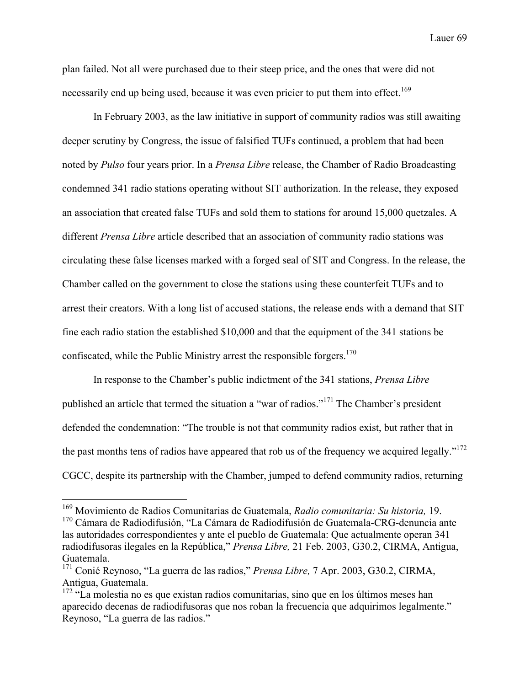plan failed. Not all were purchased due to their steep price, and the ones that were did not necessarily end up being used, because it was even pricier to put them into effect.<sup>169</sup>

In February 2003, as the law initiative in support of community radios was still awaiting deeper scrutiny by Congress, the issue of falsified TUFs continued, a problem that had been noted by *Pulso* four years prior. In a *Prensa Libre* release, the Chamber of Radio Broadcasting condemned 341 radio stations operating without SIT authorization. In the release, they exposed an association that created false TUFs and sold them to stations for around 15,000 quetzales. A different *Prensa Libre* article described that an association of community radio stations was circulating these false licenses marked with a forged seal of SIT and Congress. In the release, the Chamber called on the government to close the stations using these counterfeit TUFs and to arrest their creators. With a long list of accused stations, the release ends with a demand that SIT fine each radio station the established \$10,000 and that the equipment of the 341 stations be confiscated, while the Public Ministry arrest the responsible forgers.<sup>170</sup>

In response to the Chamber's public indictment of the 341 stations, *Prensa Libre*  published an article that termed the situation a "war of radios."<sup>171</sup> The Chamber's president defended the condemnation: "The trouble is not that community radios exist, but rather that in the past months tens of radios have appeared that rob us of the frequency we acquired legally."<sup>172</sup> CGCC, despite its partnership with the Chamber, jumped to defend community radios, returning

 <sup>169</sup> Movimiento de Radios Comunitarias de Guatemala, *Radio comunitaria: Su historia,* 19.  $170$  Cámara de Radiodifusión, "La Cámara de Radiodifusión de Guatemala-CRG-denuncia ante las autoridades correspondientes y ante el pueblo de Guatemala: Que actualmente operan 341 radiodifusoras ilegales en la República," *Prensa Libre,* 21 Feb. 2003, G30.2, CIRMA, Antigua, Guatemala.

<sup>171</sup> Conié Reynoso, "La guerra de las radios," *Prensa Libre,* 7 Apr. 2003, G30.2, CIRMA, Antigua, Guatemala.

<sup>&</sup>lt;sup>172</sup> "La molestia no es que existan radios comunitarias, sino que en los últimos meses han aparecido decenas de radiodifusoras que nos roban la frecuencia que adquirimos legalmente." Reynoso, "La guerra de las radios."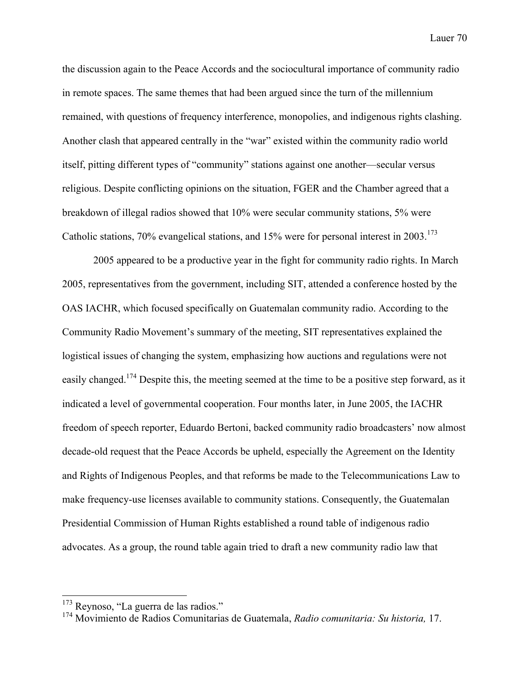the discussion again to the Peace Accords and the sociocultural importance of community radio in remote spaces. The same themes that had been argued since the turn of the millennium remained, with questions of frequency interference, monopolies, and indigenous rights clashing. Another clash that appeared centrally in the "war" existed within the community radio world itself, pitting different types of "community" stations against one another—secular versus religious. Despite conflicting opinions on the situation, FGER and the Chamber agreed that a breakdown of illegal radios showed that 10% were secular community stations, 5% were Catholic stations,  $70\%$  evangelical stations, and  $15\%$  were for personal interest in  $2003$ .<sup>173</sup>

2005 appeared to be a productive year in the fight for community radio rights. In March 2005, representatives from the government, including SIT, attended a conference hosted by the OAS IACHR, which focused specifically on Guatemalan community radio. According to the Community Radio Movement's summary of the meeting, SIT representatives explained the logistical issues of changing the system, emphasizing how auctions and regulations were not easily changed.<sup>174</sup> Despite this, the meeting seemed at the time to be a positive step forward, as it indicated a level of governmental cooperation. Four months later, in June 2005, the IACHR freedom of speech reporter, Eduardo Bertoni, backed community radio broadcasters' now almost decade-old request that the Peace Accords be upheld, especially the Agreement on the Identity and Rights of Indigenous Peoples, and that reforms be made to the Telecommunications Law to make frequency-use licenses available to community stations. Consequently, the Guatemalan Presidential Commission of Human Rights established a round table of indigenous radio advocates. As a group, the round table again tried to draft a new community radio law that

<sup>&</sup>lt;sup>173</sup> Reynoso, "La guerra de las radios."

<sup>174</sup> Movimiento de Radios Comunitarias de Guatemala, *Radio comunitaria: Su historia,* 17.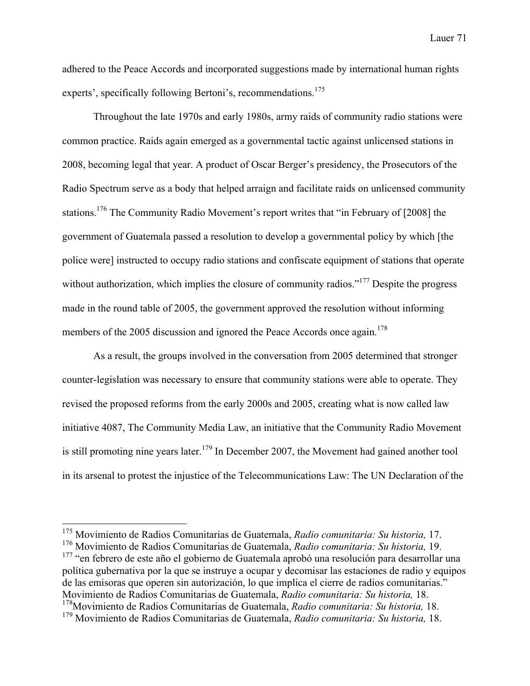adhered to the Peace Accords and incorporated suggestions made by international human rights experts', specifically following Bertoni's, recommendations.<sup>175</sup>

Throughout the late 1970s and early 1980s, army raids of community radio stations were common practice. Raids again emerged as a governmental tactic against unlicensed stations in 2008, becoming legal that year. A product of Oscar Berger's presidency, the Prosecutors of the Radio Spectrum serve as a body that helped arraign and facilitate raids on unlicensed community stations.176 The Community Radio Movement's report writes that "in February of [2008] the government of Guatemala passed a resolution to develop a governmental policy by which [the police were] instructed to occupy radio stations and confiscate equipment of stations that operate without authorization, which implies the closure of community radios."<sup>177</sup> Despite the progress made in the round table of 2005, the government approved the resolution without informing members of the 2005 discussion and ignored the Peace Accords once again.<sup>178</sup>

As a result, the groups involved in the conversation from 2005 determined that stronger counter-legislation was necessary to ensure that community stations were able to operate. They revised the proposed reforms from the early 2000s and 2005, creating what is now called law initiative 4087, The Community Media Law, an initiative that the Community Radio Movement is still promoting nine years later.<sup>179</sup> In December 2007, the Movement had gained another tool in its arsenal to protest the injustice of the Telecommunications Law: The UN Declaration of the

<sup>177</sup> "en febrero de este año el gobierno de Guatemala aprobó una resolución para desarrollar una política gubernativa por la que se instruye a ocupar y decomisar las estaciones de radio y equipos de las emisoras que operen sin autorización, lo que implica el cierre de radios comunitarias." Movimiento de Radios Comunitarias de Guatemala, *Radio comunitaria: Su historia,* 18. 178Movimiento de Radios Comunitarias de Guatemala, *Radio comunitaria: Su historia,* 18.

 <sup>175</sup> Movimiento de Radios Comunitarias de Guatemala, *Radio comunitaria: Su historia,* 17.

<sup>176</sup> Movimiento de Radios Comunitarias de Guatemala, *Radio comunitaria: Su historia,* 19.

<sup>179</sup> Movimiento de Radios Comunitarias de Guatemala, *Radio comunitaria: Su historia,* 18.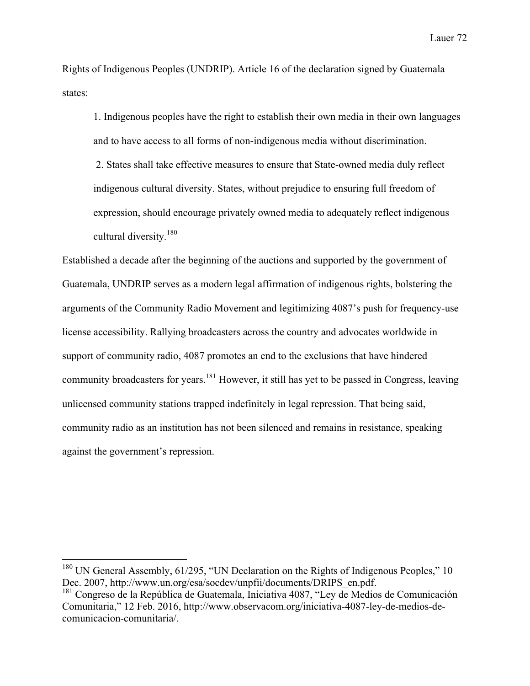Rights of Indigenous Peoples (UNDRIP). Article 16 of the declaration signed by Guatemala states:

1. Indigenous peoples have the right to establish their own media in their own languages and to have access to all forms of non-indigenous media without discrimination. 2. States shall take effective measures to ensure that State-owned media duly reflect indigenous cultural diversity. States, without prejudice to ensuring full freedom of expression, should encourage privately owned media to adequately reflect indigenous cultural diversity.<sup>180</sup>

Established a decade after the beginning of the auctions and supported by the government of Guatemala, UNDRIP serves as a modern legal affirmation of indigenous rights, bolstering the arguments of the Community Radio Movement and legitimizing 4087's push for frequency-use license accessibility. Rallying broadcasters across the country and advocates worldwide in support of community radio, 4087 promotes an end to the exclusions that have hindered community broadcasters for years.181 However, it still has yet to be passed in Congress, leaving unlicensed community stations trapped indefinitely in legal repression. That being said, community radio as an institution has not been silenced and remains in resistance, speaking against the government's repression.

<sup>&</sup>lt;sup>180</sup> UN General Assembly, 61/295, "UN Declaration on the Rights of Indigenous Peoples," 10 Dec. 2007, http://www.un.org/esa/socdev/unpfii/documents/DRIPS\_en.pdf. <sup>181</sup> Congreso de la República de Guatemala, Iniciativa 4087, "Ley de Medios de Comunicación

Comunitaria," 12 Feb. 2016, http://www.observacom.org/iniciativa-4087-ley-de-medios-decomunicacion-comunitaria/.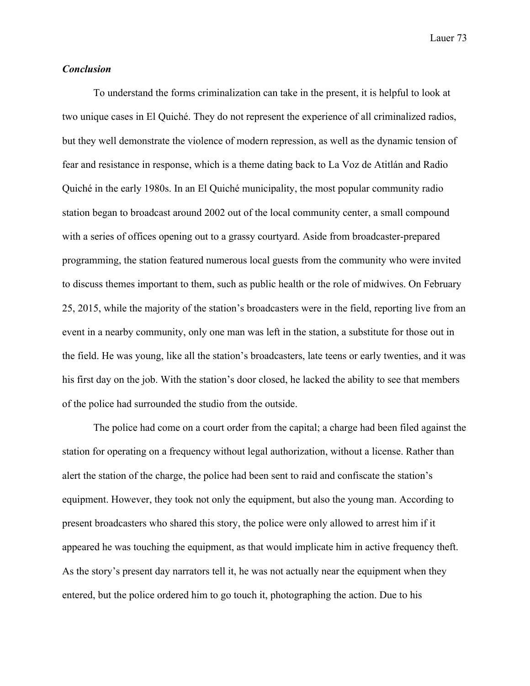## *Conclusion*

To understand the forms criminalization can take in the present, it is helpful to look at two unique cases in El Quiché. They do not represent the experience of all criminalized radios, but they well demonstrate the violence of modern repression, as well as the dynamic tension of fear and resistance in response, which is a theme dating back to La Voz de Atitlán and Radio Quiché in the early 1980s. In an El Quiché municipality, the most popular community radio station began to broadcast around 2002 out of the local community center, a small compound with a series of offices opening out to a grassy courtyard. Aside from broadcaster-prepared programming, the station featured numerous local guests from the community who were invited to discuss themes important to them, such as public health or the role of midwives. On February 25, 2015, while the majority of the station's broadcasters were in the field, reporting live from an event in a nearby community, only one man was left in the station, a substitute for those out in the field. He was young, like all the station's broadcasters, late teens or early twenties, and it was his first day on the job. With the station's door closed, he lacked the ability to see that members of the police had surrounded the studio from the outside.

The police had come on a court order from the capital; a charge had been filed against the station for operating on a frequency without legal authorization, without a license. Rather than alert the station of the charge, the police had been sent to raid and confiscate the station's equipment. However, they took not only the equipment, but also the young man. According to present broadcasters who shared this story, the police were only allowed to arrest him if it appeared he was touching the equipment, as that would implicate him in active frequency theft. As the story's present day narrators tell it, he was not actually near the equipment when they entered, but the police ordered him to go touch it, photographing the action. Due to his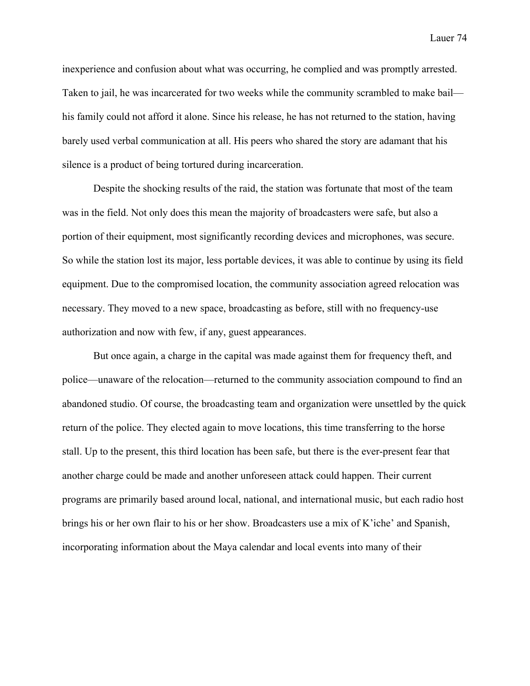inexperience and confusion about what was occurring, he complied and was promptly arrested. Taken to jail, he was incarcerated for two weeks while the community scrambled to make bail his family could not afford it alone. Since his release, he has not returned to the station, having barely used verbal communication at all. His peers who shared the story are adamant that his silence is a product of being tortured during incarceration.

Despite the shocking results of the raid, the station was fortunate that most of the team was in the field. Not only does this mean the majority of broadcasters were safe, but also a portion of their equipment, most significantly recording devices and microphones, was secure. So while the station lost its major, less portable devices, it was able to continue by using its field equipment. Due to the compromised location, the community association agreed relocation was necessary. They moved to a new space, broadcasting as before, still with no frequency-use authorization and now with few, if any, guest appearances.

But once again, a charge in the capital was made against them for frequency theft, and police—unaware of the relocation—returned to the community association compound to find an abandoned studio. Of course, the broadcasting team and organization were unsettled by the quick return of the police. They elected again to move locations, this time transferring to the horse stall. Up to the present, this third location has been safe, but there is the ever-present fear that another charge could be made and another unforeseen attack could happen. Their current programs are primarily based around local, national, and international music, but each radio host brings his or her own flair to his or her show. Broadcasters use a mix of K'iche' and Spanish, incorporating information about the Maya calendar and local events into many of their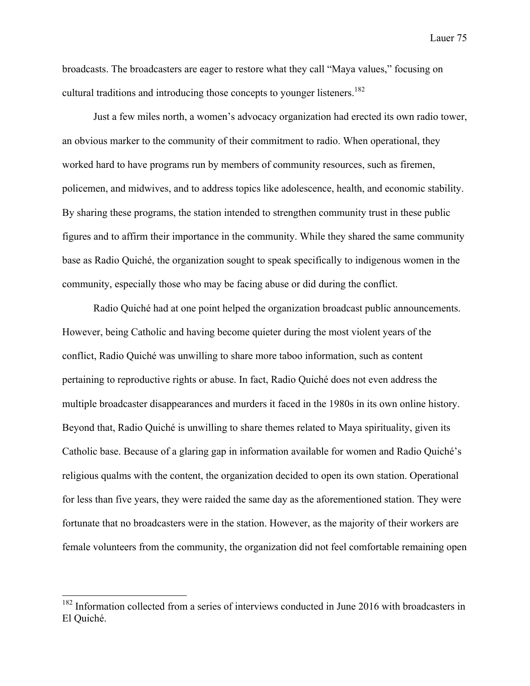broadcasts. The broadcasters are eager to restore what they call "Maya values," focusing on cultural traditions and introducing those concepts to younger listeners.<sup>182</sup>

Just a few miles north, a women's advocacy organization had erected its own radio tower, an obvious marker to the community of their commitment to radio. When operational, they worked hard to have programs run by members of community resources, such as firemen, policemen, and midwives, and to address topics like adolescence, health, and economic stability. By sharing these programs, the station intended to strengthen community trust in these public figures and to affirm their importance in the community. While they shared the same community base as Radio Quiché, the organization sought to speak specifically to indigenous women in the community, especially those who may be facing abuse or did during the conflict.

Radio Quiché had at one point helped the organization broadcast public announcements. However, being Catholic and having become quieter during the most violent years of the conflict, Radio Quiché was unwilling to share more taboo information, such as content pertaining to reproductive rights or abuse. In fact, Radio Quiché does not even address the multiple broadcaster disappearances and murders it faced in the 1980s in its own online history. Beyond that, Radio Quiché is unwilling to share themes related to Maya spirituality, given its Catholic base. Because of a glaring gap in information available for women and Radio Quiché's religious qualms with the content, the organization decided to open its own station. Operational for less than five years, they were raided the same day as the aforementioned station. They were fortunate that no broadcasters were in the station. However, as the majority of their workers are female volunteers from the community, the organization did not feel comfortable remaining open

<sup>&</sup>lt;sup>182</sup> Information collected from a series of interviews conducted in June 2016 with broadcasters in El Quiché.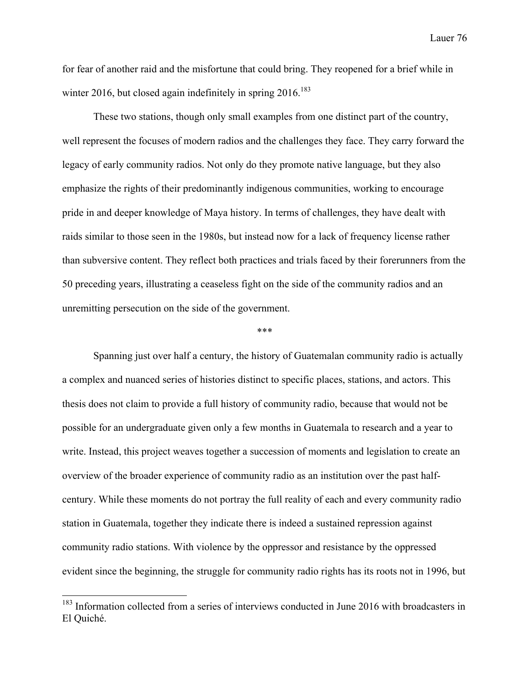for fear of another raid and the misfortune that could bring. They reopened for a brief while in winter 2016, but closed again indefinitely in spring  $2016$ <sup>183</sup>

These two stations, though only small examples from one distinct part of the country, well represent the focuses of modern radios and the challenges they face. They carry forward the legacy of early community radios. Not only do they promote native language, but they also emphasize the rights of their predominantly indigenous communities, working to encourage pride in and deeper knowledge of Maya history. In terms of challenges, they have dealt with raids similar to those seen in the 1980s, but instead now for a lack of frequency license rather than subversive content. They reflect both practices and trials faced by their forerunners from the 50 preceding years, illustrating a ceaseless fight on the side of the community radios and an unremitting persecution on the side of the government.

\*\*\*

Spanning just over half a century, the history of Guatemalan community radio is actually a complex and nuanced series of histories distinct to specific places, stations, and actors. This thesis does not claim to provide a full history of community radio, because that would not be possible for an undergraduate given only a few months in Guatemala to research and a year to write. Instead, this project weaves together a succession of moments and legislation to create an overview of the broader experience of community radio as an institution over the past halfcentury. While these moments do not portray the full reality of each and every community radio station in Guatemala, together they indicate there is indeed a sustained repression against community radio stations. With violence by the oppressor and resistance by the oppressed evident since the beginning, the struggle for community radio rights has its roots not in 1996, but

<sup>&</sup>lt;sup>183</sup> Information collected from a series of interviews conducted in June 2016 with broadcasters in El Quiché.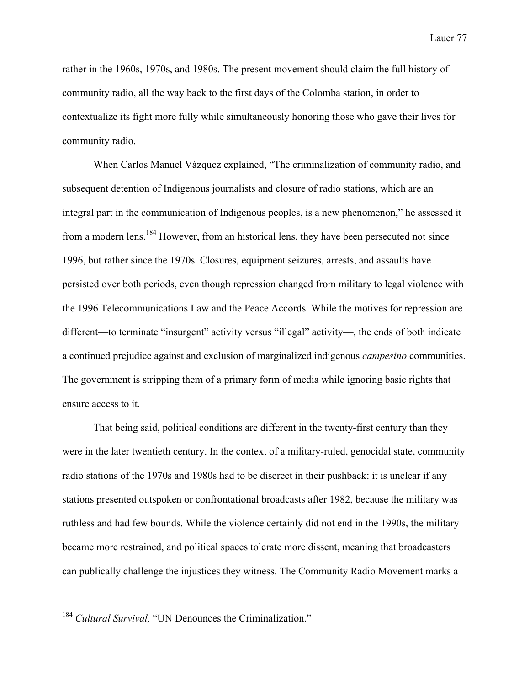rather in the 1960s, 1970s, and 1980s. The present movement should claim the full history of community radio, all the way back to the first days of the Colomba station, in order to contextualize its fight more fully while simultaneously honoring those who gave their lives for community radio.

When Carlos Manuel Vázquez explained, "The criminalization of community radio, and subsequent detention of Indigenous journalists and closure of radio stations, which are an integral part in the communication of Indigenous peoples, is a new phenomenon," he assessed it from a modern lens.<sup>184</sup> However, from an historical lens, they have been persecuted not since 1996, but rather since the 1970s. Closures, equipment seizures, arrests, and assaults have persisted over both periods, even though repression changed from military to legal violence with the 1996 Telecommunications Law and the Peace Accords. While the motives for repression are different—to terminate "insurgent" activity versus "illegal" activity—, the ends of both indicate a continued prejudice against and exclusion of marginalized indigenous *campesino* communities. The government is stripping them of a primary form of media while ignoring basic rights that ensure access to it.

That being said, political conditions are different in the twenty-first century than they were in the later twentieth century. In the context of a military-ruled, genocidal state, community radio stations of the 1970s and 1980s had to be discreet in their pushback: it is unclear if any stations presented outspoken or confrontational broadcasts after 1982, because the military was ruthless and had few bounds. While the violence certainly did not end in the 1990s, the military became more restrained, and political spaces tolerate more dissent, meaning that broadcasters can publically challenge the injustices they witness. The Community Radio Movement marks a

<sup>&</sup>lt;sup>184</sup> *Cultural Survival*. "UN Denounces the Criminalization."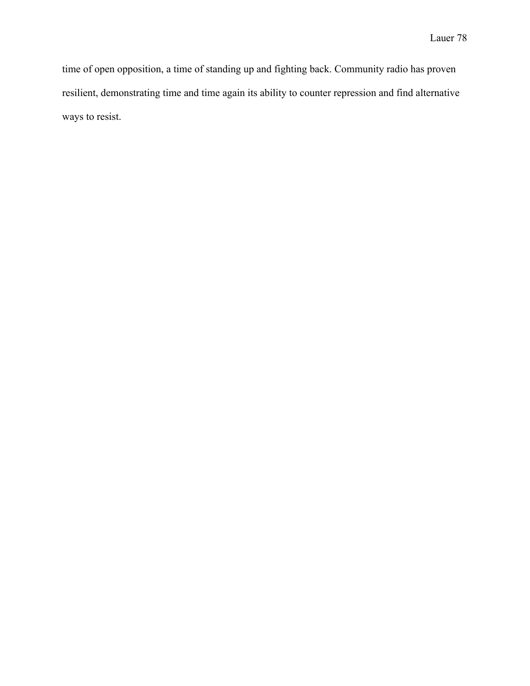time of open opposition, a time of standing up and fighting back. Community radio has proven resilient, demonstrating time and time again its ability to counter repression and find alternative ways to resist.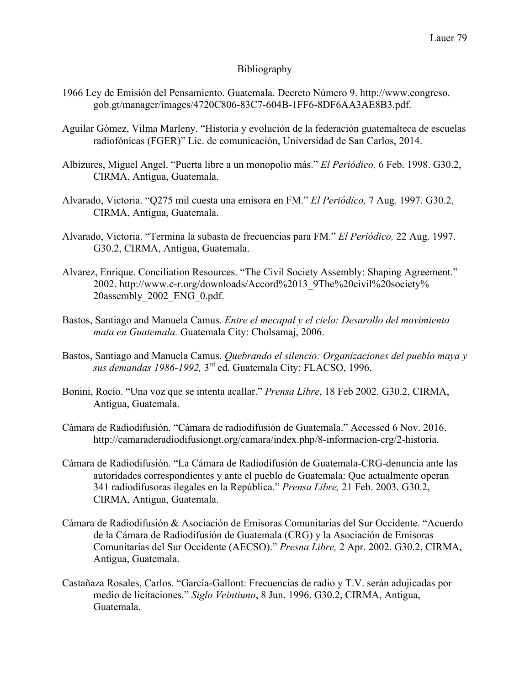## Bibliography

- 1966 Ley de Emisión del Pensamiento. Guatemala. Decreto Número 9. http://www.congreso. gob.gt/manager/images/4720C806-83C7-604B-1FF6-8DF6AA3AE8B3.pdf.
- Aguilar Gómez, Vilma Marleny. "Historia y evolución de la federación guatemalteca de escuelas radiofónicas (FGER)" Lic. de comunicación, Universidad de San Carlos, 2014.
- Albizures, Miguel Angel. "Puerta libre a un monopolio más." *El Periódico,* 6 Feb. 1998. G30.2, CIRMA, Antigua, Guatemala.
- Alvarado, Victoria. "Q275 mil cuesta una emisora en FM." *El Periódico,* 7 Aug. 1997. G30.2, CIRMA, Antigua, Guatemala.
- Alvarado, Victoria. "Termina la subasta de frecuencias para FM." *El Periódico,* 22 Aug. 1997. G30.2, CIRMA, Antigua, Guatemala.
- Alvarez, Enrique. Conciliation Resources. "The Civil Society Assembly: Shaping Agreement." 2002. http://www.c-r.org/downloads/Accord%2013\_9The%20civil%20society% 20assembly\_2002\_ENG\_0.pdf.
- Bastos, Santiago and Manuela Camus. *Entre el mecapal y el cielo: Desarollo del movimiento mata en Guatemala.* Guatemala City: Cholsamaj, 2006.
- Bastos, Santiago and Manuela Camus. *Quebrando el silencio: Organizaciones del pueblo maya y sus demandas 1986-1992,* 3rd ed*.* Guatemala City: FLACSO, 1996.
- Bonini, Rocío. "Una voz que se intenta acallar." *Prensa Libre*, 18 Feb 2002. G30.2, CIRMA, Antigua, Guatemala.
- Cámara de Radiodifusión. "Cámara de radiodifusión de Guatemala." Accessed 6 Nov. 2016. http://camaraderadiodifusiongt.org/camara/index.php/8-informacion-crg/2-historia.
- Cámara de Radiodifusión. "La Cámara de Radiodifusión de Guatemala-CRG-denuncia ante las autoridades correspondientes y ante el pueblo de Guatemala: Que actualmente operan 341 radiodifusoras ilegales en la República." *Prensa Libre,* 21 Feb. 2003. G30.2, CIRMA, Antigua, Guatemala.
- Cámara de Radiodifusión & Asociación de Emisoras Comunitarias del Sur Occidente. "Acuerdo de la Cámara de Radiodifusión de Guatemala (CRG) y la Asociación de Emisoras Comunitarias del Sur Occidente (AECSO)." *Presna Libre,* 2 Apr. 2002. G30.2, CIRMA, Antigua, Guatemala.
- Castañaza Rosales, Carlos. "García-Gallont: Frecuencias de radio y T.V. serán adujicadas por medio de licitaciones." *Siglo Veintiuno*, 8 Jun. 1996. G30.2, CIRMA, Antigua, Guatemala.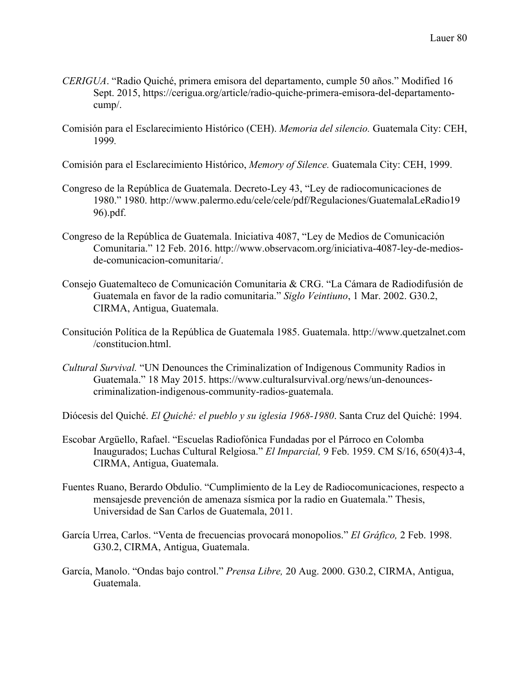- *CERIGUA*. "Radio Quiché, primera emisora del departamento, cumple 50 años." Modified 16 Sept. 2015, https://cerigua.org/article/radio-quiche-primera-emisora-del-departamentocump/.
- Comisión para el Esclarecimiento Histórico (CEH). *Memoria del silencio.* Guatemala City: CEH, 1999*.*

Comisión para el Esclarecimiento Histórico, *Memory of Silence.* Guatemala City: CEH, 1999.

- Congreso de la República de Guatemala. Decreto-Ley 43, "Ley de radiocomunicaciones de 1980." 1980. http://www.palermo.edu/cele/cele/pdf/Regulaciones/GuatemalaLeRadio19 96).pdf.
- Congreso de la República de Guatemala. Iniciativa 4087, "Ley de Medios de Comunicación Comunitaria." 12 Feb. 2016. http://www.observacom.org/iniciativa-4087-ley-de-mediosde-comunicacion-comunitaria/.
- Consejo Guatemalteco de Comunicación Comunitaria & CRG. "La Cámara de Radiodifusión de Guatemala en favor de la radio comunitaria." *Siglo Veintiuno*, 1 Mar. 2002. G30.2, CIRMA, Antigua, Guatemala.
- Consitución Política de la República de Guatemala 1985. Guatemala. http://www.quetzalnet.com /constitucion.html.
- *Cultural Survival.* "UN Denounces the Criminalization of Indigenous Community Radios in Guatemala." 18 May 2015. https://www.culturalsurvival.org/news/un-denouncescriminalization-indigenous-community-radios-guatemala.

Diócesis del Quiché. *El Quiché: el pueblo y su iglesia 1968-1980*. Santa Cruz del Quiché: 1994.

- Escobar Argüello, Rafael. "Escuelas Radiofónica Fundadas por el Párroco en Colomba Inaugurados; Luchas Cultural Relgiosa." *El Imparcial,* 9 Feb. 1959. CM S/16, 650(4)3-4, CIRMA, Antigua, Guatemala.
- Fuentes Ruano, Berardo Obdulio. "Cumplimiento de la Ley de Radiocomunicaciones, respecto a mensajesde prevención de amenaza sísmica por la radio en Guatemala." Thesis, Universidad de San Carlos de Guatemala, 2011.
- García Urrea, Carlos. "Venta de frecuencias provocará monopolios." *El Gráfico,* 2 Feb. 1998. G30.2, CIRMA, Antigua, Guatemala.
- García, Manolo. "Ondas bajo control." *Prensa Libre,* 20 Aug. 2000. G30.2, CIRMA, Antigua, Guatemala.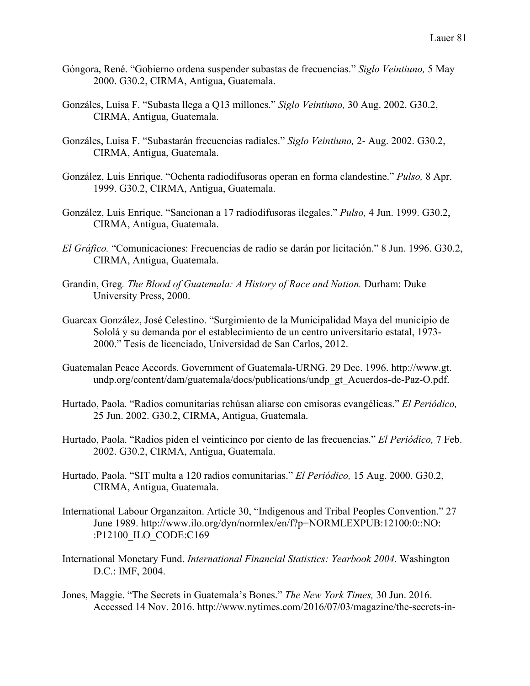- Góngora, René. "Gobierno ordena suspender subastas de frecuencias." *Siglo Veintiuno,* 5 May 2000. G30.2, CIRMA, Antigua, Guatemala.
- Gonzáles, Luisa F. "Subasta llega a Q13 millones." *Siglo Veintiuno,* 30 Aug. 2002. G30.2, CIRMA, Antigua, Guatemala.
- Gonzáles, Luisa F. "Subastarán frecuencias radiales." *Siglo Veintiuno,* 2- Aug. 2002. G30.2, CIRMA, Antigua, Guatemala.
- González, Luis Enrique. "Ochenta radiodifusoras operan en forma clandestine." *Pulso,* 8 Apr. 1999. G30.2, CIRMA, Antigua, Guatemala.
- González, Luis Enrique. "Sancionan a 17 radiodifusoras ilegales." *Pulso,* 4 Jun. 1999. G30.2, CIRMA, Antigua, Guatemala.
- *El Gráfico.* "Comunicaciones: Frecuencias de radio se darán por licitación." 8 Jun. 1996. G30.2, CIRMA, Antigua, Guatemala.
- Grandin, Greg*. The Blood of Guatemala: A History of Race and Nation.* Durham: Duke University Press, 2000.
- Guarcax González, José Celestino. "Surgimiento de la Municipalidad Maya del municipio de Sololá y su demanda por el establecimiento de un centro universitario estatal, 1973- 2000." Tesis de licenciado, Universidad de San Carlos, 2012.
- Guatemalan Peace Accords. Government of Guatemala-URNG. 29 Dec. 1996. http://www.gt. undp.org/content/dam/guatemala/docs/publications/undp\_gt\_Acuerdos-de-Paz-O.pdf.
- Hurtado, Paola. "Radios comunitarias rehúsan aliarse con emisoras evangélicas." *El Periódico,*  25 Jun. 2002. G30.2, CIRMA, Antigua, Guatemala.
- Hurtado, Paola. "Radios piden el veinticinco por ciento de las frecuencias." *El Periódico,* 7 Feb. 2002. G30.2, CIRMA, Antigua, Guatemala.
- Hurtado, Paola. "SIT multa a 120 radios comunitarias." *El Periódico,* 15 Aug. 2000. G30.2, CIRMA, Antigua, Guatemala.
- International Labour Organzaiton. Article 30, "Indigenous and Tribal Peoples Convention." 27 June 1989. http://www.ilo.org/dyn/normlex/en/f?p=NORMLEXPUB:12100:0::NO: :P12100\_ILO\_CODE:C169
- International Monetary Fund. *International Financial Statistics: Yearbook 2004.* Washington D.C.: IMF, 2004.
- Jones, Maggie. "The Secrets in Guatemala's Bones." *The New York Times,* 30 Jun. 2016. Accessed 14 Nov. 2016. http://www.nytimes.com/2016/07/03/magazine/the-secrets-in-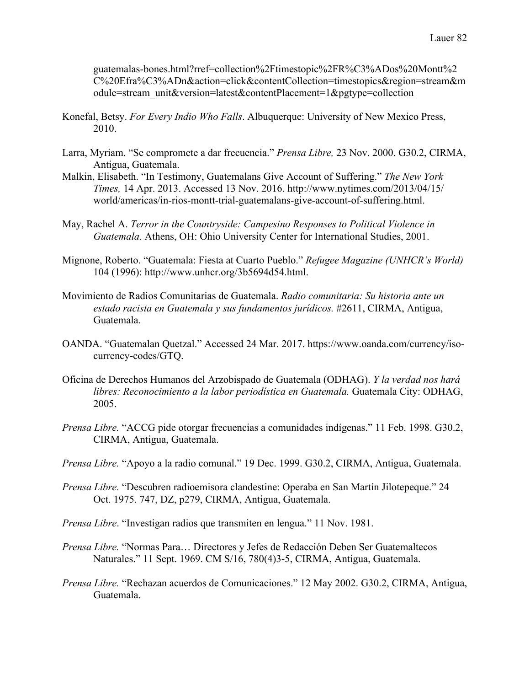guatemalas-bones.html?rref=collection%2Ftimestopic%2FR%C3%ADos%20Montt%2 C%20Efra%C3%ADn&action=click&contentCollection=timestopics&region=stream&m odule=stream\_unit&version=latest&contentPlacement=1&pgtype=collection

- Konefal, Betsy. *For Every Indio Who Falls*. Albuquerque: University of New Mexico Press, 2010.
- Larra, Myriam. "Se compromete a dar frecuencia." *Prensa Libre,* 23 Nov. 2000. G30.2, CIRMA, Antigua, Guatemala.
- Malkin, Elisabeth. "In Testimony, Guatemalans Give Account of Suffering." *The New York Times,* 14 Apr. 2013. Accessed 13 Nov. 2016. http://www.nytimes.com/2013/04/15/ world/americas/in-rios-montt-trial-guatemalans-give-account-of-suffering.html.
- May, Rachel A. *Terror in the Countryside: Campesino Responses to Political Violence in Guatemala.* Athens, OH: Ohio University Center for International Studies, 2001.
- Mignone, Roberto. "Guatemala: Fiesta at Cuarto Pueblo." *Refugee Magazine (UNHCR's World)*  104 (1996): http://www.unhcr.org/3b5694d54.html.
- Movimiento de Radios Comunitarias de Guatemala. *Radio comunitaria: Su historia ante un*  estado racista en Guatemala y sus fundamentos jurídicos. #2611, CIRMA, Antigua, Guatemala.
- OANDA. "Guatemalan Quetzal." Accessed 24 Mar. 2017. https://www.oanda.com/currency/isocurrency-codes/GTQ.
- Oficina de Derechos Humanos del Arzobispado de Guatemala (ODHAG). *Y la verdad nos hará libres: Reconocimiento a la labor periodística en Guatemala.* Guatemala City: ODHAG, 2005.
- *Prensa Libre.* "ACCG pide otorgar frecuencias a comunidades indígenas." 11 Feb. 1998. G30.2, CIRMA, Antigua, Guatemala.
- *Prensa Libre.* "Apoyo a la radio comunal." 19 Dec. 1999. G30.2, CIRMA, Antigua, Guatemala.
- *Prensa Libre.* "Descubren radioemisora clandestine: Operaba en San Martín Jilotepeque." 24 Oct. 1975. 747, DZ, p279, CIRMA, Antigua, Guatemala.
- *Prensa Libre*. "Investigan radios que transmiten en lengua." 11 Nov. 1981.
- *Prensa Libre.* "Normas Para… Directores y Jefes de Redacción Deben Ser Guatemaltecos Naturales." 11 Sept. 1969. CM S/16, 780(4)3-5, CIRMA, Antigua, Guatemala.
- *Prensa Libre.* "Rechazan acuerdos de Comunicaciones." 12 May 2002. G30.2, CIRMA, Antigua, Guatemala.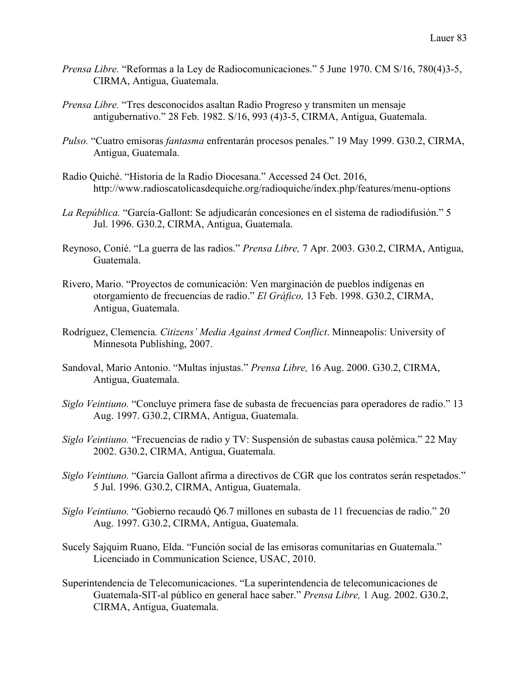- *Prensa Libre.* "Reformas a la Ley de Radiocomunicaciones." 5 June 1970. CM S/16, 780(4)3-5, CIRMA, Antigua, Guatemala.
- *Prensa Libre.* "Tres desconocidos asaltan Radio Progreso y transmiten un mensaje antigubernativo." 28 Feb. 1982. S/16, 993 (4)3-5, CIRMA, Antigua, Guatemala.
- *Pulso.* "Cuatro emisoras *fantasma* enfrentarán procesos penales." 19 May 1999. G30.2, CIRMA, Antigua, Guatemala.
- Radio Quiché. "Historia de la Radio Diocesana." Accessed 24 Oct. 2016, http://www.radioscatolicasdequiche.org/radioquiche/index.php/features/menu-options
- *La República.* "García-Gallont: Se adjudicarán concesiones en el sistema de radiodifusión." 5 Jul. 1996. G30.2, CIRMA, Antigua, Guatemala.
- Reynoso, Conié. "La guerra de las radios." *Prensa Libre,* 7 Apr. 2003. G30.2, CIRMA, Antigua, Guatemala.
- Rivero, Mario. "Proyectos de comunicación: Ven marginación de pueblos indígenas en otorgamiento de frecuencias de radio." *El Gráfico,* 13 Feb. 1998. G30.2, CIRMA, Antigua, Guatemala.
- Rodríguez, Clemencia*. Citizens' Media Against Armed Conflict*. Minneapolis: University of Minnesota Publishing, 2007.
- Sandoval, Mario Antonio. "Multas injustas." *Prensa Libre,* 16 Aug. 2000. G30.2, CIRMA, Antigua, Guatemala.
- *Siglo Veintiuno.* "Concluye primera fase de subasta de frecuencias para operadores de radio." 13 Aug. 1997. G30.2, CIRMA, Antigua, Guatemala.
- *Siglo Veintiuno.* "Frecuencias de radio y TV: Suspensión de subastas causa polémica." 22 May 2002. G30.2, CIRMA, Antigua, Guatemala.
- *Siglo Veintiuno.* "García Gallont afirma a directivos de CGR que los contratos serán respetados." 5 Jul. 1996. G30.2, CIRMA, Antigua, Guatemala.
- *Siglo Veintiuno.* "Gobierno recaudó Q6.7 millones en subasta de 11 frecuencias de radio." 20 Aug. 1997. G30.2, CIRMA, Antigua, Guatemala.
- Sucely Sajquim Ruano, Elda. "Función social de las emisoras comunitarias en Guatemala." Licenciado in Communication Science, USAC, 2010.
- Superintendencia de Telecomunicaciones. "La superintendencia de telecomunicaciones de Guatemala-SIT-al público en general hace saber." *Prensa Libre,* 1 Aug. 2002. G30.2, CIRMA, Antigua, Guatemala.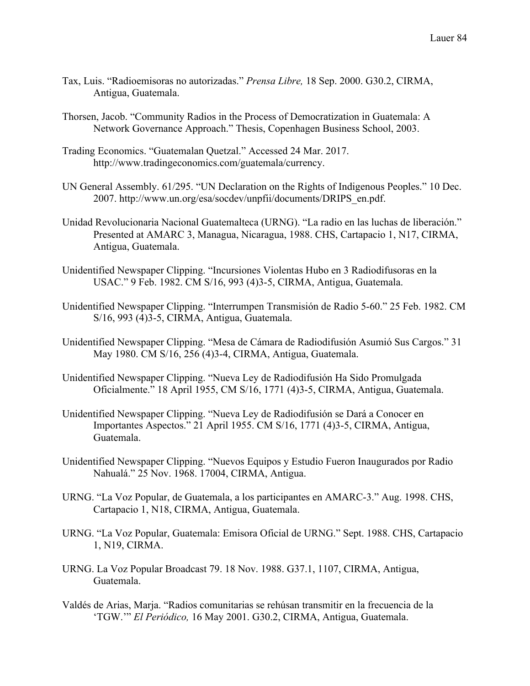- Tax, Luis. "Radioemisoras no autorizadas." *Prensa Libre,* 18 Sep. 2000. G30.2, CIRMA, Antigua, Guatemala.
- Thorsen, Jacob. "Community Radios in the Process of Democratization in Guatemala: A Network Governance Approach." Thesis, Copenhagen Business School, 2003.
- Trading Economics. "Guatemalan Quetzal." Accessed 24 Mar. 2017. http://www.tradingeconomics.com/guatemala/currency.
- UN General Assembly. 61/295. "UN Declaration on the Rights of Indigenous Peoples." 10 Dec. 2007. http://www.un.org/esa/socdev/unpfii/documents/DRIPS\_en.pdf.
- Unidad Revolucionaria Nacional Guatemalteca (URNG). "La radio en las luchas de liberación." Presented at AMARC 3, Managua, Nicaragua, 1988. CHS, Cartapacio 1, N17, CIRMA, Antigua, Guatemala.
- Unidentified Newspaper Clipping. "Incursiones Violentas Hubo en 3 Radiodifusoras en la USAC." 9 Feb. 1982. CM S/16, 993 (4)3-5, CIRMA, Antigua, Guatemala.
- Unidentified Newspaper Clipping. "Interrumpen Transmisión de Radio 5-60." 25 Feb. 1982. CM S/16, 993 (4)3-5, CIRMA, Antigua, Guatemala.
- Unidentified Newspaper Clipping. "Mesa de Cámara de Radiodifusión Asumió Sus Cargos." 31 May 1980. CM S/16, 256 (4)3-4, CIRMA, Antigua, Guatemala.
- Unidentified Newspaper Clipping. "Nueva Ley de Radiodifusión Ha Sido Promulgada Oficialmente." 18 April 1955, CM S/16, 1771 (4)3-5, CIRMA, Antigua, Guatemala.
- Unidentified Newspaper Clipping. "Nueva Ley de Radiodifusión se Dará a Conocer en Importantes Aspectos." 21 April 1955. CM S/16, 1771 (4)3-5, CIRMA, Antigua, Guatemala.
- Unidentified Newspaper Clipping. "Nuevos Equipos y Estudio Fueron Inaugurados por Radio Nahualá." 25 Nov. 1968. 17004, CIRMA, Antigua.
- URNG. "La Voz Popular, de Guatemala, a los participantes en AMARC-3." Aug. 1998. CHS, Cartapacio 1, N18, CIRMA, Antigua, Guatemala.
- URNG. "La Voz Popular, Guatemala: Emisora Oficial de URNG." Sept. 1988. CHS, Cartapacio 1, N19, CIRMA.
- URNG. La Voz Popular Broadcast 79. 18 Nov. 1988. G37.1, 1107, CIRMA, Antigua, Guatemala.
- Valdés de Arias, Marja. "Radios comunitarias se rehúsan transmitir en la frecuencia de la 'TGW.'" *El Periódico,* 16 May 2001. G30.2, CIRMA, Antigua, Guatemala.